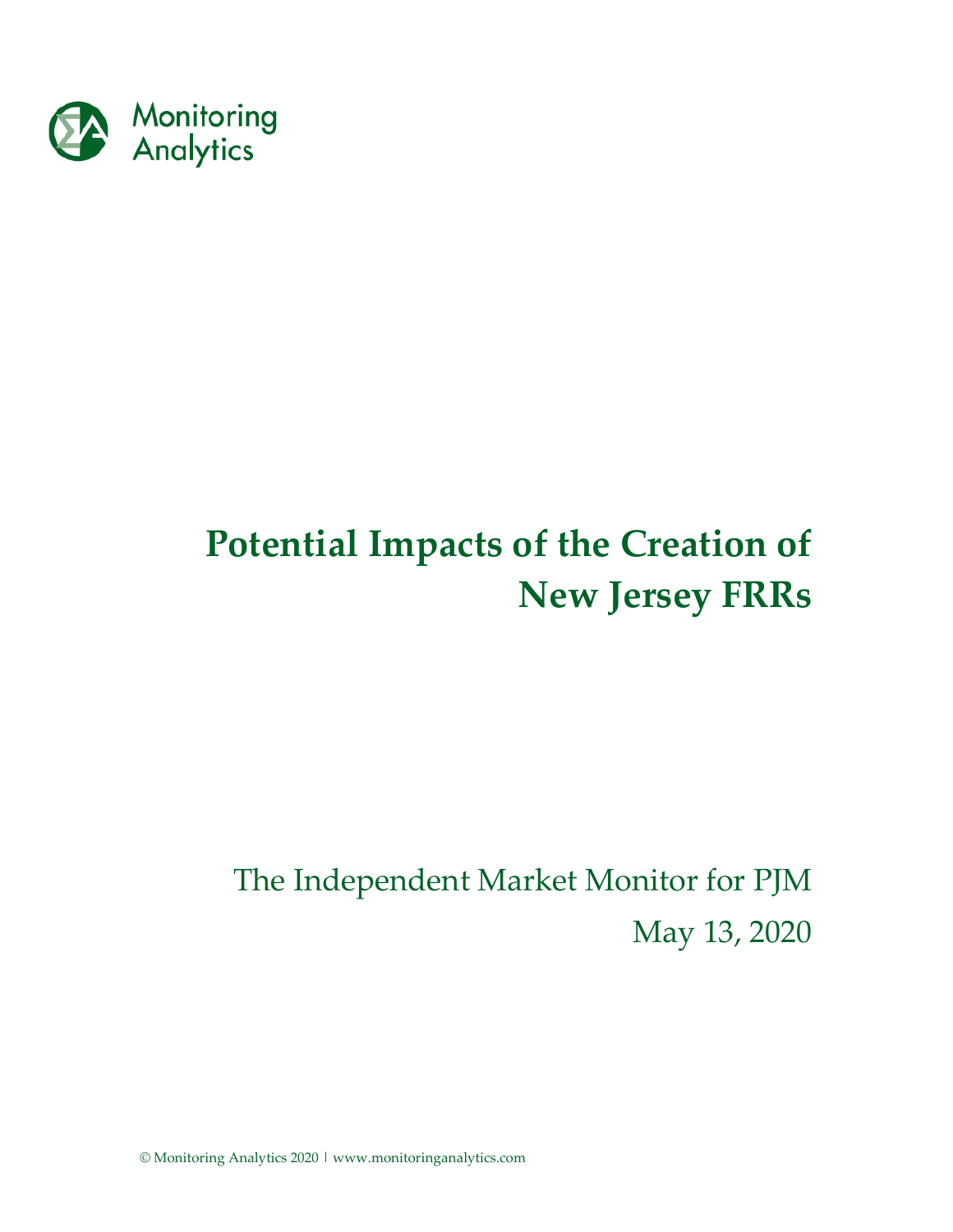

# **Potential Impacts of the Creation of New Jersey FRRs**

The Independent Market Monitor for PJM May 13, 2020

© Monitoring Analytics 2020 | [www.monitoringanalytics.com](http://www.monitoringanalytics.com/)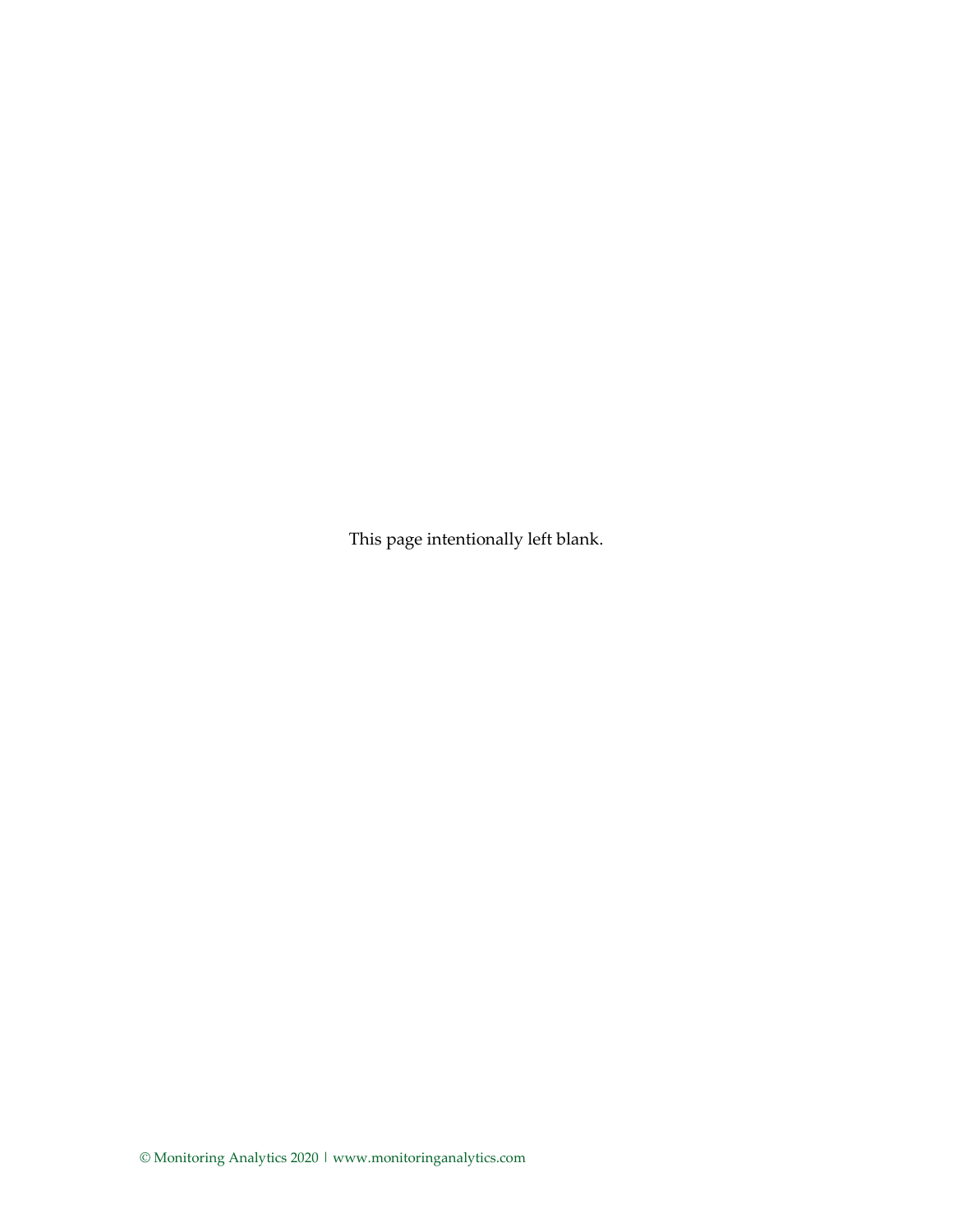This page intentionally left blank.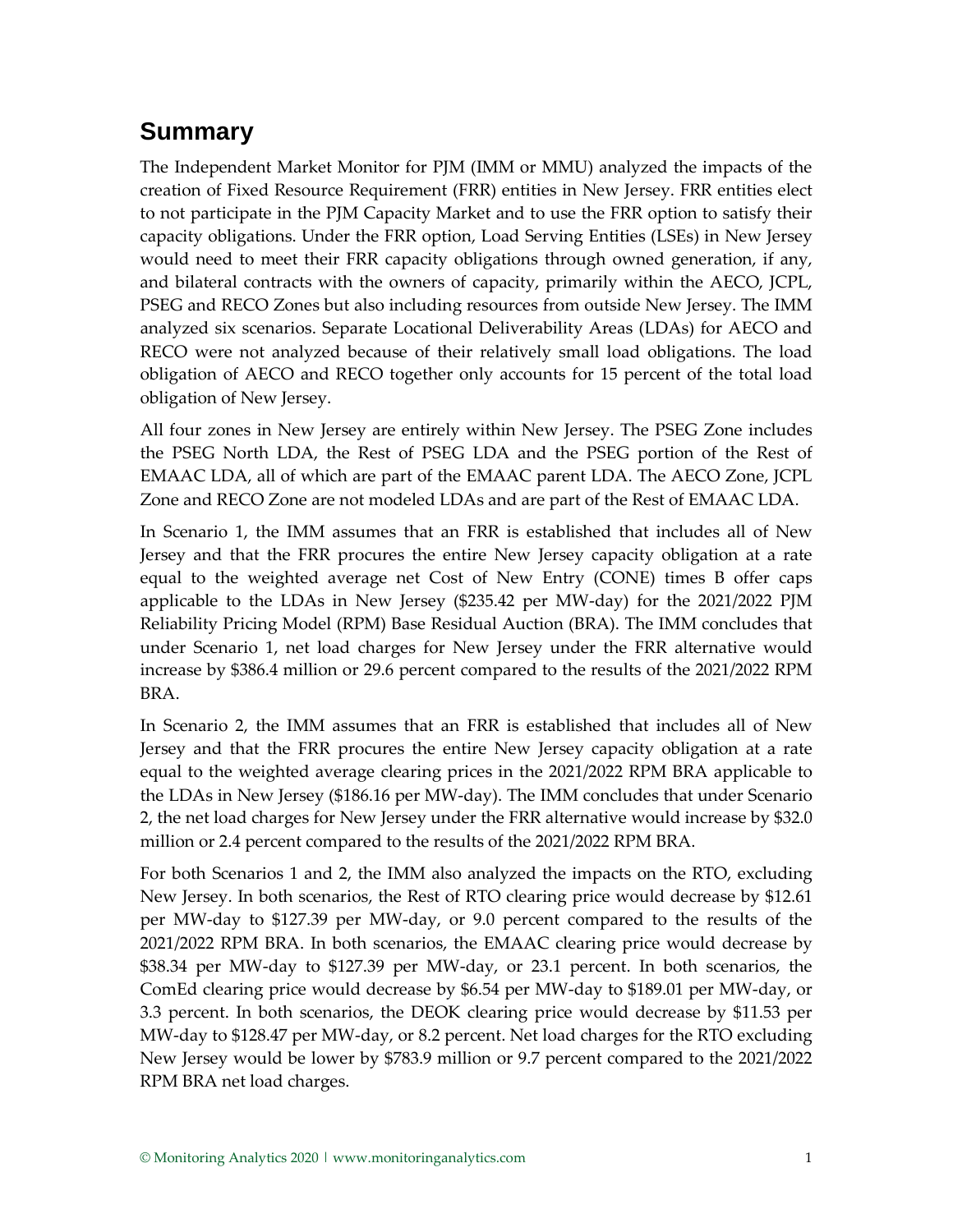# **Summary**

The Independent Market Monitor for PJM (IMM or MMU) analyzed the impacts of the creation of Fixed Resource Requirement (FRR) entities in New Jersey. FRR entities elect to not participate in the PJM Capacity Market and to use the FRR option to satisfy their capacity obligations. Under the FRR option, Load Serving Entities (LSEs) in New Jersey would need to meet their FRR capacity obligations through owned generation, if any, and bilateral contracts with the owners of capacity, primarily within the AECO, JCPL, PSEG and RECO Zones but also including resources from outside New Jersey. The IMM analyzed six scenarios. Separate Locational Deliverability Areas (LDAs) for AECO and RECO were not analyzed because of their relatively small load obligations. The load obligation of AECO and RECO together only accounts for 15 percent of the total load obligation of New Jersey.

All four zones in New Jersey are entirely within New Jersey. The PSEG Zone includes the PSEG North LDA, the Rest of PSEG LDA and the PSEG portion of the Rest of EMAAC LDA, all of which are part of the EMAAC parent LDA. The AECO Zone, JCPL Zone and RECO Zone are not modeled LDAs and are part of the Rest of EMAAC LDA.

In Scenario 1, the IMM assumes that an FRR is established that includes all of New Jersey and that the FRR procures the entire New Jersey capacity obligation at a rate equal to the weighted average net Cost of New Entry (CONE) times B offer caps applicable to the LDAs in New Jersey (\$235.42 per MW-day) for the 2021/2022 PJM Reliability Pricing Model (RPM) Base Residual Auction (BRA). The IMM concludes that under Scenario 1, net load charges for New Jersey under the FRR alternative would increase by \$386.4 million or 29.6 percent compared to the results of the 2021/2022 RPM BRA.

In Scenario 2, the IMM assumes that an FRR is established that includes all of New Jersey and that the FRR procures the entire New Jersey capacity obligation at a rate equal to the weighted average clearing prices in the 2021/2022 RPM BRA applicable to the LDAs in New Jersey (\$186.16 per MW-day). The IMM concludes that under Scenario 2, the net load charges for New Jersey under the FRR alternative would increase by \$32.0 million or 2.4 percent compared to the results of the 2021/2022 RPM BRA.

For both Scenarios 1 and 2, the IMM also analyzed the impacts on the RTO, excluding New Jersey. In both scenarios, the Rest of RTO clearing price would decrease by \$12.61 per MW-day to \$127.39 per MW-day, or 9.0 percent compared to the results of the 2021/2022 RPM BRA. In both scenarios, the EMAAC clearing price would decrease by \$38.34 per MW-day to \$127.39 per MW-day, or 23.1 percent. In both scenarios, the ComEd clearing price would decrease by \$6.54 per MW-day to \$189.01 per MW-day, or 3.3 percent. In both scenarios, the DEOK clearing price would decrease by \$11.53 per MW-day to \$128.47 per MW-day, or 8.2 percent. Net load charges for the RTO excluding New Jersey would be lower by \$783.9 million or 9.7 percent compared to the 2021/2022 RPM BRA net load charges.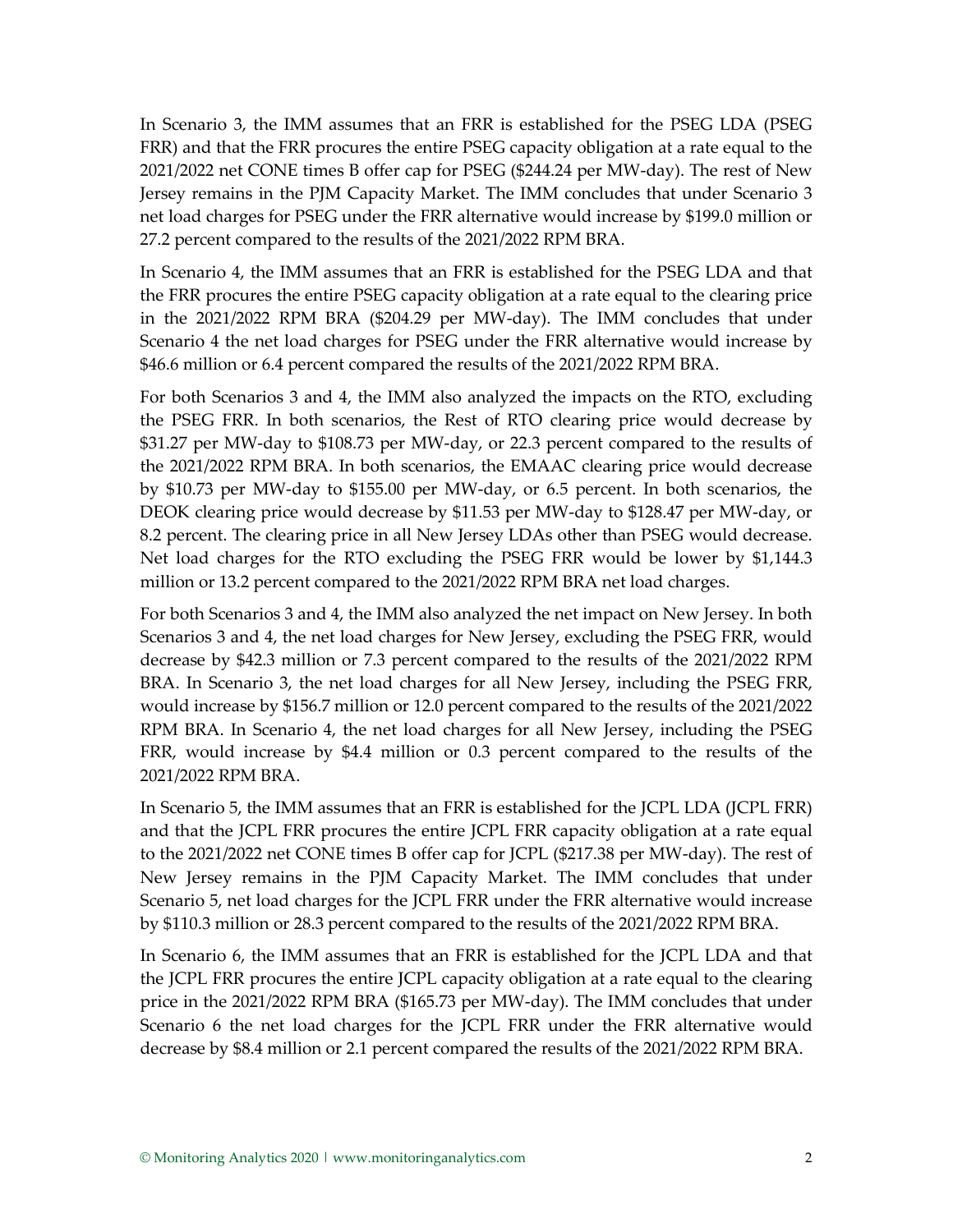In Scenario 3, the IMM assumes that an FRR is established for the PSEG LDA (PSEG FRR) and that the FRR procures the entire PSEG capacity obligation at a rate equal to the 2021/2022 net CONE times B offer cap for PSEG (\$244.24 per MW-day). The rest of New Jersey remains in the PJM Capacity Market. The IMM concludes that under Scenario 3 net load charges for PSEG under the FRR alternative would increase by \$199.0 million or 27.2 percent compared to the results of the 2021/2022 RPM BRA.

In Scenario 4, the IMM assumes that an FRR is established for the PSEG LDA and that the FRR procures the entire PSEG capacity obligation at a rate equal to the clearing price in the 2021/2022 RPM BRA (\$204.29 per MW-day). The IMM concludes that under Scenario 4 the net load charges for PSEG under the FRR alternative would increase by \$46.6 million or 6.4 percent compared the results of the 2021/2022 RPM BRA.

For both Scenarios 3 and 4, the IMM also analyzed the impacts on the RTO, excluding the PSEG FRR. In both scenarios, the Rest of RTO clearing price would decrease by \$31.27 per MW-day to \$108.73 per MW-day, or 22.3 percent compared to the results of the 2021/2022 RPM BRA. In both scenarios, the EMAAC clearing price would decrease by \$10.73 per MW-day to \$155.00 per MW-day, or 6.5 percent. In both scenarios, the DEOK clearing price would decrease by \$11.53 per MW-day to \$128.47 per MW-day, or 8.2 percent. The clearing price in all New Jersey LDAs other than PSEG would decrease. Net load charges for the RTO excluding the PSEG FRR would be lower by \$1,144.3 million or 13.2 percent compared to the 2021/2022 RPM BRA net load charges.

For both Scenarios 3 and 4, the IMM also analyzed the net impact on New Jersey. In both Scenarios 3 and 4, the net load charges for New Jersey, excluding the PSEG FRR, would decrease by \$42.3 million or 7.3 percent compared to the results of the 2021/2022 RPM BRA. In Scenario 3, the net load charges for all New Jersey, including the PSEG FRR, would increase by \$156.7 million or 12.0 percent compared to the results of the 2021/2022 RPM BRA. In Scenario 4, the net load charges for all New Jersey, including the PSEG FRR, would increase by \$4.4 million or 0.3 percent compared to the results of the 2021/2022 RPM BRA.

In Scenario 5, the IMM assumes that an FRR is established for the JCPL LDA (JCPL FRR) and that the JCPL FRR procures the entire JCPL FRR capacity obligation at a rate equal to the 2021/2022 net CONE times B offer cap for JCPL (\$217.38 per MW-day). The rest of New Jersey remains in the PJM Capacity Market. The IMM concludes that under Scenario 5, net load charges for the JCPL FRR under the FRR alternative would increase by \$110.3 million or 28.3 percent compared to the results of the 2021/2022 RPM BRA.

In Scenario 6, the IMM assumes that an FRR is established for the JCPL LDA and that the JCPL FRR procures the entire JCPL capacity obligation at a rate equal to the clearing price in the 2021/2022 RPM BRA (\$165.73 per MW-day). The IMM concludes that under Scenario 6 the net load charges for the JCPL FRR under the FRR alternative would decrease by \$8.4 million or 2.1 percent compared the results of the 2021/2022 RPM BRA.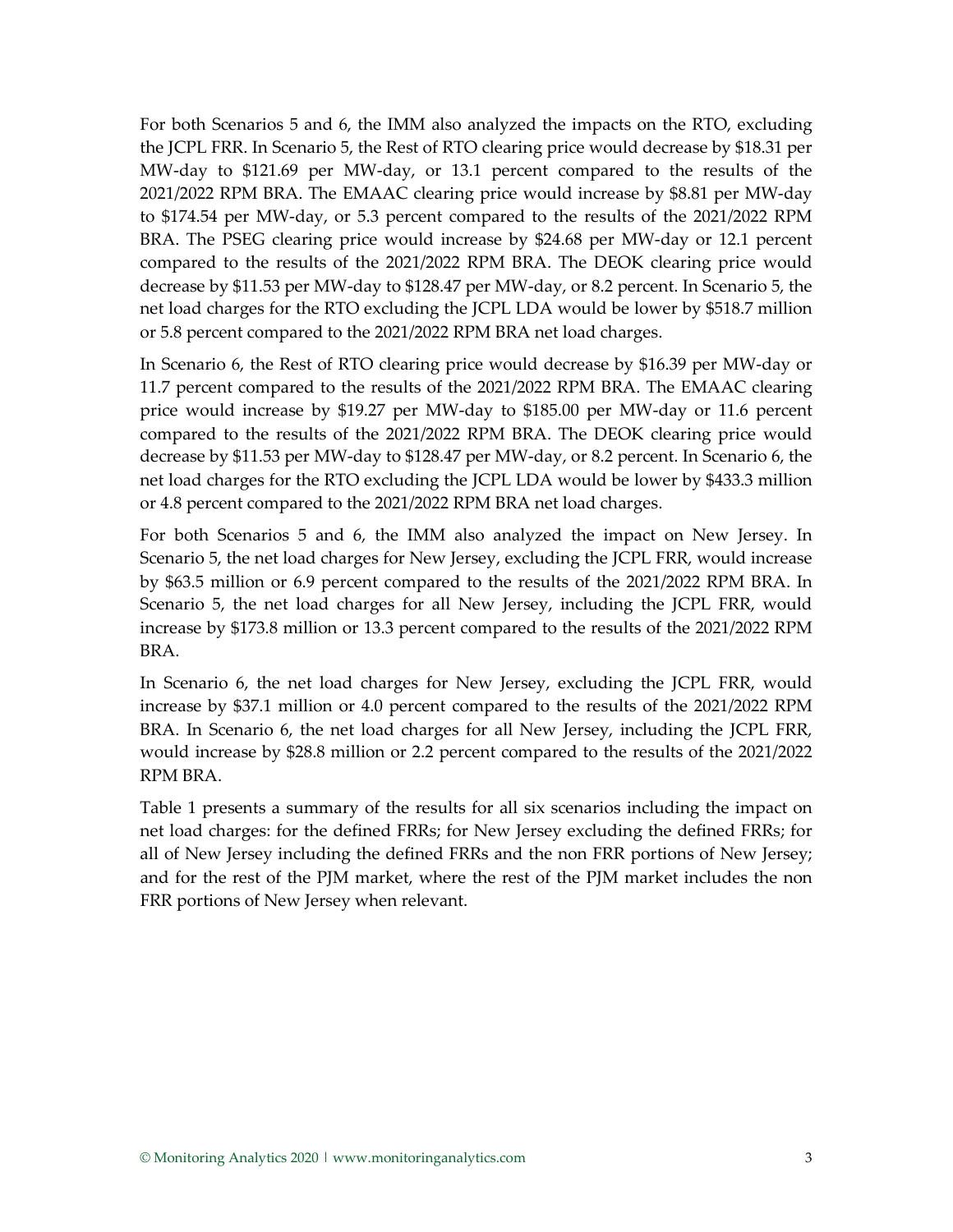For both Scenarios 5 and 6, the IMM also analyzed the impacts on the RTO, excluding the JCPL FRR. In Scenario 5, the Rest of RTO clearing price would decrease by \$18.31 per MW-day to \$121.69 per MW-day, or 13.1 percent compared to the results of the 2021/2022 RPM BRA. The EMAAC clearing price would increase by \$8.81 per MW-day to \$174.54 per MW-day, or 5.3 percent compared to the results of the 2021/2022 RPM BRA. The PSEG clearing price would increase by \$24.68 per MW-day or 12.1 percent compared to the results of the 2021/2022 RPM BRA. The DEOK clearing price would decrease by \$11.53 per MW-day to \$128.47 per MW-day, or 8.2 percent. In Scenario 5, the net load charges for the RTO excluding the JCPL LDA would be lower by \$518.7 million or 5.8 percent compared to the 2021/2022 RPM BRA net load charges.

In Scenario 6, the Rest of RTO clearing price would decrease by \$16.39 per MW-day or 11.7 percent compared to the results of the 2021/2022 RPM BRA. The EMAAC clearing price would increase by \$19.27 per MW-day to \$185.00 per MW-day or 11.6 percent compared to the results of the 2021/2022 RPM BRA. The DEOK clearing price would decrease by \$11.53 per MW-day to \$128.47 per MW-day, or 8.2 percent. In Scenario 6, the net load charges for the RTO excluding the JCPL LDA would be lower by \$433.3 million or 4.8 percent compared to the 2021/2022 RPM BRA net load charges.

For both Scenarios 5 and 6, the IMM also analyzed the impact on New Jersey. In Scenario 5, the net load charges for New Jersey, excluding the JCPL FRR, would increase by \$63.5 million or 6.9 percent compared to the results of the 2021/2022 RPM BRA. In Scenario 5, the net load charges for all New Jersey, including the JCPL FRR, would increase by \$173.8 million or 13.3 percent compared to the results of the 2021/2022 RPM BRA.

In Scenario 6, the net load charges for New Jersey, excluding the JCPL FRR, would increase by \$37.1 million or 4.0 percent compared to the results of the 2021/2022 RPM BRA. In Scenario 6, the net load charges for all New Jersey, including the JCPL FRR, would increase by \$28.8 million or 2.2 percent compared to the results of the 2021/2022 RPM BRA.

[Table 1](#page-5-0) presents a summary of the results for all six scenarios including the impact on net load charges: for the defined FRRs; for New Jersey excluding the defined FRRs; for all of New Jersey including the defined FRRs and the non FRR portions of New Jersey; and for the rest of the PJM market, where the rest of the PJM market includes the non FRR portions of New Jersey when relevant.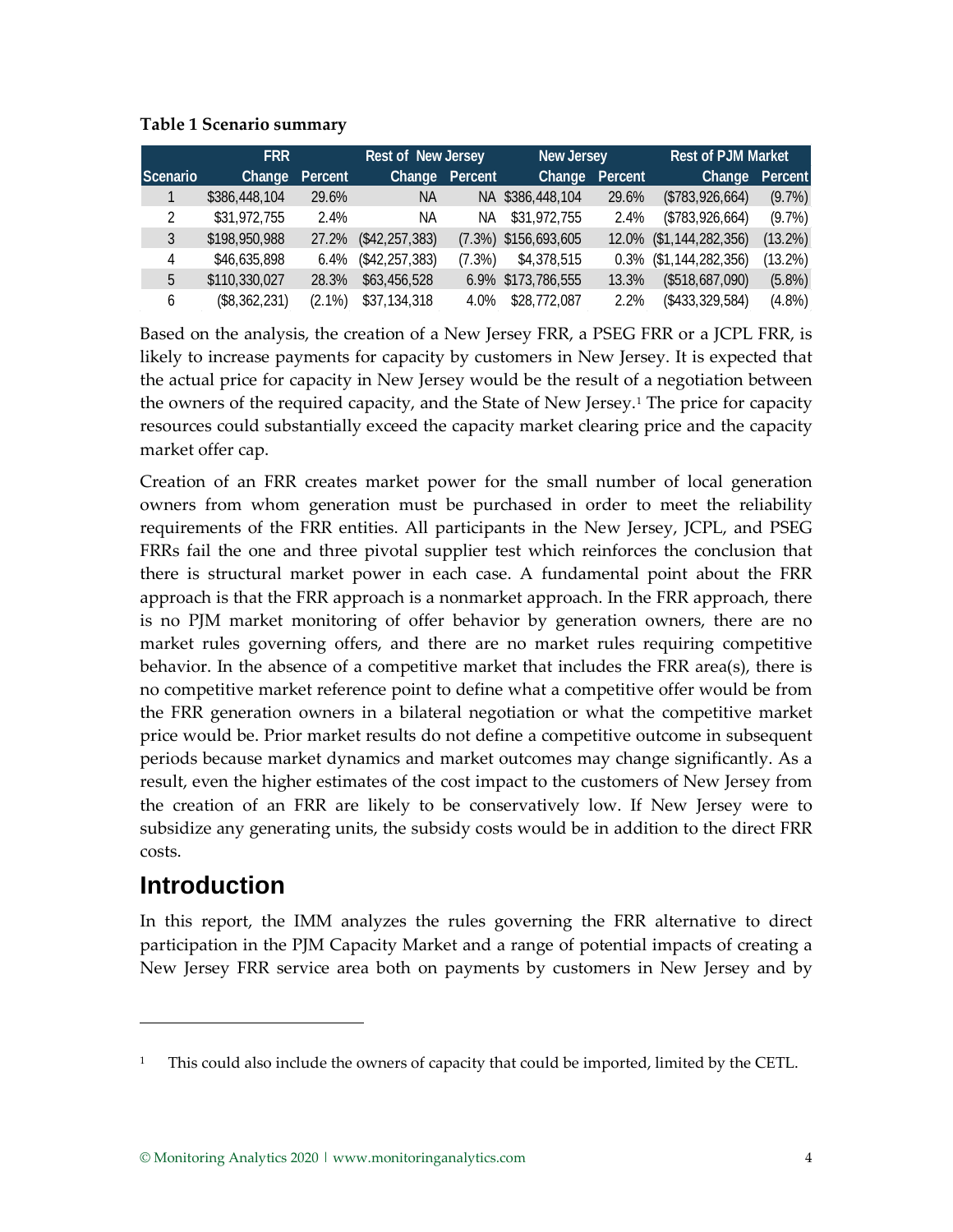<span id="page-5-0"></span>

| Table 1 Scenario summary |     |               |
|--------------------------|-----|---------------|
|                          | FRR | Rest of New L |

|          |               | <b>FRR</b> |           | Rest of New Jersey |                | New Jersey              |         | Rest of PJM Market      |            |
|----------|---------------|------------|-----------|--------------------|----------------|-------------------------|---------|-------------------------|------------|
| Scenario |               | Change     | Percent   |                    | Change Percent | Change                  | Percent | Change                  | Percent    |
|          | \$386,448,104 |            | 29.6%     | NA.                |                | NA \$386,448,104        | 29.6%   | (\$783,926,664)         | $(9.7\%)$  |
|          | \$31,972,755  |            | 2.4%      | NА                 | NA             | \$31,972,755            | 2.4%    | (\$783,926,664)         | $(9.7\%)$  |
|          | \$198,950,988 |            | 27.2%     | (\$42, 257, 383)   |                | $(7.3\%)$ \$156,693,605 |         | 12.0% (\$1,144,282,356) | $(13.2\%)$ |
| 4        | \$46,635,898  |            | 6.4%      | (\$42, 257, 383)   | (7.3%)         | \$4,378,515             |         | 0.3% (\$1,144,282,356)  | $(13.2\%)$ |
| 5        | \$110,330,027 |            | 28.3%     | \$63,456,528       |                | 6.9% \$173,786,555      | 13.3%   | (\$518,687,090)         | $(5.8\%)$  |
| 6        | (\$8,362,231) |            | $(2.1\%)$ | \$37,134,318       | 4.0%           | \$28,772,087            | 2.2%    | (\$433,329,584)         | (4.8%)     |

Based on the analysis, the creation of a New Jersey FRR, a PSEG FRR or a JCPL FRR, is likely to increase payments for capacity by customers in New Jersey. It is expected that the actual price for capacity in New Jersey would be the result of a negotiation between the owners of the required capacity, and the State of New Jersey.[1](#page-5-1) The price for capacity resources could substantially exceed the capacity market clearing price and the capacity market offer cap.

Creation of an FRR creates market power for the small number of local generation owners from whom generation must be purchased in order to meet the reliability requirements of the FRR entities. All participants in the New Jersey, JCPL, and PSEG FRRs fail the one and three pivotal supplier test which reinforces the conclusion that there is structural market power in each case. A fundamental point about the FRR approach is that the FRR approach is a nonmarket approach. In the FRR approach, there is no PJM market monitoring of offer behavior by generation owners, there are no market rules governing offers, and there are no market rules requiring competitive behavior. In the absence of a competitive market that includes the FRR area(s), there is no competitive market reference point to define what a competitive offer would be from the FRR generation owners in a bilateral negotiation or what the competitive market price would be. Prior market results do not define a competitive outcome in subsequent periods because market dynamics and market outcomes may change significantly. As a result, even the higher estimates of the cost impact to the customers of New Jersey from the creation of an FRR are likely to be conservatively low. If New Jersey were to subsidize any generating units, the subsidy costs would be in addition to the direct FRR costs.

# **Introduction**

 $\overline{a}$ 

In this report, the IMM analyzes the rules governing the FRR alternative to direct participation in the PJM Capacity Market and a range of potential impacts of creating a New Jersey FRR service area both on payments by customers in New Jersey and by

<span id="page-5-1"></span><sup>1</sup> This could also include the owners of capacity that could be imported, limited by the CETL.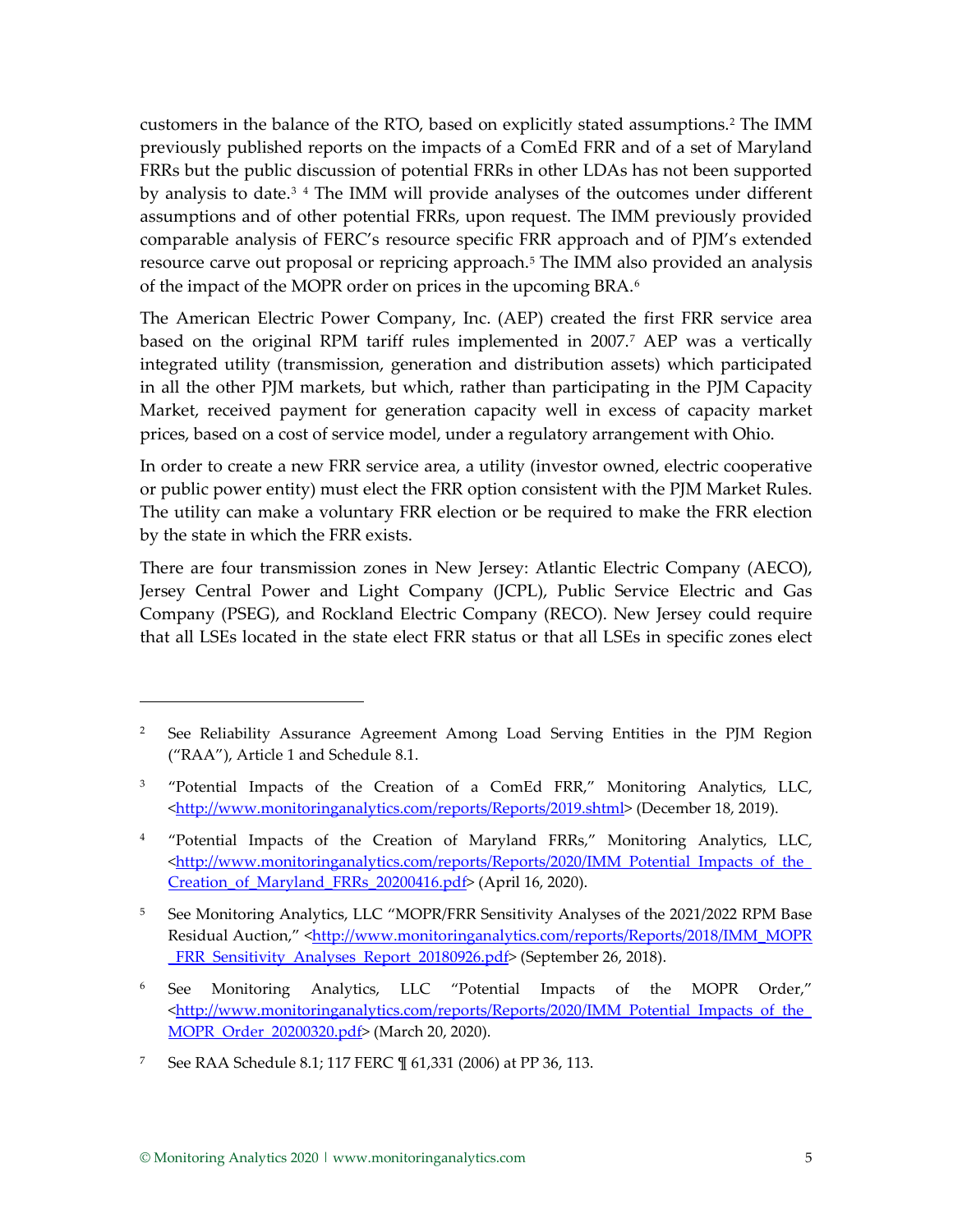customers in the balance of the RTO, based on explicitly stated assumptions.[2](#page-6-0) The IMM previously published reports on the impacts of a ComEd FRR and of a set of Maryland FRRs but the public discussion of potential FRRs in other LDAs has not been supported by analysis to date.[3](#page-6-1) [4](#page-6-2) The IMM will provide analyses of the outcomes under different assumptions and of other potential FRRs, upon request. The IMM previously provided comparable analysis of FERC's resource specific FRR approach and of PJM's extended resource carve out proposal or repricing approach[.5](#page-6-3) The IMM also provided an analysis of the impact of the MOPR order on prices in the upcoming BRA.<sup>[6](#page-6-4)</sup>

The American Electric Power Company, Inc. (AEP) created the first FRR service area based on the original RPM tariff rules implemented in 200[7](#page-6-5).<sup>7</sup> AEP was a vertically integrated utility (transmission, generation and distribution assets) which participated in all the other PJM markets, but which, rather than participating in the PJM Capacity Market, received payment for generation capacity well in excess of capacity market prices, based on a cost of service model, under a regulatory arrangement with Ohio.

In order to create a new FRR service area, a utility (investor owned, electric cooperative or public power entity) must elect the FRR option consistent with the PJM Market Rules. The utility can make a voluntary FRR election or be required to make the FRR election by the state in which the FRR exists.

There are four transmission zones in New Jersey: Atlantic Electric Company (AECO), Jersey Central Power and Light Company (JCPL), Public Service Electric and Gas Company (PSEG), and Rockland Electric Company (RECO). New Jersey could require that all LSEs located in the state elect FRR status or that all LSEs in specific zones elect

<span id="page-6-0"></span><sup>2</sup> See Reliability Assurance Agreement Among Load Serving Entities in the PJM Region ("RAA"), Article 1 and Schedule 8.1.

<span id="page-6-1"></span><sup>&</sup>lt;sup>3</sup> "Potential Impacts of the Creation of a ComEd FRR," Monitoring Analytics, LLC, [<http://www.monitoringanalytics.com/reports/Reports/2019.shtml>](http://www.monitoringanalytics.com/reports/Reports/2019.shtml) (December 18, 2019).

<span id="page-6-2"></span><sup>4</sup> "Potential Impacts of the Creation of Maryland FRRs," Monitoring Analytics, LLC,  $\langle \text{http://www.monitoringanalytics.com/reports/Reports/2020/IMM}$  Potential Impacts of the Creation of Maryland FRRs 20200416.pdf> (April 16, 2020).

<span id="page-6-3"></span><sup>5</sup> See Monitoring Analytics, LLC "MOPR/FRR Sensitivity Analyses of the 2021/2022 RPM Base Residual Auction," [<http://www.monitoringanalytics.com/reports/Reports/2018/IMM\\_MOPR](http://www.monitoringanalytics.com/reports/Reports/2018/IMM_MOPR_FRR_Sensitivity_Analyses_Report_20180926.pdf) [\\_FRR\\_Sensitivity\\_Analyses\\_Report\\_20180926.pdf>](http://www.monitoringanalytics.com/reports/Reports/2018/IMM_MOPR_FRR_Sensitivity_Analyses_Report_20180926.pdf) (September 26, 2018).

<span id="page-6-4"></span><sup>6</sup> See Monitoring Analytics, LLC "Potential Impacts of the MOPR Order," [<http://www.monitoringanalytics.com/reports/Reports/2020/IMM\\_Potential\\_Impacts\\_of\\_the\\_](http://www.monitoringanalytics.com/reports/Reports/2020/IMM_Potential_Impacts_of_the_MOPR_Order_20200320.pdf) [MOPR\\_Order\\_20200320.pdf>](http://www.monitoringanalytics.com/reports/Reports/2020/IMM_Potential_Impacts_of_the_MOPR_Order_20200320.pdf) (March 20, 2020).

<span id="page-6-5"></span><sup>7</sup> See RAA Schedule 8.1; 117 FERC ¶ 61,331 (2006) at PP 36, 113.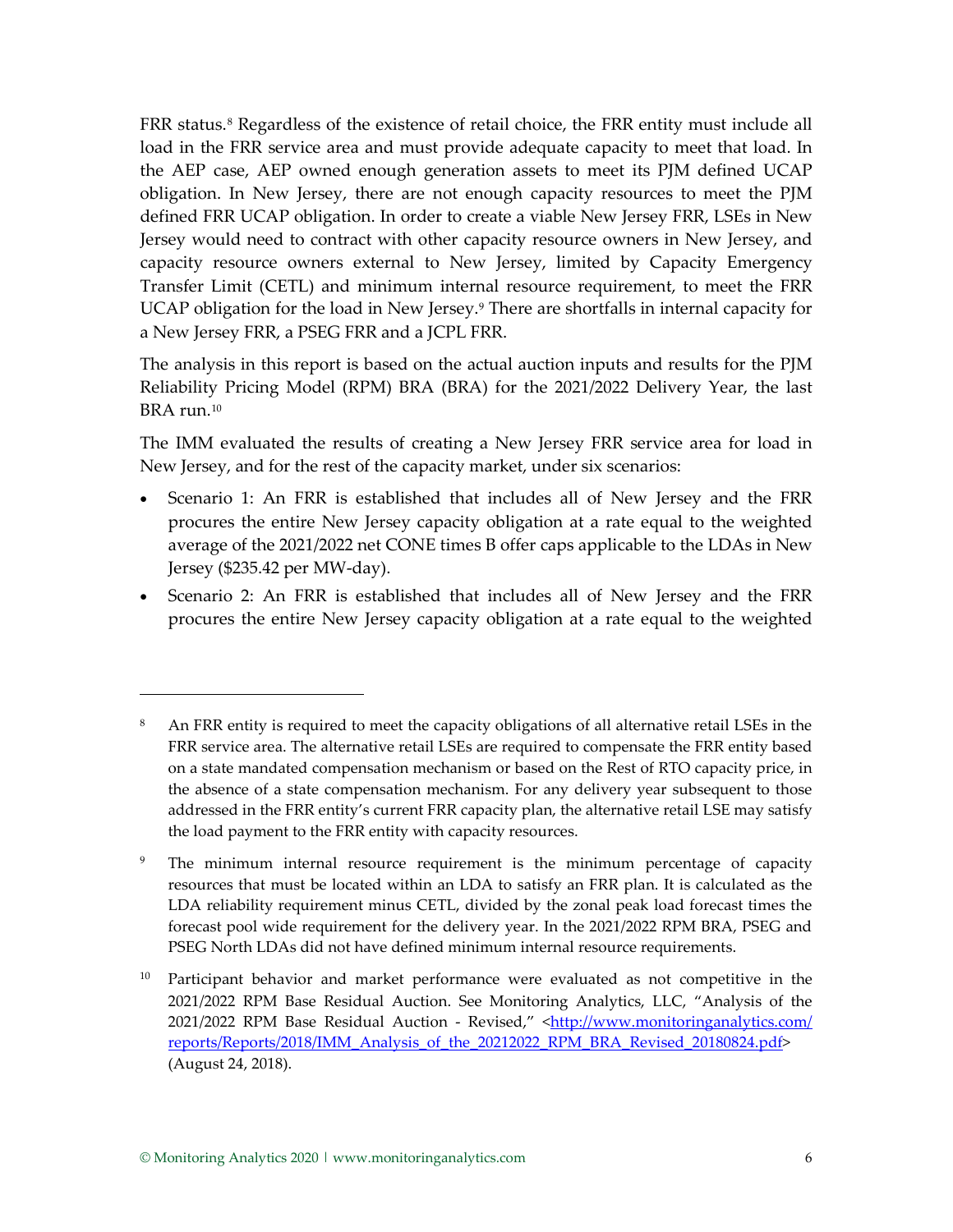FRR status.<sup>[8](#page-7-0)</sup> Regardless of the existence of retail choice, the FRR entity must include all load in the FRR service area and must provide adequate capacity to meet that load. In the AEP case, AEP owned enough generation assets to meet its PJM defined UCAP obligation. In New Jersey, there are not enough capacity resources to meet the PJM defined FRR UCAP obligation. In order to create a viable New Jersey FRR, LSEs in New Jersey would need to contract with other capacity resource owners in New Jersey, and capacity resource owners external to New Jersey, limited by Capacity Emergency Transfer Limit (CETL) and minimum internal resource requirement, to meet the FRR UCAP obligation for the load in New Jersey.<sup>[9](#page-7-1)</sup> There are shortfalls in internal capacity for a New Jersey FRR, a PSEG FRR and a JCPL FRR.

The analysis in this report is based on the actual auction inputs and results for the PJM Reliability Pricing Model (RPM) BRA (BRA) for the 2021/2022 Delivery Year, the last BRA run.[10](#page-7-2)

The IMM evaluated the results of creating a New Jersey FRR service area for load in New Jersey, and for the rest of the capacity market, under six scenarios:

- Scenario 1: An FRR is established that includes all of New Jersey and the FRR procures the entire New Jersey capacity obligation at a rate equal to the weighted average of the 2021/2022 net CONE times B offer caps applicable to the LDAs in New Jersey (\$235.42 per MW-day).
- Scenario 2: An FRR is established that includes all of New Jersey and the FRR procures the entire New Jersey capacity obligation at a rate equal to the weighted

<span id="page-7-1"></span><sup>9</sup> The minimum internal resource requirement is the minimum percentage of capacity resources that must be located within an LDA to satisfy an FRR plan. It is calculated as the LDA reliability requirement minus CETL, divided by the zonal peak load forecast times the forecast pool wide requirement for the delivery year. In the 2021/2022 RPM BRA, PSEG and PSEG North LDAs did not have defined minimum internal resource requirements.

<span id="page-7-0"></span><sup>&</sup>lt;sup>8</sup> An FRR entity is required to meet the capacity obligations of all alternative retail LSEs in the FRR service area. The alternative retail LSEs are required to compensate the FRR entity based on a state mandated compensation mechanism or based on the Rest of RTO capacity price, in the absence of a state compensation mechanism. For any delivery year subsequent to those addressed in the FRR entity's current FRR capacity plan, the alternative retail LSE may satisfy the load payment to the FRR entity with capacity resources.

<span id="page-7-2"></span><sup>&</sup>lt;sup>10</sup> Participant behavior and market performance were evaluated as not competitive in the 2021/2022 RPM Base Residual Auction. See Monitoring Analytics, LLC, "Analysis of the 2021/2022 RPM Base Residual Auction - Revised," [<http://www.monitoringanalytics.com/](http://www.monitoringanalytics.com/reports/Reports/2018/IMM_Analysis_of_the_20212022_RPM_BRA_Revised_20180824.pdf) [reports/Reports/2018/IMM\\_Analysis\\_of\\_the\\_20212022\\_RPM\\_BRA\\_Revised\\_20180824.pdf>](http://www.monitoringanalytics.com/reports/Reports/2018/IMM_Analysis_of_the_20212022_RPM_BRA_Revised_20180824.pdf) (August 24, 2018).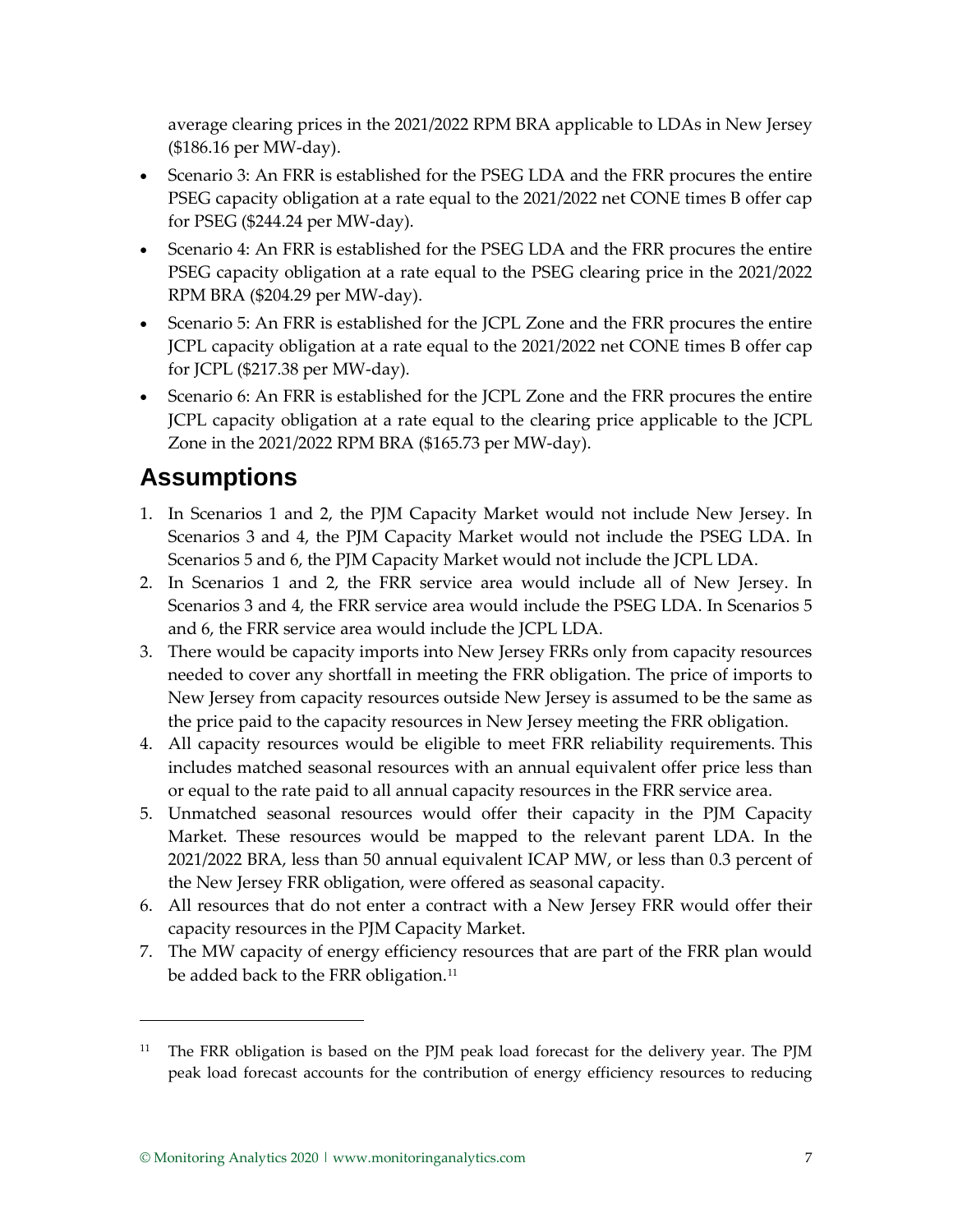average clearing prices in the 2021/2022 RPM BRA applicable to LDAs in New Jersey (\$186.16 per MW-day).

- Scenario 3: An FRR is established for the PSEG LDA and the FRR procures the entire PSEG capacity obligation at a rate equal to the 2021/2022 net CONE times B offer cap for PSEG (\$244.24 per MW-day).
- Scenario 4: An FRR is established for the PSEG LDA and the FRR procures the entire PSEG capacity obligation at a rate equal to the PSEG clearing price in the 2021/2022 RPM BRA (\$204.29 per MW-day).
- Scenario 5: An FRR is established for the JCPL Zone and the FRR procures the entire JCPL capacity obligation at a rate equal to the 2021/2022 net CONE times B offer cap for JCPL (\$217.38 per MW-day).
- Scenario 6: An FRR is established for the JCPL Zone and the FRR procures the entire JCPL capacity obligation at a rate equal to the clearing price applicable to the JCPL Zone in the 2021/2022 RPM BRA (\$165.73 per MW-day).

# **Assumptions**

- 1. In Scenarios 1 and 2, the PJM Capacity Market would not include New Jersey. In Scenarios 3 and 4, the PJM Capacity Market would not include the PSEG LDA. In Scenarios 5 and 6, the PJM Capacity Market would not include the JCPL LDA.
- 2. In Scenarios 1 and 2, the FRR service area would include all of New Jersey. In Scenarios 3 and 4, the FRR service area would include the PSEG LDA. In Scenarios 5 and 6, the FRR service area would include the JCPL LDA.
- 3. There would be capacity imports into New Jersey FRRs only from capacity resources needed to cover any shortfall in meeting the FRR obligation. The price of imports to New Jersey from capacity resources outside New Jersey is assumed to be the same as the price paid to the capacity resources in New Jersey meeting the FRR obligation.
- 4. All capacity resources would be eligible to meet FRR reliability requirements. This includes matched seasonal resources with an annual equivalent offer price less than or equal to the rate paid to all annual capacity resources in the FRR service area.
- 5. Unmatched seasonal resources would offer their capacity in the PJM Capacity Market. These resources would be mapped to the relevant parent LDA. In the 2021/2022 BRA, less than 50 annual equivalent ICAP MW, or less than 0.3 percent of the New Jersey FRR obligation, were offered as seasonal capacity.
- 6. All resources that do not enter a contract with a New Jersey FRR would offer their capacity resources in the PJM Capacity Market.
- 7. The MW capacity of energy efficiency resources that are part of the FRR plan would be added back to the FRR obligation.<sup>[11](#page-8-0)</sup>

<span id="page-8-0"></span><sup>&</sup>lt;sup>11</sup> The FRR obligation is based on the PJM peak load forecast for the delivery year. The PJM peak load forecast accounts for the contribution of energy efficiency resources to reducing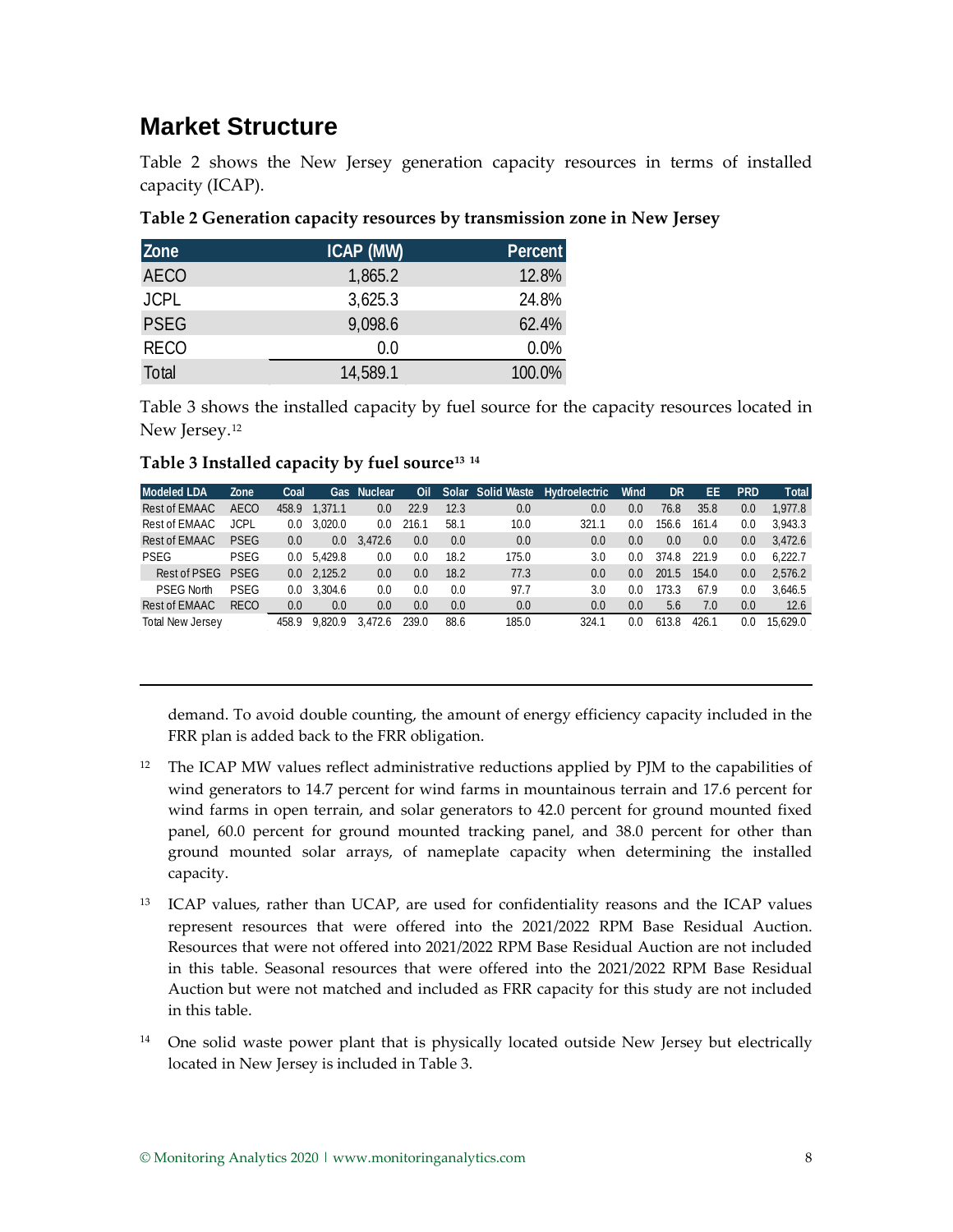## **Market Structure**

 $\overline{a}$ 

[Table 2](#page-9-0) shows the New Jersey generation capacity resources in terms of installed capacity (ICAP).

| <b>Zone</b> | ICAP (MW) | Percent |
|-------------|-----------|---------|
| <b>AECO</b> | 1,865.2   | 12.8%   |
| <b>JCPL</b> | 3,625.3   | 24.8%   |
| <b>PSEG</b> | 9,098.6   | 62.4%   |
| <b>RECO</b> | 0.0       | 0.0%    |
| Total       | 14,589.1  | 100.0%  |

#### <span id="page-9-0"></span>**Table 2 Generation capacity resources by transmission zone in New Jersey**

[Table 3](#page-9-1) shows the installed capacity by fuel source for the capacity resources located in New Jersey.<sup>[12](#page-9-2)</sup>

| <b>Modeled LDA</b>      | Zone        | Coal          |                    | Gas Nuclear | Oil   |      |       | Solar Solid Waste Hydroelectric | Wind          | <b>DR</b> | EE    | <b>PRD</b> | <b>Total</b> |
|-------------------------|-------------|---------------|--------------------|-------------|-------|------|-------|---------------------------------|---------------|-----------|-------|------------|--------------|
| Rest of EMAAC           | AECO        | 458.9         | 1.371.1            | 0.0         | 22.9  | 12.3 | 0.0   | 0.0                             | 0.0           | 76.8      | 35.8  | 0.0        | 1.977.8      |
| Rest of EMAAC           | JCPL        | $0.0^{\circ}$ | 3.020.0            | 0.0         | 216.1 | 58.1 | 10.0  | 321.1                           | $0.0^{\circ}$ | 156.6     | 161.4 | 0.0        | 3.943.3      |
| Rest of EMAAC           | <b>PSEG</b> | 0.0           | $0.0\,$            | 3.472.6     | 0.0   | 0.0  | 0.0   | 0.0                             | 0.0           | 0.0       | 0.0   | 0.0        | 3.472.6      |
| <b>PSEG</b>             | <b>PSEG</b> |               | $0.0\quad 5.429.8$ | 0.0         | 0.0   | 18.2 | 175.0 | 30                              | 0 O           | 374.8     | 221.9 | 0.0        | 6.222.7      |
| Rest of PSEG PSEG       |             |               | $0.0$ 2.125.2      | 0.0         | 0.0   | 18.2 | 77.3  | 0.0                             | 0.0           | 201.5     | 154.0 | 0.0        | 2.576.2      |
| <b>PSEG North</b>       | <b>PSEG</b> |               | $0.0$ 3.304.6      | 0.0         | 0.0   | 0.0  | 97.7  | 3.0                             | 0.0           | 173.3     | 67.9  | 0.0        | 3.646.5      |
| Rest of EMAAC           | <b>RECO</b> | 0.0           | 0.0                | 0.0         | 0.0   | 0.0  | 0.0   | 0.0                             | 0.0           | 5.6       | 7.0   | 0.0        | 12.6         |
| <b>Total New Jersey</b> |             | 458.9         | 9.820.9            | 3.472.6     | 239.0 | 88.6 | 185.0 | 324.1                           | 0.0           | 613.8     | 426.1 | 0.0        | 15.629.0     |

#### <span id="page-9-1"></span>**Table 3 Installed capacity by fuel source[13](#page-9-3) [14](#page-9-4)**

demand. To avoid double counting, the amount of energy efficiency capacity included in the FRR plan is added back to the FRR obligation.

- <span id="page-9-2"></span><sup>12</sup> The ICAP MW values reflect administrative reductions applied by PJM to the capabilities of wind generators to 14.7 percent for wind farms in mountainous terrain and 17.6 percent for wind farms in open terrain, and solar generators to 42.0 percent for ground mounted fixed panel, 60.0 percent for ground mounted tracking panel, and 38.0 percent for other than ground mounted solar arrays, of nameplate capacity when determining the installed capacity.
- <span id="page-9-3"></span><sup>13</sup> ICAP values, rather than UCAP, are used for confidentiality reasons and the ICAP values represent resources that were offered into the 2021/2022 RPM Base Residual Auction. Resources that were not offered into 2021/2022 RPM Base Residual Auction are not included in this table. Seasonal resources that were offered into the 2021/2022 RPM Base Residual Auction but were not matched and included as FRR capacity for this study are not included in this table.
- <span id="page-9-4"></span><sup>14</sup> One solid waste power plant that is physically located outside New Jersey but electrically located in New Jersey is included in [Table 3.](#page-9-1)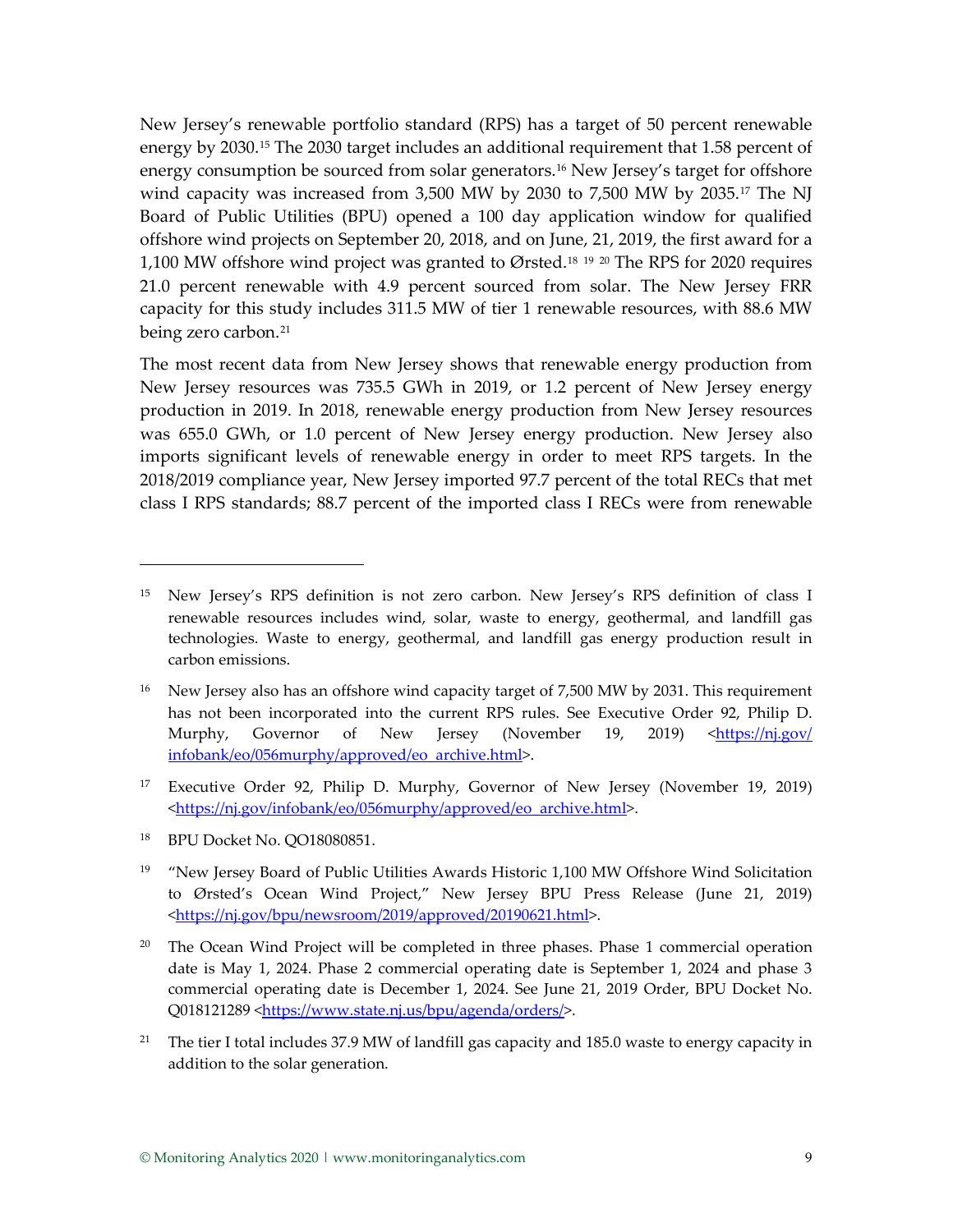New Jersey's renewable portfolio standard (RPS) has a target of 50 percent renewable energy by 2030.[15](#page-10-0) The 2030 target includes an additional requirement that 1.58 percent of energy consumption be sourced from solar generators.<sup>[16](#page-10-1)</sup> New Jersey's target for offshore wind capacity was increased from 3,500 MW by 2030 to 7,500 MW by 2035.<sup>[17](#page-10-2)</sup> The NJ Board of Public Utilities (BPU) opened a 100 day application window for qualified offshore wind projects on September 20, 2018, and on June, 21, 2019, the first award for a 1,100 MW offshore wind project was granted to Ørsted.<sup>[18](#page-10-3) [19](#page-10-4) [20](#page-10-5)</sup> The RPS for 2020 requires 21.0 percent renewable with 4.9 percent sourced from solar. The New Jersey FRR capacity for this study includes 311.5 MW of tier 1 renewable resources, with 88.6 MW being zero carbon.<sup>[21](#page-10-6)</sup>

The most recent data from New Jersey shows that renewable energy production from New Jersey resources was 735.5 GWh in 2019, or 1.2 percent of New Jersey energy production in 2019. In 2018, renewable energy production from New Jersey resources was 655.0 GWh, or 1.0 percent of New Jersey energy production. New Jersey also imports significant levels of renewable energy in order to meet RPS targets. In the 2018/2019 compliance year, New Jersey imported 97.7 percent of the total RECs that met class I RPS standards; 88.7 percent of the imported class I RECs were from renewable

<span id="page-10-0"></span><sup>15</sup> New Jersey's RPS definition is not zero carbon. New Jersey's RPS definition of class I renewable resources includes wind, solar, waste to energy, geothermal, and landfill gas technologies. Waste to energy, geothermal, and landfill gas energy production result in carbon emissions.

<span id="page-10-1"></span><sup>16</sup> New Jersey also has an offshore wind capacity target of 7,500 MW by 2031. This requirement has not been incorporated into the current RPS rules. See Executive Order 92, Philip D. Murphy, Governor of New Jersey (November 19, 2019) [<https://nj.gov/](https://nj.gov/infobank/eo/056murphy/approved/eo_archive.html) [infobank/eo/056murphy/approved/eo\\_archive.html>](https://nj.gov/infobank/eo/056murphy/approved/eo_archive.html).

<span id="page-10-2"></span><sup>&</sup>lt;sup>17</sup> Executive Order 92, Philip D. Murphy, Governor of New Jersey (November 19, 2019) [<https://nj.gov/infobank/eo/056murphy/approved/eo\\_archive.html>](https://nj.gov/infobank/eo/056murphy/approved/eo_archive.html).

<span id="page-10-3"></span><sup>18</sup> BPU Docket No. QO18080851.

<span id="page-10-4"></span><sup>19</sup> "New Jersey Board of Public Utilities Awards Historic 1,100 MW Offshore Wind Solicitation to Ørsted's Ocean Wind Project," New Jersey BPU Press Release (June 21, 2019) [<https://nj.gov/bpu/newsroom/2019/approved/20190621.html>](https://nj.gov/bpu/newsroom/2019/approved/20190621.html).

<span id="page-10-5"></span> $20$  The Ocean Wind Project will be completed in three phases. Phase 1 commercial operation date is May 1, 2024. Phase 2 commercial operating date is September 1, 2024 and phase 3 commercial operating date is December 1, 2024. See June 21, 2019 Order, BPU Docket No. Q018121289 [<https://www.state.nj.us/bpu/agenda/orders/>](https://www.state.nj.us/bpu/agenda/orders/).

<span id="page-10-6"></span><sup>&</sup>lt;sup>21</sup> The tier I total includes 37.9 MW of landfill gas capacity and 185.0 waste to energy capacity in addition to the solar generation.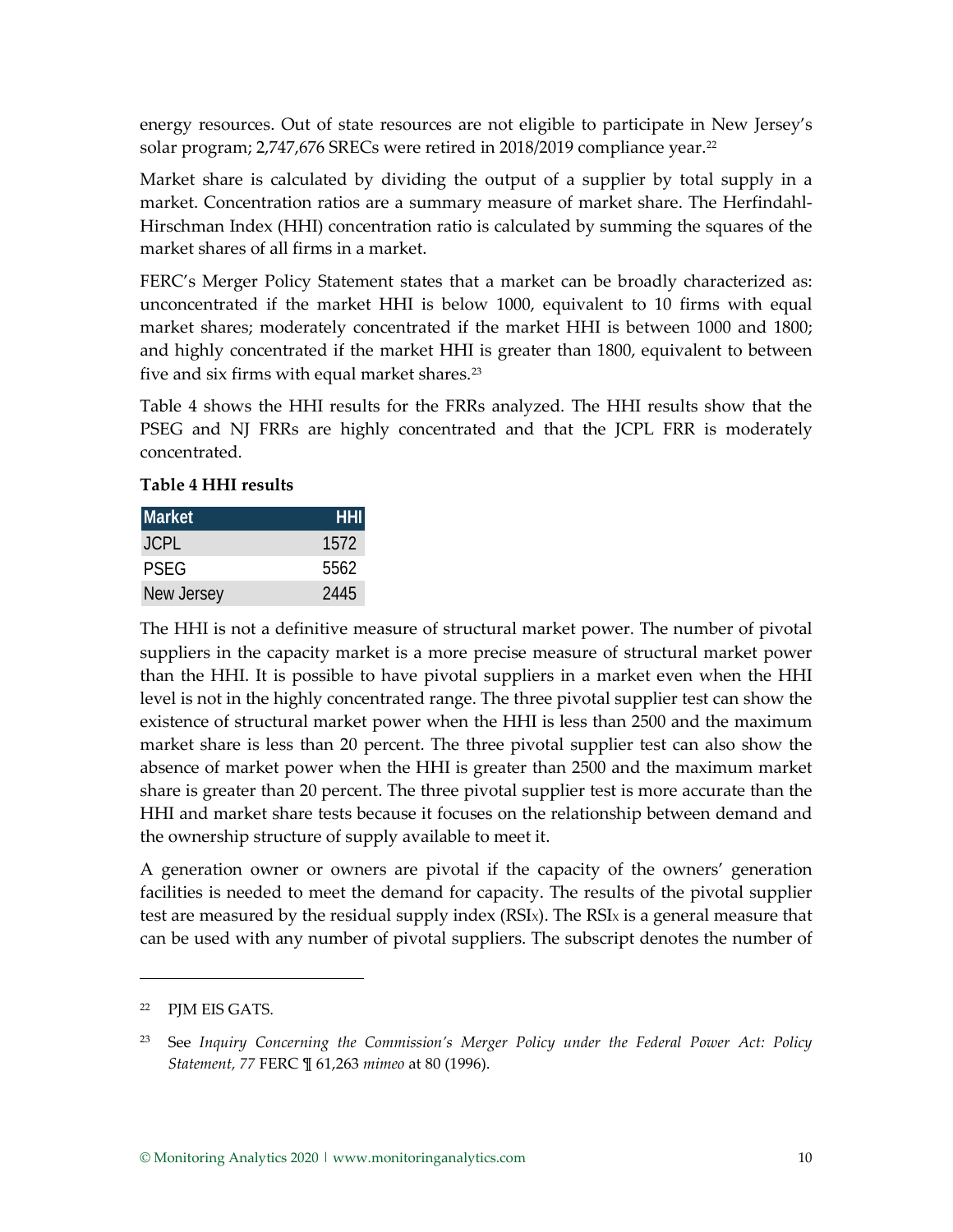energy resources. Out of state resources are not eligible to participate in New Jersey's solar program; 2,747,676 SRECs were retired in 2018/2019 compliance year.<sup>[22](#page-11-1)</sup>

Market share is calculated by dividing the output of a supplier by total supply in a market. Concentration ratios are a summary measure of market share. The Herfindahl-Hirschman Index (HHI) concentration ratio is calculated by summing the squares of the market shares of all firms in a market.

FERC's Merger Policy Statement states that a market can be broadly characterized as: unconcentrated if the market HHI is below 1000, equivalent to 10 firms with equal market shares; moderately concentrated if the market HHI is between 1000 and 1800; and highly concentrated if the market HHI is greater than 1800, equivalent to between five and six firms with equal market shares.[23](#page-11-2)

[Table 4](#page-11-0) shows the HHI results for the FRRs analyzed. The HHI results show that the PSEG and NJ FRRs are highly concentrated and that the JCPL FRR is moderately concentrated.

#### <span id="page-11-0"></span>**Table 4 HHI results**

| <b>Market</b> | <b>HHI</b> |
|---------------|------------|
| JCPL.         | 1572       |
| PSFG          | 5562       |
| New Jersey    | 2445       |

The HHI is not a definitive measure of structural market power. The number of pivotal suppliers in the capacity market is a more precise measure of structural market power than the HHI. It is possible to have pivotal suppliers in a market even when the HHI level is not in the highly concentrated range. The three pivotal supplier test can show the existence of structural market power when the HHI is less than 2500 and the maximum market share is less than 20 percent. The three pivotal supplier test can also show the absence of market power when the HHI is greater than 2500 and the maximum market share is greater than 20 percent. The three pivotal supplier test is more accurate than the HHI and market share tests because it focuses on the relationship between demand and the ownership structure of supply available to meet it.

A generation owner or owners are pivotal if the capacity of the owners' generation facilities is needed to meet the demand for capacity. The results of the pivotal supplier test are measured by the residual supply index (RSIx). The RSIx is a general measure that can be used with any number of pivotal suppliers. The subscript denotes the number of

l

<span id="page-11-1"></span><sup>22</sup> PJM EIS GATS.

<span id="page-11-2"></span><sup>23</sup> See *Inquiry Concerning the Commission's Merger Policy under the Federal Power Act: Policy Statement, 77* FERC ¶ 61,263 *mimeo* at 80 (1996).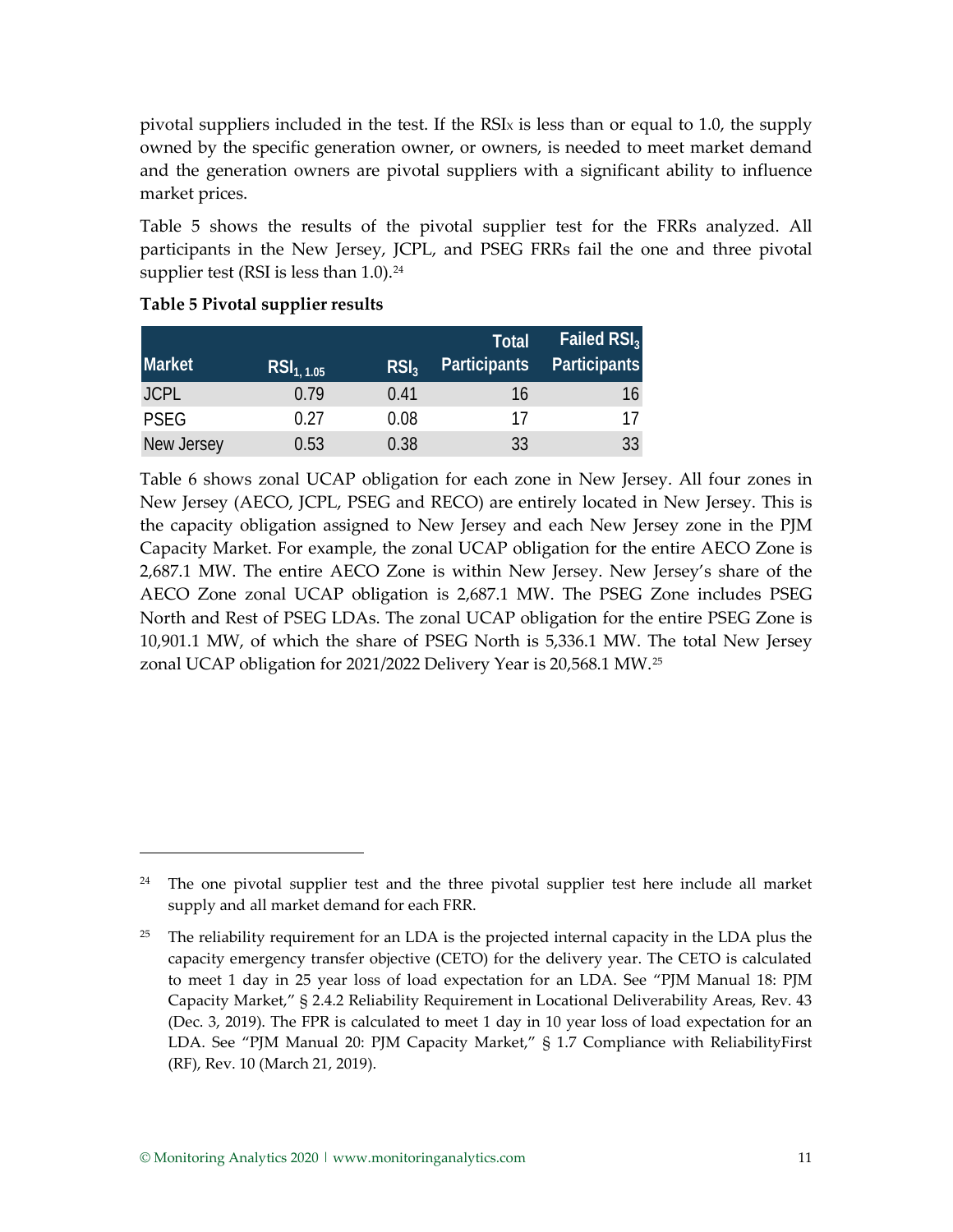pivotal suppliers included in the test. If the RSI $x$  is less than or equal to 1.0, the supply owned by the specific generation owner, or owners, is needed to meet market demand and the generation owners are pivotal suppliers with a significant ability to influence market prices.

[Table 5](#page-12-0) shows the results of the pivotal supplier test for the FRRs analyzed. All participants in the New Jersey, JCPL, and PSEG FRRs fail the one and three pivotal supplier test (RSI is less than  $1.0$ ).<sup>[24](#page-12-1)</sup>

| <b>Market</b> | $RSI_{1, 1.05}$ | <b>RSI</b> | Total<br>Participants | Failed $RSI_3$<br><b>Participants</b> |
|---------------|-----------------|------------|-----------------------|---------------------------------------|
| <b>JCPL</b>   | 0.79            | 0.41       | 16                    | 16                                    |
| <b>PSEG</b>   | 0.27            | 0.08       | 17                    | 17                                    |
| New Jersey    | 0.53            | 0.38       | 33                    | 33                                    |

#### <span id="page-12-0"></span>**Table 5 Pivotal supplier results**

l

[Table 6](#page-13-0) shows zonal UCAP obligation for each zone in New Jersey. All four zones in New Jersey (AECO, JCPL, PSEG and RECO) are entirely located in New Jersey. This is the capacity obligation assigned to New Jersey and each New Jersey zone in the PJM Capacity Market. For example, the zonal UCAP obligation for the entire AECO Zone is 2,687.1 MW. The entire AECO Zone is within New Jersey. New Jersey's share of the AECO Zone zonal UCAP obligation is 2,687.1 MW. The PSEG Zone includes PSEG North and Rest of PSEG LDAs. The zonal UCAP obligation for the entire PSEG Zone is 10,901.1 MW, of which the share of PSEG North is 5,336.1 MW. The total New Jersey zonal UCAP obligation for 2021/2022 Delivery Year is 20,568.1 MW.[25](#page-12-2)

<span id="page-12-1"></span><sup>&</sup>lt;sup>24</sup> The one pivotal supplier test and the three pivotal supplier test here include all market supply and all market demand for each FRR.

<span id="page-12-2"></span> $25$  The reliability requirement for an LDA is the projected internal capacity in the LDA plus the capacity emergency transfer objective (CETO) for the delivery year. The CETO is calculated to meet 1 day in 25 year loss of load expectation for an LDA. See "PJM Manual 18: PJM Capacity Market," § 2.4.2 Reliability Requirement in Locational Deliverability Areas, Rev. 43 (Dec. 3, 2019). The FPR is calculated to meet 1 day in 10 year loss of load expectation for an LDA. See "PJM Manual 20: PJM Capacity Market," § 1.7 Compliance with ReliabilityFirst (RF), Rev. 10 (March 21, 2019).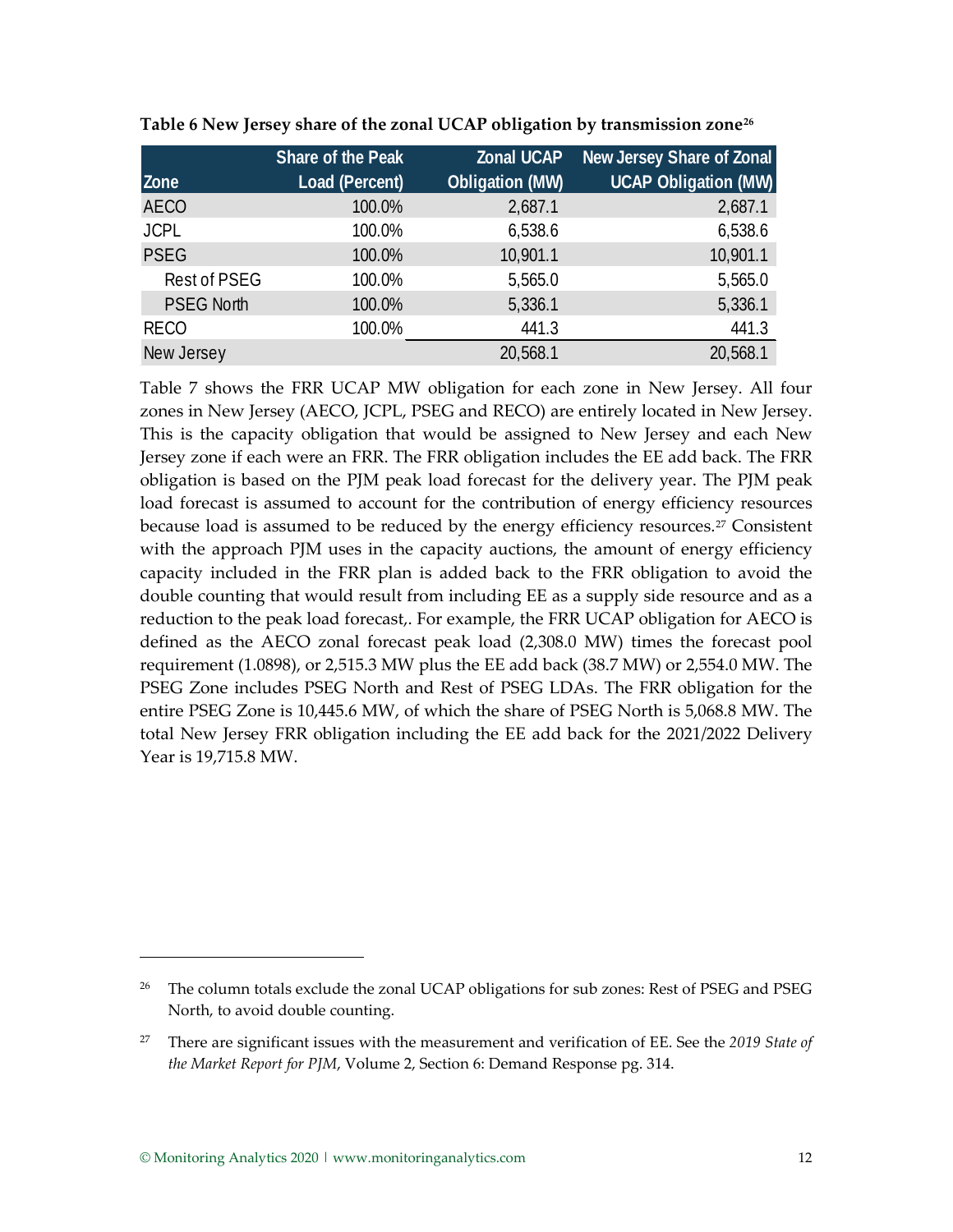|                   | Share of the Peak | Zonal UCAP             | New Jersey Share of Zonal   |
|-------------------|-------------------|------------------------|-----------------------------|
| <b>Zone</b>       | Load (Percent)    | <b>Obligation (MW)</b> | <b>UCAP Obligation (MW)</b> |
| <b>AECO</b>       | 100.0%            | 2,687.1                | 2,687.1                     |
| <b>JCPL</b>       | 100.0%            | 6,538.6                | 6,538.6                     |
| <b>PSEG</b>       | 100.0%            | 10,901.1               | 10,901.1                    |
| Rest of PSEG      | 100.0%            | 5,565.0                | 5,565.0                     |
| <b>PSEG North</b> | 100.0%            | 5,336.1                | 5,336.1                     |
| <b>RECO</b>       | 100.0%            | 441.3                  | 441.3                       |
| New Jersey        |                   | 20,568.1               | 20,568.1                    |

<span id="page-13-0"></span>**Table 6 New Jersey share of the zonal UCAP obligation by transmission zone[26](#page-13-1)**

[Table 7](#page-14-0) shows the FRR UCAP MW obligation for each zone in New Jersey. All four zones in New Jersey (AECO, JCPL, PSEG and RECO) are entirely located in New Jersey. This is the capacity obligation that would be assigned to New Jersey and each New Jersey zone if each were an FRR. The FRR obligation includes the EE add back. The FRR obligation is based on the PJM peak load forecast for the delivery year. The PJM peak load forecast is assumed to account for the contribution of energy efficiency resources because load is assumed to be reduced by the energy efficiency resources.[27](#page-13-2) Consistent with the approach PJM uses in the capacity auctions, the amount of energy efficiency capacity included in the FRR plan is added back to the FRR obligation to avoid the double counting that would result from including EE as a supply side resource and as a reduction to the peak load forecast,. For example, the FRR UCAP obligation for AECO is defined as the AECO zonal forecast peak load (2,308.0 MW) times the forecast pool requirement (1.0898), or 2,515.3 MW plus the EE add back (38.7 MW) or 2,554.0 MW. The PSEG Zone includes PSEG North and Rest of PSEG LDAs. The FRR obligation for the entire PSEG Zone is 10,445.6 MW, of which the share of PSEG North is 5,068.8 MW. The total New Jersey FRR obligation including the EE add back for the 2021/2022 Delivery Year is 19,715.8 MW.

<span id="page-13-1"></span><sup>&</sup>lt;sup>26</sup> The column totals exclude the zonal UCAP obligations for sub zones: Rest of PSEG and PSEG North, to avoid double counting.

<span id="page-13-2"></span><sup>27</sup> There are significant issues with the measurement and verification of EE. See the *2019 State of the Market Report for PJM*, Volume 2, Section 6: Demand Response pg. 314.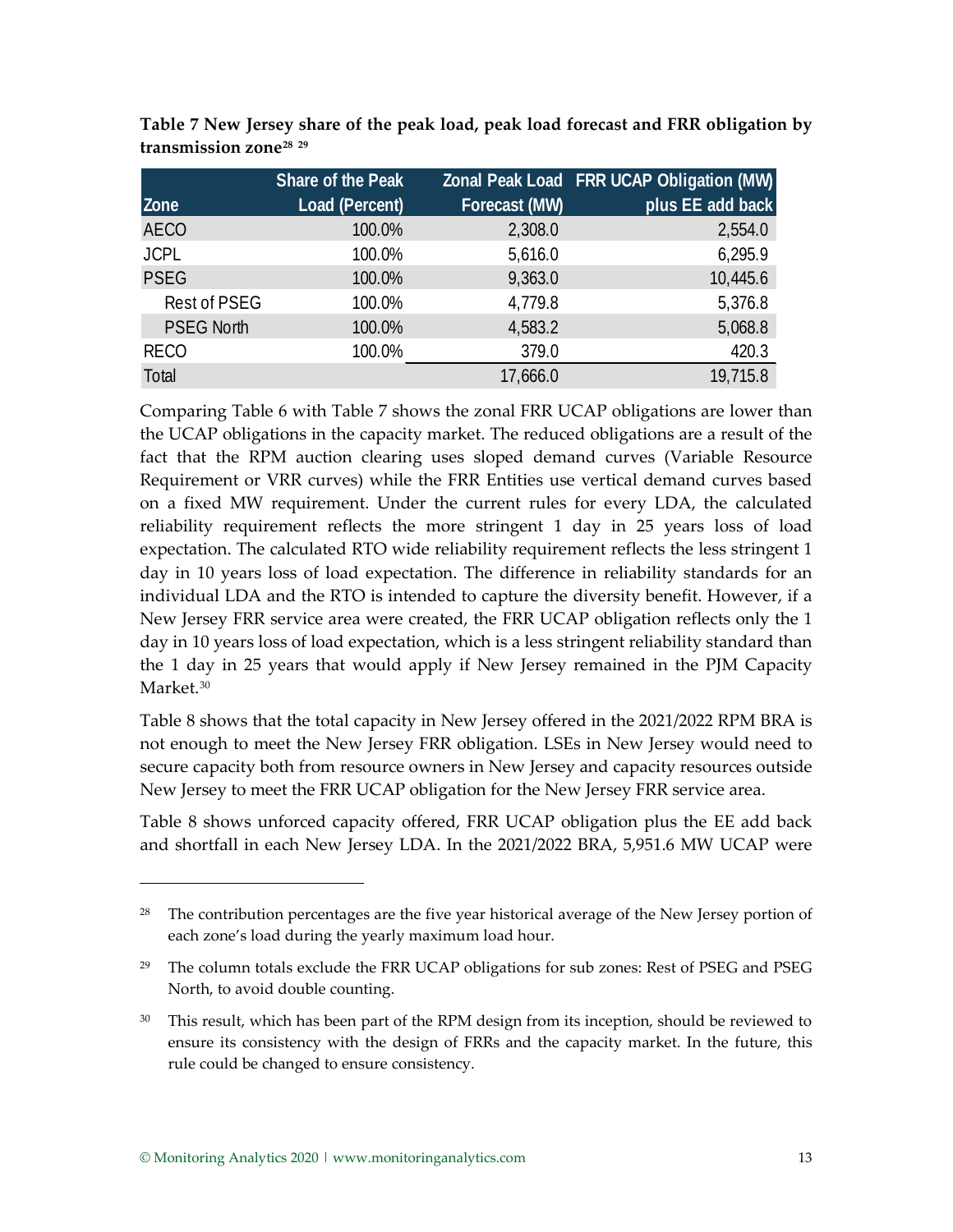|                   | Share of the Peak |               | Zonal Peak Load FRR UCAP Obligation (MW) |
|-------------------|-------------------|---------------|------------------------------------------|
| <b>Zone</b>       | Load (Percent)    | Forecast (MW) | plus EE add back                         |
| <b>AECO</b>       | 100.0%            | 2,308.0       | 2,554.0                                  |
| <b>JCPL</b>       | 100.0%            | 5,616.0       | 6,295.9                                  |
| <b>PSEG</b>       | 100.0%            | 9,363.0       | 10,445.6                                 |
| Rest of PSEG      | 100.0%            | 4,779.8       | 5,376.8                                  |
| <b>PSEG North</b> | 100.0%            | 4,583.2       | 5,068.8                                  |
| <b>RECO</b>       | 100.0%            | 379.0         | 420.3                                    |
| Total             |                   | 17,666.0      | 19,715.8                                 |

<span id="page-14-0"></span>**Table 7 New Jersey share of the peak load, peak load forecast and FRR obligation by transmission zone[28](#page-14-1) [29](#page-14-2)**

Comparing [Table 6](#page-13-0) with [Table 7](#page-14-0) shows the zonal FRR UCAP obligations are lower than the UCAP obligations in the capacity market. The reduced obligations are a result of the fact that the RPM auction clearing uses sloped demand curves (Variable Resource Requirement or VRR curves) while the FRR Entities use vertical demand curves based on a fixed MW requirement. Under the current rules for every LDA, the calculated reliability requirement reflects the more stringent 1 day in 25 years loss of load expectation. The calculated RTO wide reliability requirement reflects the less stringent 1 day in 10 years loss of load expectation. The difference in reliability standards for an individual LDA and the RTO is intended to capture the diversity benefit. However, if a New Jersey FRR service area were created, the FRR UCAP obligation reflects only the 1 day in 10 years loss of load expectation, which is a less stringent reliability standard than the 1 day in 25 years that would apply if New Jersey remained in the PJM Capacity Market.<sup>[30](#page-14-3)</sup>

[Table 8](#page-15-0) shows that the total capacity in New Jersey offered in the 2021/2022 RPM BRA is not enough to meet the New Jersey FRR obligation. LSEs in New Jersey would need to secure capacity both from resource owners in New Jersey and capacity resources outside New Jersey to meet the FRR UCAP obligation for the New Jersey FRR service area.

[Table 8](#page-15-0) shows unforced capacity offered, FRR UCAP obligation plus the EE add back and shortfall in each New Jersey LDA. In the 2021/2022 BRA, 5,951.6 MW UCAP were

<span id="page-14-1"></span><sup>&</sup>lt;sup>28</sup> The contribution percentages are the five year historical average of the New Jersey portion of each zone's load during the yearly maximum load hour.

<span id="page-14-2"></span><sup>&</sup>lt;sup>29</sup> The column totals exclude the FRR UCAP obligations for sub zones: Rest of PSEG and PSEG North, to avoid double counting.

<span id="page-14-3"></span><sup>&</sup>lt;sup>30</sup> This result, which has been part of the RPM design from its inception, should be reviewed to ensure its consistency with the design of FRRs and the capacity market. In the future, this rule could be changed to ensure consistency.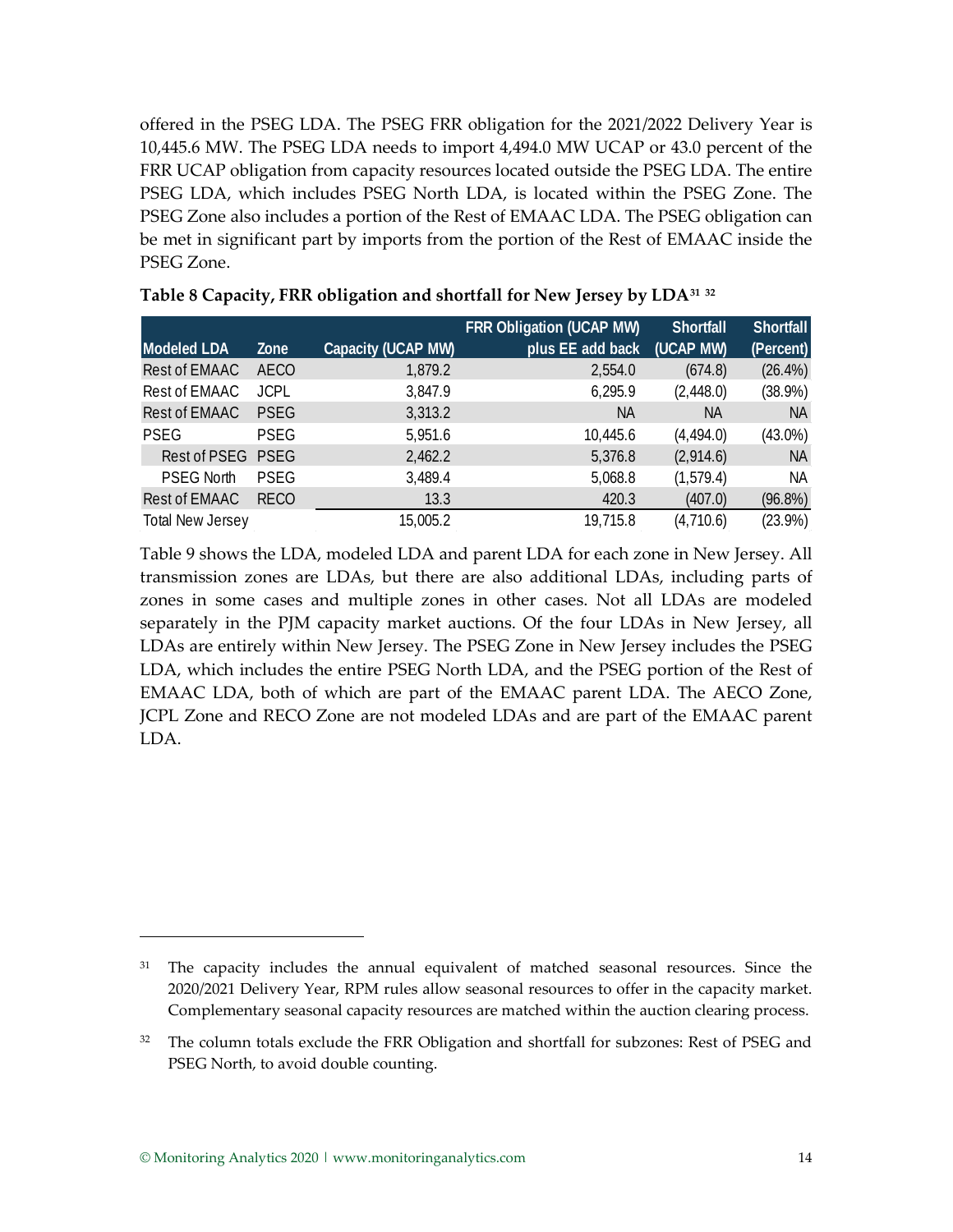offered in the PSEG LDA. The PSEG FRR obligation for the 2021/2022 Delivery Year is 10,445.6 MW. The PSEG LDA needs to import 4,494.0 MW UCAP or 43.0 percent of the FRR UCAP obligation from capacity resources located outside the PSEG LDA. The entire PSEG LDA, which includes PSEG North LDA, is located within the PSEG Zone. The PSEG Zone also includes a portion of the Rest of EMAAC LDA. The PSEG obligation can be met in significant part by imports from the portion of the Rest of EMAAC inside the PSEG Zone.

|                         |             |                    | FRR Obligation (UCAP MW) | <b>Shortfall</b> | <b>Shortfall</b> |
|-------------------------|-------------|--------------------|--------------------------|------------------|------------------|
| <b>Modeled LDA</b>      | Zone        | Capacity (UCAP MW) | plus EE add back         | (UCAP MW)        | (Percent)        |
| <b>Rest of EMAAC</b>    | <b>AECO</b> | 1,879.2            | 2,554.0                  | (674.8)          | $(26.4\%)$       |
| Rest of EMAAC           | <b>JCPL</b> | 3,847.9            | 6,295.9                  | (2,448.0)        | $(38.9\%)$       |
| Rest of EMAAC           | <b>PSEG</b> | 3,313.2            | <b>NA</b>                | <b>NA</b>        | <b>NA</b>        |
| <b>PSEG</b>             | <b>PSEG</b> | 5,951.6            | 10,445.6                 | (4,494.0)        | $(43.0\%)$       |
| Rest of PSEG PSEG       |             | 2,462.2            | 5,376.8                  | (2,914.6)        | <b>NA</b>        |
| <b>PSEG North</b>       | <b>PSEG</b> | 3,489.4            | 5,068.8                  | (1, 579.4)       | NA.              |
| Rest of EMAAC           | <b>RECO</b> | 13.3               | 420.3                    | (407.0)          | $(96.8\%)$       |
| <b>Total New Jersey</b> |             | 15,005.2           | 19,715.8                 | (4,710.6)        | $(23.9\%)$       |

#### <span id="page-15-0"></span>**Table 8 Capacity, FRR obligation and shortfall for New Jersey by LDA[31](#page-15-1) [32](#page-15-2)**

[Table 9](#page-16-0) shows the LDA, modeled LDA and parent LDA for each zone in New Jersey. All transmission zones are LDAs, but there are also additional LDAs, including parts of zones in some cases and multiple zones in other cases. Not all LDAs are modeled separately in the PJM capacity market auctions. Of the four LDAs in New Jersey, all LDAs are entirely within New Jersey. The PSEG Zone in New Jersey includes the PSEG LDA, which includes the entire PSEG North LDA, and the PSEG portion of the Rest of EMAAC LDA, both of which are part of the EMAAC parent LDA. The AECO Zone, JCPL Zone and RECO Zone are not modeled LDAs and are part of the EMAAC parent LDA.

l

<span id="page-15-1"></span><sup>&</sup>lt;sup>31</sup> The capacity includes the annual equivalent of matched seasonal resources. Since the 2020/2021 Delivery Year, RPM rules allow seasonal resources to offer in the capacity market. Complementary seasonal capacity resources are matched within the auction clearing process.

<span id="page-15-2"></span><sup>&</sup>lt;sup>32</sup> The column totals exclude the FRR Obligation and shortfall for subzones: Rest of PSEG and PSEG North, to avoid double counting.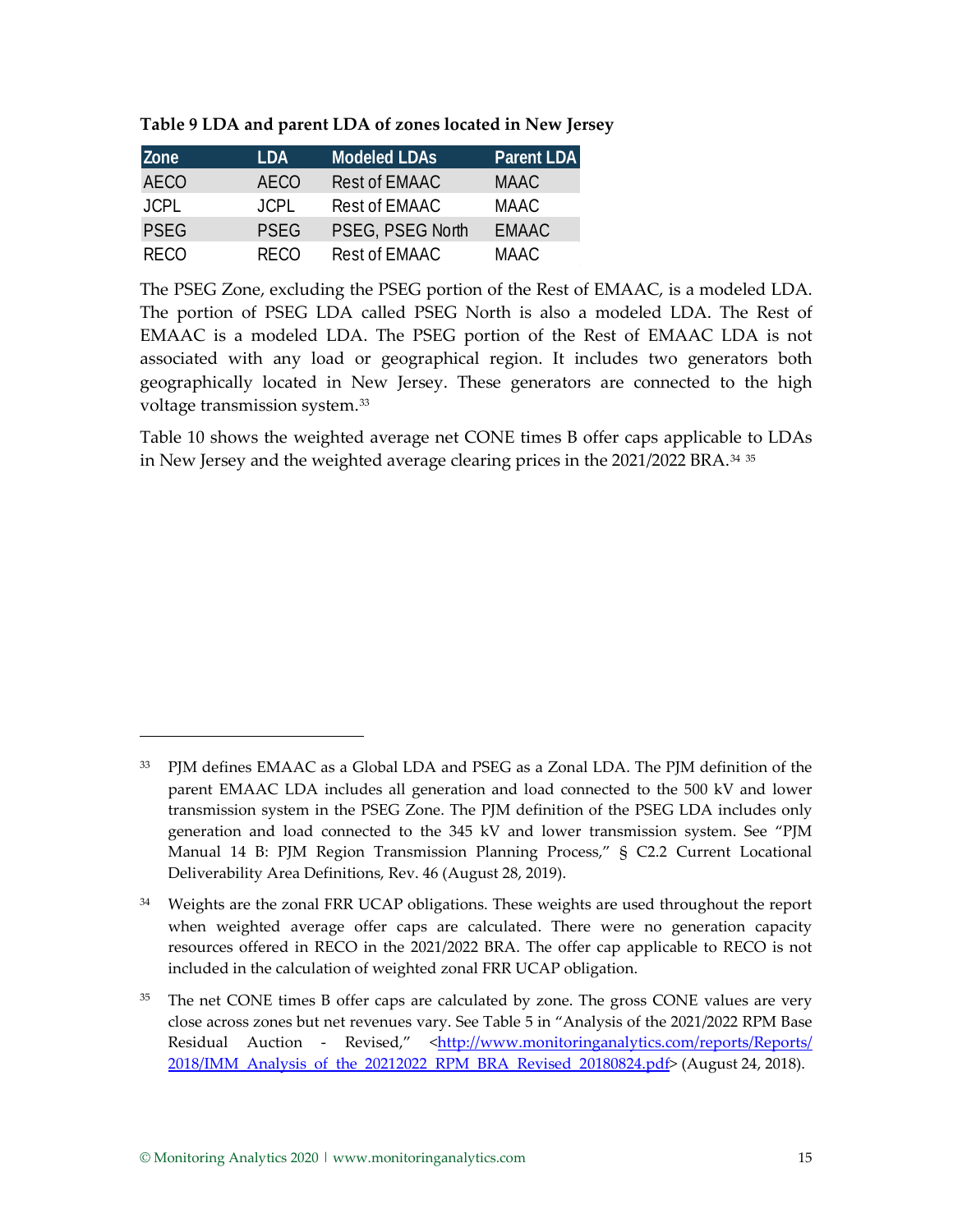| <b>Zone</b> | LDA.        | <b>Modeled LDAs</b>  | <b>Parent LDA</b> |
|-------------|-------------|----------------------|-------------------|
| <b>AECO</b> | AECO        | Rest of EMAAC        | <b>MAAC</b>       |
| <b>JCPL</b> | ICPI.       | <b>Rest of EMAAC</b> | MAAC              |
| <b>PSEG</b> | <b>PSEG</b> | PSEG, PSEG North     | <b>EMAAC</b>      |
| <b>RECO</b> | RFCO        | <b>Rest of EMAAC</b> | MAAC              |

<span id="page-16-0"></span>**Table 9 LDA and parent LDA of zones located in New Jersey**

The PSEG Zone, excluding the PSEG portion of the Rest of EMAAC, is a modeled LDA. The portion of PSEG LDA called PSEG North is also a modeled LDA. The Rest of EMAAC is a modeled LDA. The PSEG portion of the Rest of EMAAC LDA is not associated with any load or geographical region. It includes two generators both geographically located in New Jersey. These generators are connected to the high voltage transmission system.[33](#page-16-1)

[Table 10](#page-17-0) shows the weighted average net CONE times B offer caps applicable to LDAs in New Jersey and the weighted average clearing prices in the 2021/2022 BRA.<sup>[34](#page-16-2) [35](#page-16-3)</sup>

<span id="page-16-1"></span><sup>&</sup>lt;sup>33</sup> PJM defines EMAAC as a Global LDA and PSEG as a Zonal LDA. The PJM definition of the parent EMAAC LDA includes all generation and load connected to the 500 kV and lower transmission system in the PSEG Zone. The PJM definition of the PSEG LDA includes only generation and load connected to the 345 kV and lower transmission system. See "PJM Manual 14 B: PJM Region Transmission Planning Process," § C2.2 Current Locational Deliverability Area Definitions, Rev. 46 (August 28, 2019).

<span id="page-16-2"></span><sup>&</sup>lt;sup>34</sup> Weights are the zonal FRR UCAP obligations. These weights are used throughout the report when weighted average offer caps are calculated. There were no generation capacity resources offered in RECO in the 2021/2022 BRA. The offer cap applicable to RECO is not included in the calculation of weighted zonal FRR UCAP obligation.

<span id="page-16-3"></span>The net CONE times B offer caps are calculated by zone. The gross CONE values are very close across zones but net revenues vary. See Table 5 in "Analysis of the 2021/2022 RPM Base Residual Auction - Revised," [<http://www.monitoringanalytics.com/reports/Reports/](http://www.monitoringanalytics.com/reports/Reports/2018/IMM_Analysis_of_the_20212022_RPM_BRA_Revised_20180824.pdf) [2018/IMM\\_Analysis\\_of\\_the\\_20212022\\_RPM\\_BRA\\_Revised\\_20180824.pdf>](http://www.monitoringanalytics.com/reports/Reports/2018/IMM_Analysis_of_the_20212022_RPM_BRA_Revised_20180824.pdf) (August 24, 2018).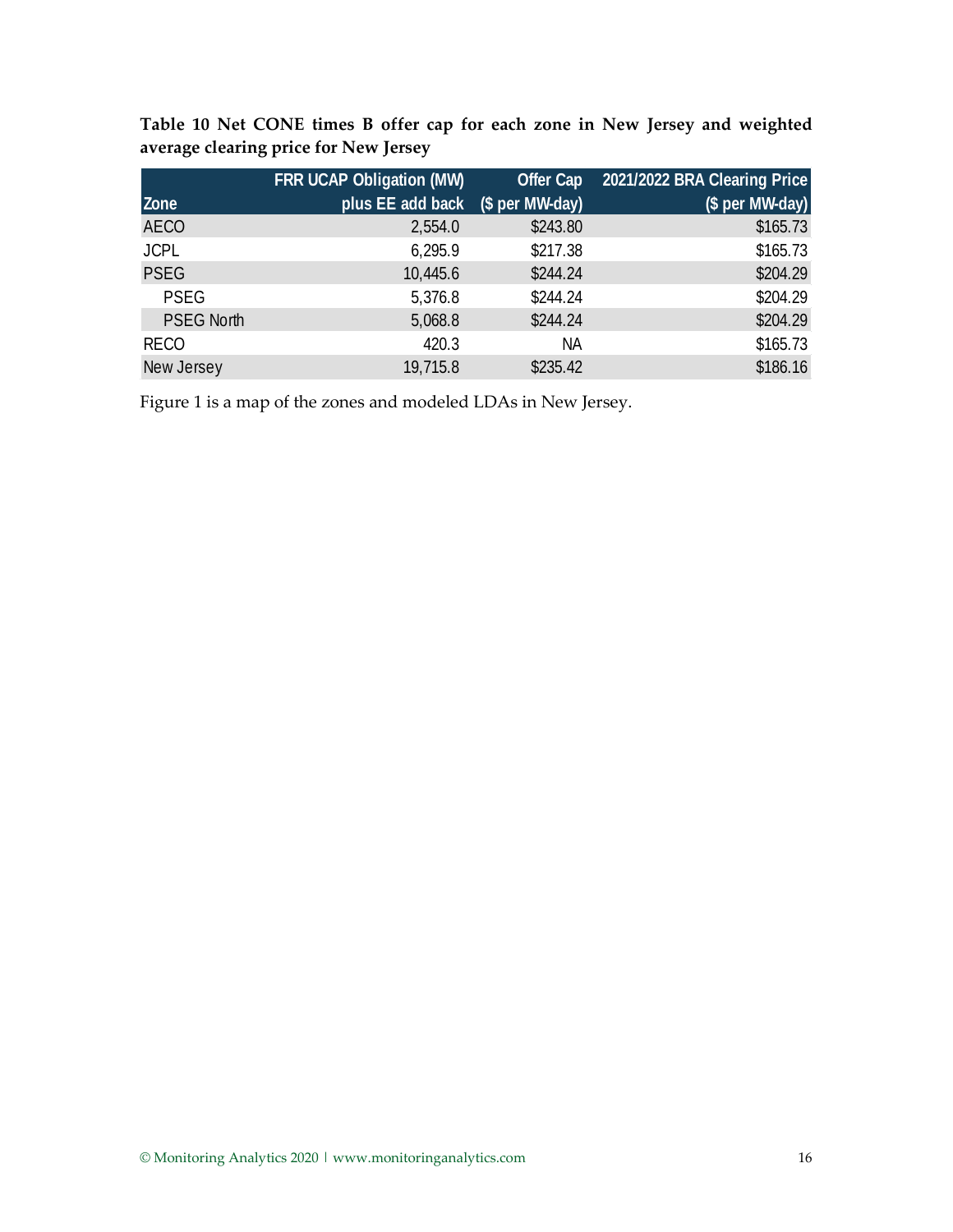|                   | <b>FRR UCAP Obligation (MW)</b> | Offer Cap       | 2021/2022 BRA Clearing Price |
|-------------------|---------------------------------|-----------------|------------------------------|
| <b>Zone</b>       | plus EE add back                | (\$ per MW-day) | (\$ per MW-day)              |
| <b>AECO</b>       | 2,554.0                         | \$243.80        | \$165.73                     |
| <b>JCPL</b>       | 6,295.9                         | \$217.38        | \$165.73                     |
| <b>PSEG</b>       | 10,445.6                        | \$244.24        | \$204.29                     |
| <b>PSEG</b>       | 5,376.8                         | \$244.24        | \$204.29                     |
| <b>PSEG North</b> | 5,068.8                         | \$244.24        | \$204.29                     |
| <b>RECO</b>       | 420.3                           | <b>NA</b>       | \$165.73                     |
| New Jersey        | 19,715.8                        | \$235.42        | \$186.16                     |

<span id="page-17-0"></span>**Table 10 Net CONE times B offer cap for each zone in New Jersey and weighted average clearing price for New Jersey**

[Figure 1](#page-18-0) is a map of the zones and modeled LDAs in New Jersey.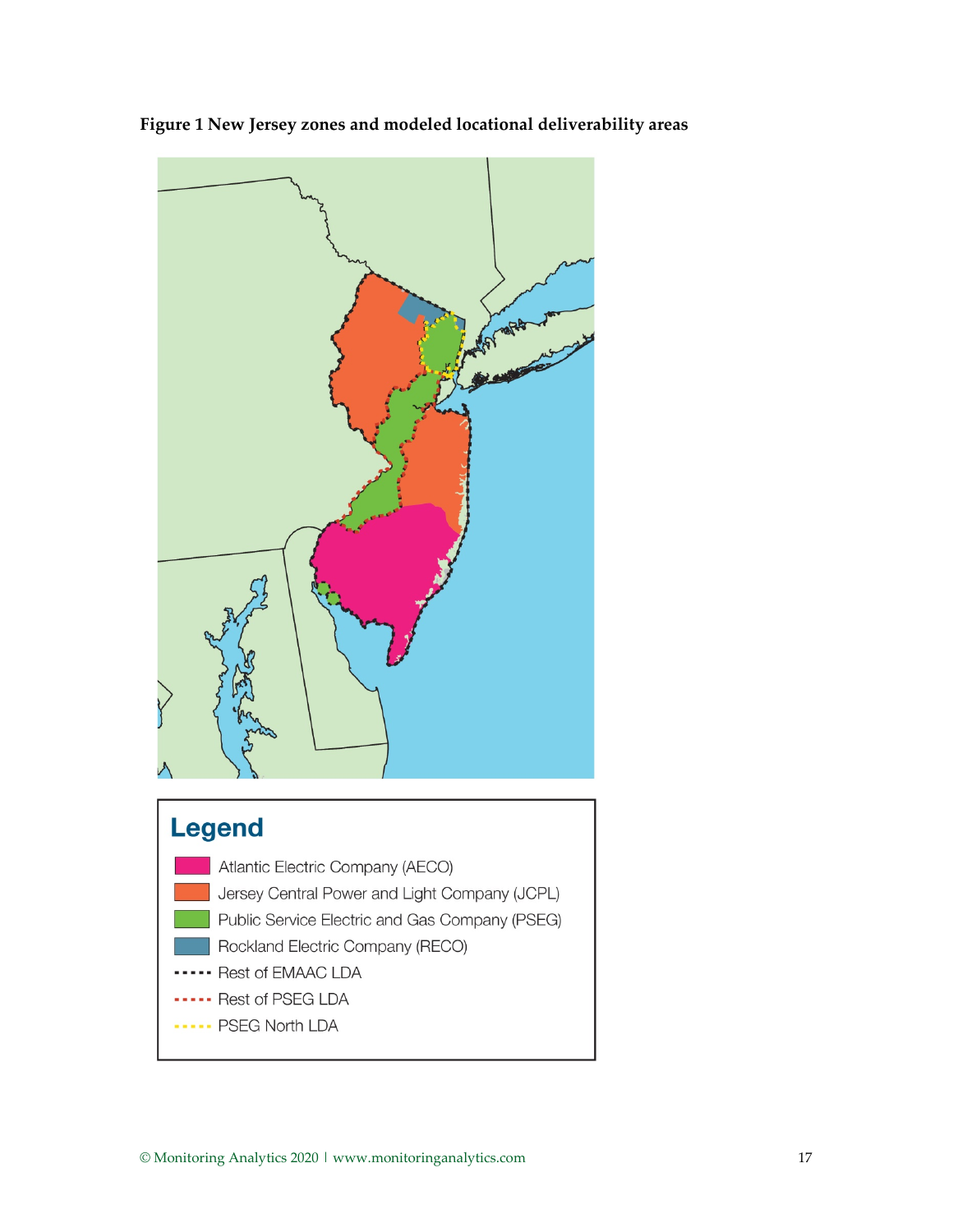

<span id="page-18-0"></span>**Figure 1 New Jersey zones and modeled locational deliverability areas**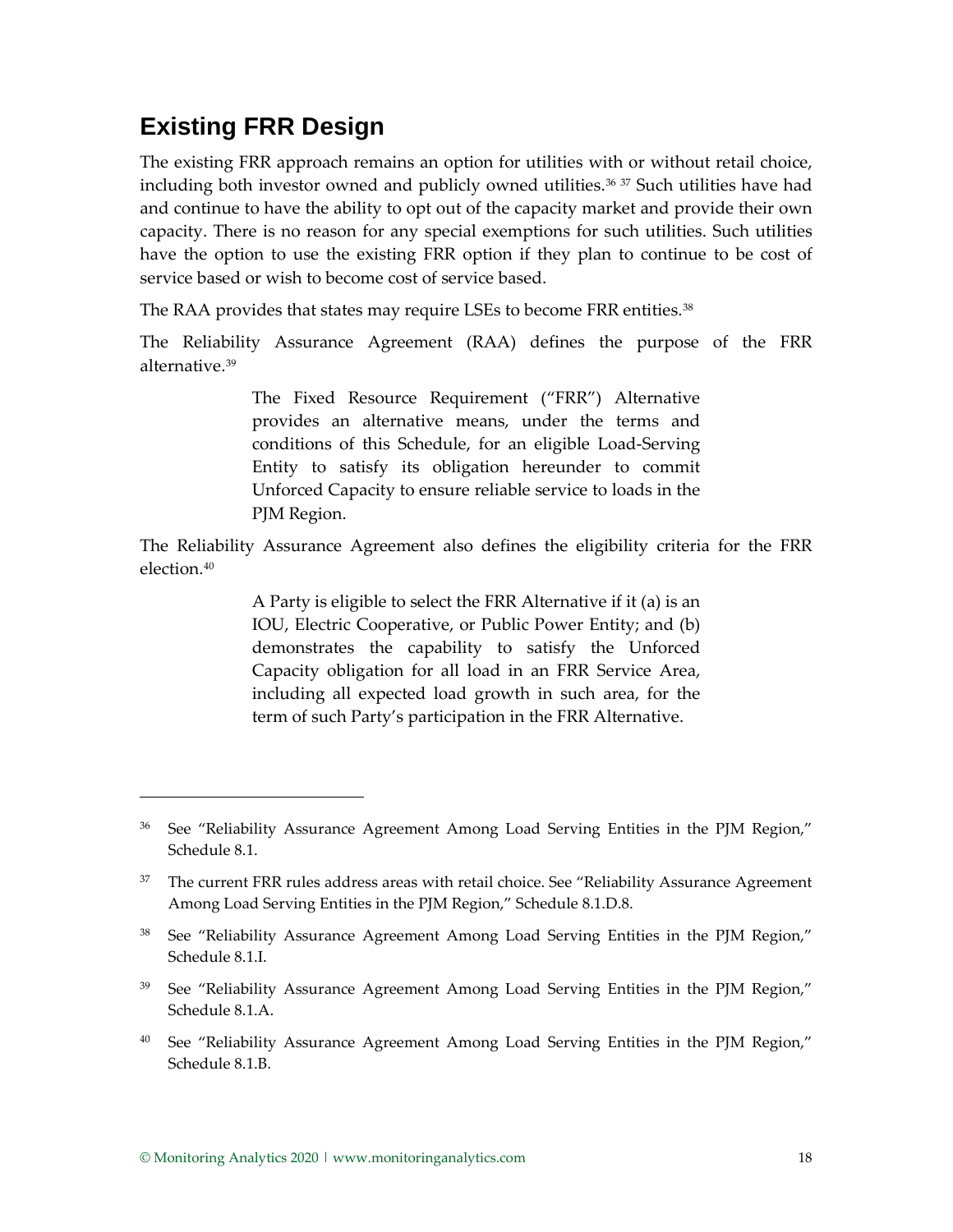# **Existing FRR Design**

 $\overline{a}$ 

The existing FRR approach remains an option for utilities with or without retail choice, including both investor owned and publicly owned utilities.<sup>36 [37](#page-19-1)</sup> Such utilities have had and continue to have the ability to opt out of the capacity market and provide their own capacity. There is no reason for any special exemptions for such utilities. Such utilities have the option to use the existing FRR option if they plan to continue to be cost of service based or wish to become cost of service based.

The RAA provides that states may require LSEs to become FRR entities.<sup>[38](#page-19-2)</sup>

The Reliability Assurance Agreement (RAA) defines the purpose of the FRR alternative.[39](#page-19-3)

> The Fixed Resource Requirement ("FRR") Alternative provides an alternative means, under the terms and conditions of this Schedule, for an eligible Load-Serving Entity to satisfy its obligation hereunder to commit Unforced Capacity to ensure reliable service to loads in the PJM Region.

The Reliability Assurance Agreement also defines the eligibility criteria for the FRR election.[40](#page-19-4)

> A Party is eligible to select the FRR Alternative if it (a) is an IOU, Electric Cooperative, or Public Power Entity; and (b) demonstrates the capability to satisfy the Unforced Capacity obligation for all load in an FRR Service Area, including all expected load growth in such area, for the term of such Party's participation in the FRR Alternative.

- <span id="page-19-3"></span><sup>39</sup> See "Reliability Assurance Agreement Among Load Serving Entities in the PJM Region," Schedule 8.1.A.
- <span id="page-19-4"></span><sup>40</sup> See "Reliability Assurance Agreement Among Load Serving Entities in the PJM Region," Schedule 8.1.B.

<span id="page-19-0"></span><sup>&</sup>lt;sup>36</sup> See "Reliability Assurance Agreement Among Load Serving Entities in the PJM Region," Schedule 8.1.

<span id="page-19-1"></span><sup>&</sup>lt;sup>37</sup> The current FRR rules address areas with retail choice. See "Reliability Assurance Agreement Among Load Serving Entities in the PJM Region," Schedule 8.1.D.8.

<span id="page-19-2"></span><sup>&</sup>lt;sup>38</sup> See "Reliability Assurance Agreement Among Load Serving Entities in the PJM Region," Schedule 8.1.I.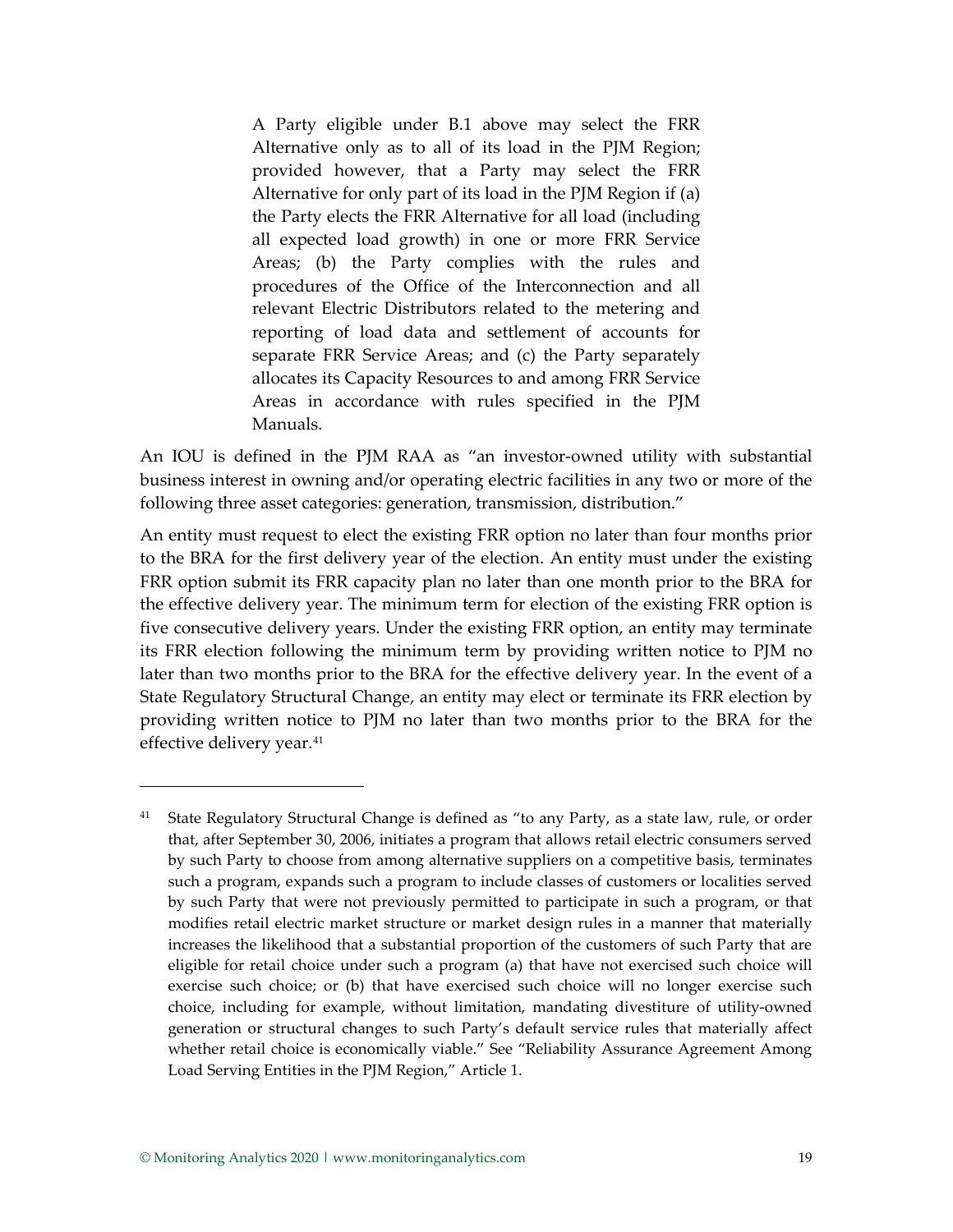A Party eligible under B.1 above may select the FRR Alternative only as to all of its load in the PJM Region; provided however, that a Party may select the FRR Alternative for only part of its load in the PJM Region if (a) the Party elects the FRR Alternative for all load (including all expected load growth) in one or more FRR Service Areas; (b) the Party complies with the rules and procedures of the Office of the Interconnection and all relevant Electric Distributors related to the metering and reporting of load data and settlement of accounts for separate FRR Service Areas; and (c) the Party separately allocates its Capacity Resources to and among FRR Service Areas in accordance with rules specified in the PJM Manuals.

An IOU is defined in the PJM RAA as "an investor-owned utility with substantial business interest in owning and/or operating electric facilities in any two or more of the following three asset categories: generation, transmission, distribution."

An entity must request to elect the existing FRR option no later than four months prior to the BRA for the first delivery year of the election. An entity must under the existing FRR option submit its FRR capacity plan no later than one month prior to the BRA for the effective delivery year. The minimum term for election of the existing FRR option is five consecutive delivery years. Under the existing FRR option, an entity may terminate its FRR election following the minimum term by providing written notice to PJM no later than two months prior to the BRA for the effective delivery year. In the event of a State Regulatory Structural Change, an entity may elect or terminate its FRR election by providing written notice to PJM no later than two months prior to the BRA for the effective delivery year.<sup>[41](#page-20-0)</sup>

<span id="page-20-0"></span><sup>&</sup>lt;sup>41</sup> State Regulatory Structural Change is defined as "to any Party, as a state law, rule, or order that, after September 30, 2006, initiates a program that allows retail electric consumers served by such Party to choose from among alternative suppliers on a competitive basis, terminates such a program, expands such a program to include classes of customers or localities served by such Party that were not previously permitted to participate in such a program, or that modifies retail electric market structure or market design rules in a manner that materially increases the likelihood that a substantial proportion of the customers of such Party that are eligible for retail choice under such a program (a) that have not exercised such choice will exercise such choice; or (b) that have exercised such choice will no longer exercise such choice, including for example, without limitation, mandating divestiture of utility-owned generation or structural changes to such Party's default service rules that materially affect whether retail choice is economically viable." See "Reliability Assurance Agreement Among Load Serving Entities in the PJM Region," Article 1.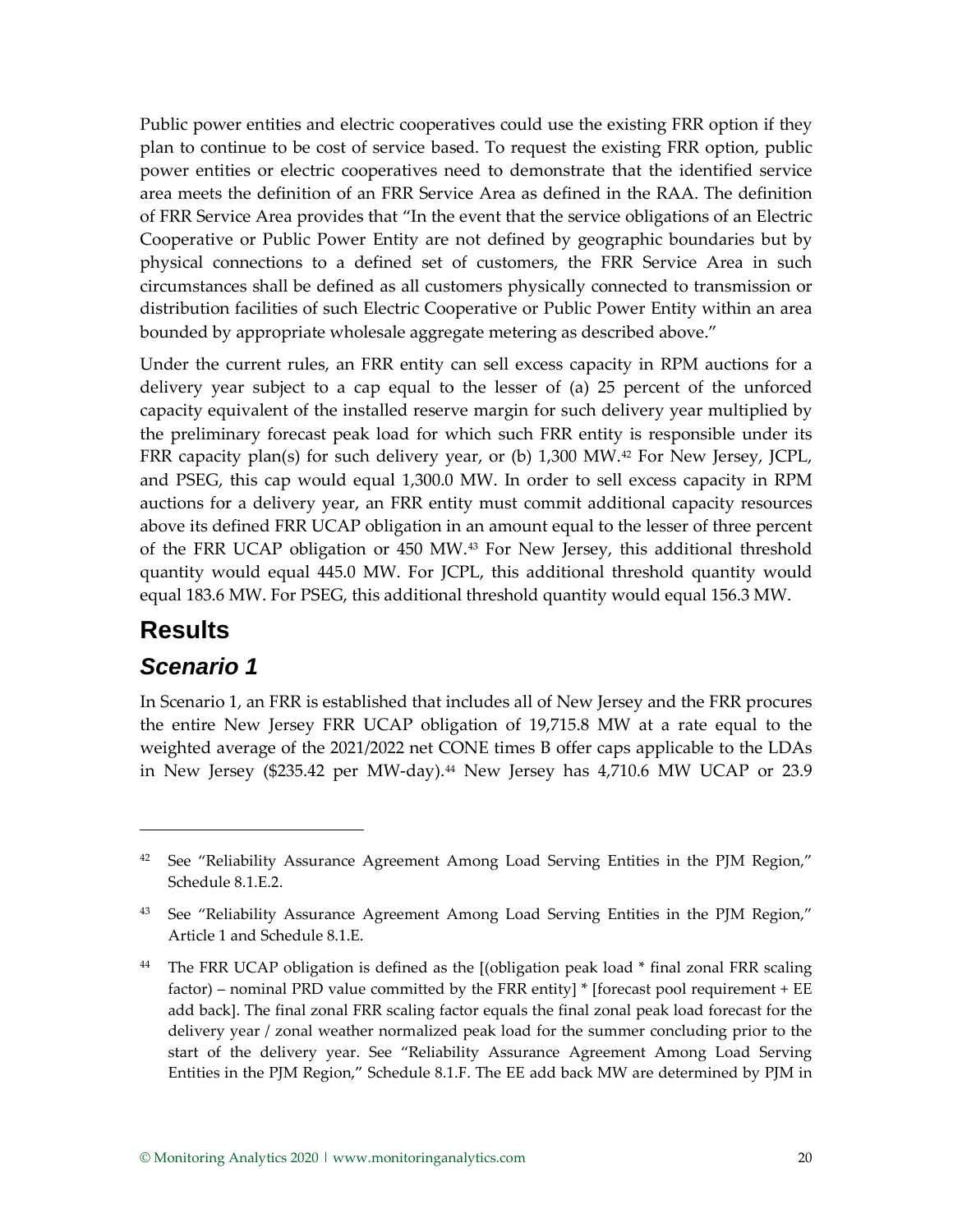Public power entities and electric cooperatives could use the existing FRR option if they plan to continue to be cost of service based. To request the existing FRR option, public power entities or electric cooperatives need to demonstrate that the identified service area meets the definition of an FRR Service Area as defined in the RAA. The definition of FRR Service Area provides that "In the event that the service obligations of an Electric Cooperative or Public Power Entity are not defined by geographic boundaries but by physical connections to a defined set of customers, the FRR Service Area in such circumstances shall be defined as all customers physically connected to transmission or distribution facilities of such Electric Cooperative or Public Power Entity within an area bounded by appropriate wholesale aggregate metering as described above."

Under the current rules, an FRR entity can sell excess capacity in RPM auctions for a delivery year subject to a cap equal to the lesser of (a) 25 percent of the unforced capacity equivalent of the installed reserve margin for such delivery year multiplied by the preliminary forecast peak load for which such FRR entity is responsible under its FRR capacity plan(s) for such delivery year, or (b) 1,300 MW[.42](#page-21-0) For New Jersey, JCPL, and PSEG, this cap would equal 1,300.0 MW. In order to sell excess capacity in RPM auctions for a delivery year, an FRR entity must commit additional capacity resources above its defined FRR UCAP obligation in an amount equal to the lesser of three percent of the FRR UCAP obligation or 450 MW.[43](#page-21-1) For New Jersey, this additional threshold quantity would equal 445.0 MW. For JCPL, this additional threshold quantity would equal 183.6 MW. For PSEG, this additional threshold quantity would equal 156.3 MW.

# **Results**

 $\overline{a}$ 

### *Scenario 1*

In Scenario 1, an FRR is established that includes all of New Jersey and the FRR procures the entire New Jersey FRR UCAP obligation of 19,715.8 MW at a rate equal to the weighted average of the 2021/2022 net CONE times B offer caps applicable to the LDAs in New Jersey (\$235.42 per MW-day).<sup>[44](#page-21-2)</sup> New Jersey has 4,710.6 MW UCAP or 23.9

<span id="page-21-0"></span><sup>&</sup>lt;sup>42</sup> See "Reliability Assurance Agreement Among Load Serving Entities in the PJM Region," Schedule 8.1.E.2.

<span id="page-21-1"></span><sup>&</sup>lt;sup>43</sup> See "Reliability Assurance Agreement Among Load Serving Entities in the PJM Region," Article 1 and Schedule 8.1.E.

<span id="page-21-2"></span><sup>&</sup>lt;sup>44</sup> The FRR UCAP obligation is defined as the [(obligation peak load \* final zonal FRR scaling factor) – nominal PRD value committed by the FRR entity]  $*$  [forecast pool requirement + EE add back]. The final zonal FRR scaling factor equals the final zonal peak load forecast for the delivery year / zonal weather normalized peak load for the summer concluding prior to the start of the delivery year. See "Reliability Assurance Agreement Among Load Serving Entities in the PJM Region," Schedule 8.1.F. The EE add back MW are determined by PJM in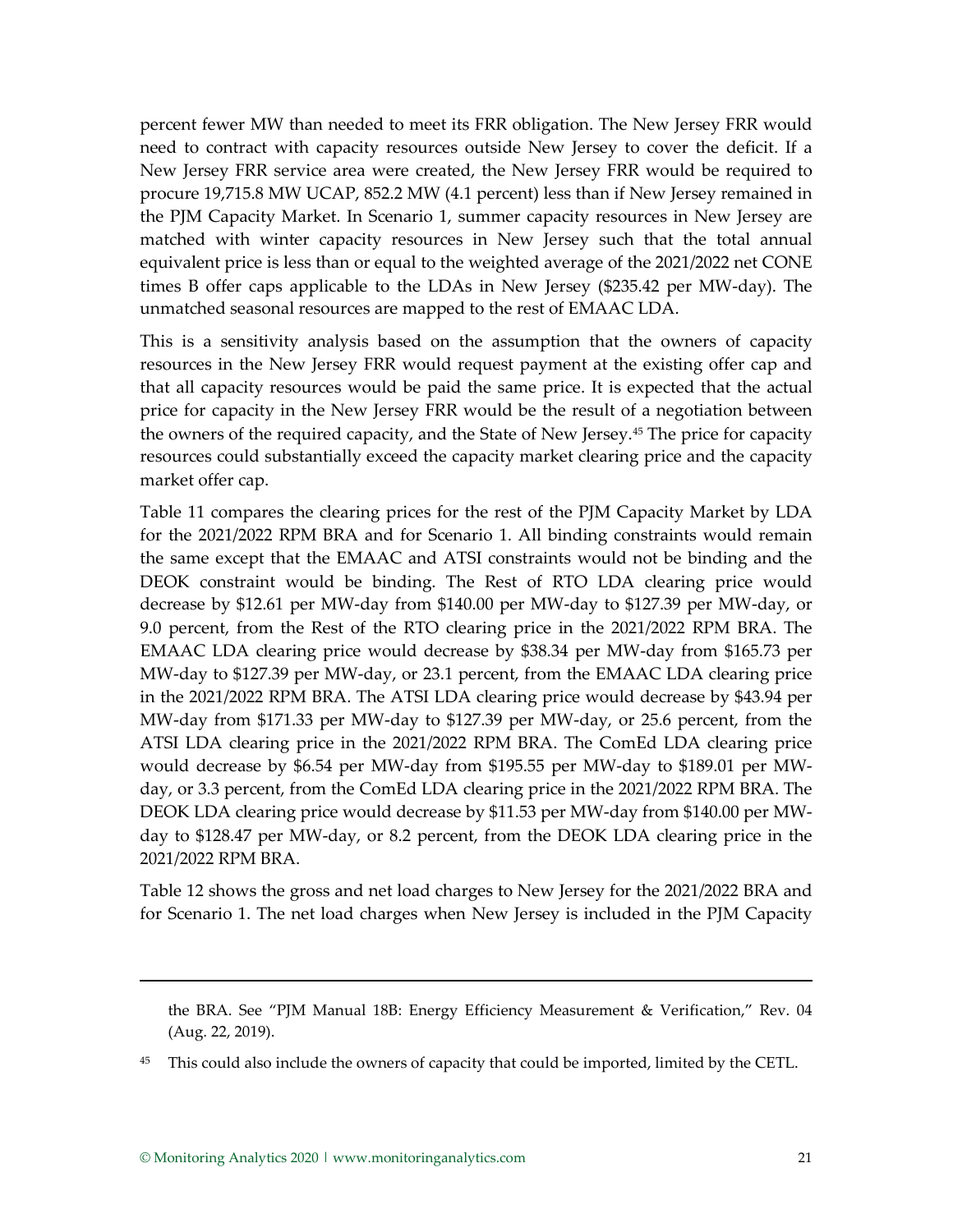percent fewer MW than needed to meet its FRR obligation. The New Jersey FRR would need to contract with capacity resources outside New Jersey to cover the deficit. If a New Jersey FRR service area were created, the New Jersey FRR would be required to procure 19,715.8 MW UCAP, 852.2 MW (4.1 percent) less than if New Jersey remained in the PJM Capacity Market. In Scenario 1, summer capacity resources in New Jersey are matched with winter capacity resources in New Jersey such that the total annual equivalent price is less than or equal to the weighted average of the 2021/2022 net CONE times B offer caps applicable to the LDAs in New Jersey (\$235.42 per MW-day). The unmatched seasonal resources are mapped to the rest of EMAAC LDA.

This is a sensitivity analysis based on the assumption that the owners of capacity resources in the New Jersey FRR would request payment at the existing offer cap and that all capacity resources would be paid the same price. It is expected that the actual price for capacity in the New Jersey FRR would be the result of a negotiation between the owners of the required capacity, and the State of New Jersey.[45](#page-22-0) The price for capacity resources could substantially exceed the capacity market clearing price and the capacity market offer cap.

[Table 11](#page-24-0) compares the clearing prices for the rest of the PJM Capacity Market by LDA for the 2021/2022 RPM BRA and for Scenario 1. All binding constraints would remain the same except that the EMAAC and ATSI constraints would not be binding and the DEOK constraint would be binding. The Rest of RTO LDA clearing price would decrease by \$12.61 per MW-day from \$140.00 per MW-day to \$127.39 per MW-day, or 9.0 percent, from the Rest of the RTO clearing price in the 2021/2022 RPM BRA. The EMAAC LDA clearing price would decrease by \$38.34 per MW-day from \$165.73 per MW-day to \$127.39 per MW-day, or 23.1 percent, from the EMAAC LDA clearing price in the 2021/2022 RPM BRA. The ATSI LDA clearing price would decrease by \$43.94 per MW-day from \$171.33 per MW-day to \$127.39 per MW-day, or 25.6 percent, from the ATSI LDA clearing price in the 2021/2022 RPM BRA. The ComEd LDA clearing price would decrease by \$6.54 per MW-day from \$195.55 per MW-day to \$189.01 per MWday, or 3.3 percent, from the ComEd LDA clearing price in the 2021/2022 RPM BRA. The DEOK LDA clearing price would decrease by \$11.53 per MW-day from \$140.00 per MWday to \$128.47 per MW-day, or 8.2 percent, from the DEOK LDA clearing price in the 2021/2022 RPM BRA.

[Table 12](#page-25-0) shows the gross and net load charges to New Jersey for the 2021/2022 BRA and for Scenario 1. The net load charges when New Jersey is included in the PJM Capacity

the BRA. See "PJM Manual 18B: Energy Efficiency Measurement & Verification," Rev. 04 (Aug. 22, 2019).

<span id="page-22-0"></span><sup>&</sup>lt;sup>45</sup> This could also include the owners of capacity that could be imported, limited by the CETL.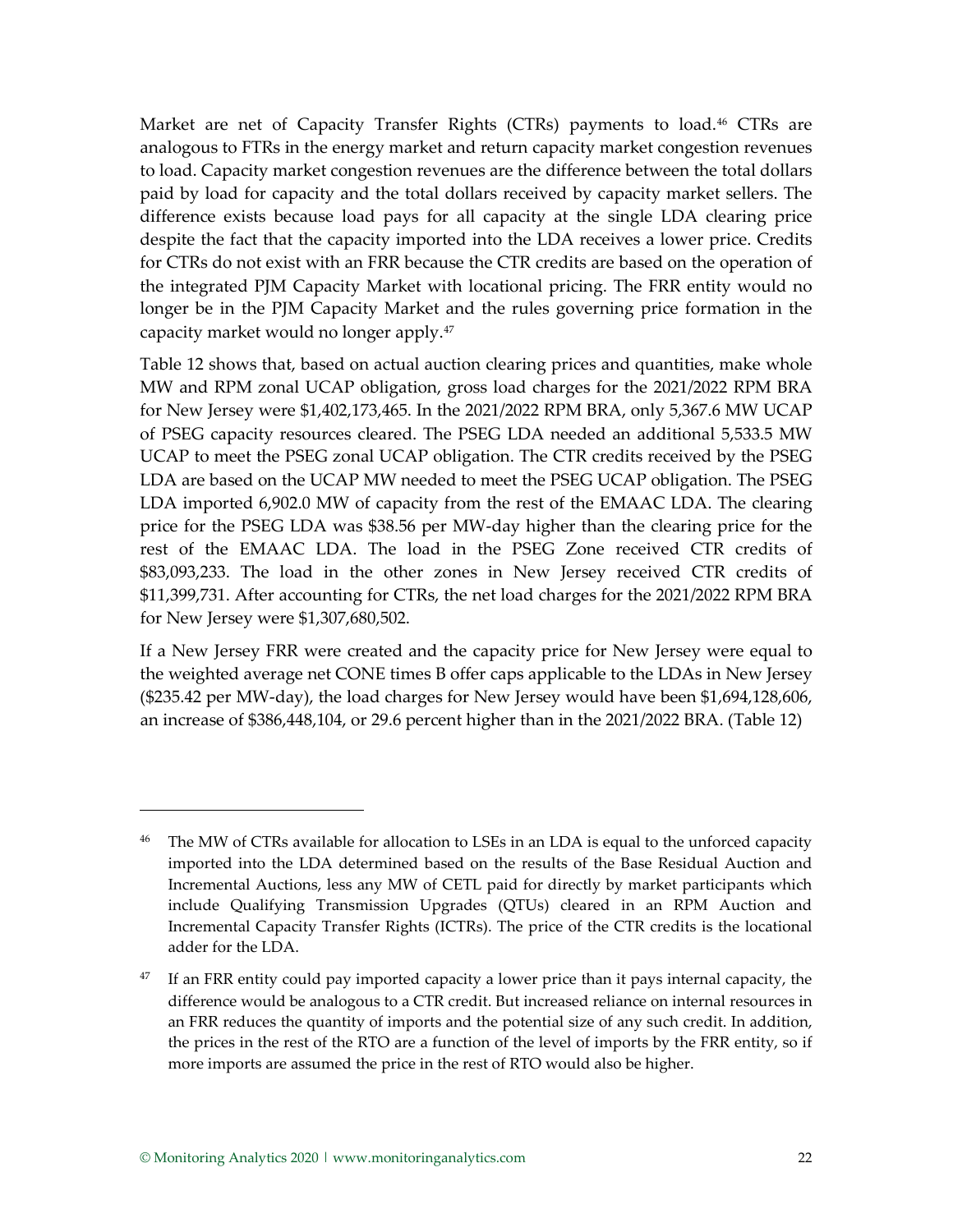Market are net of Capacity Transfer Rights (CTRs) payments to load.[46](#page-23-0) CTRs are analogous to FTRs in the energy market and return capacity market congestion revenues to load. Capacity market congestion revenues are the difference between the total dollars paid by load for capacity and the total dollars received by capacity market sellers. The difference exists because load pays for all capacity at the single LDA clearing price despite the fact that the capacity imported into the LDA receives a lower price. Credits for CTRs do not exist with an FRR because the CTR credits are based on the operation of the integrated PJM Capacity Market with locational pricing. The FRR entity would no longer be in the PJM Capacity Market and the rules governing price formation in the capacity market would no longer apply[.47](#page-23-1)

[Table 12](#page-25-0) shows that, based on actual auction clearing prices and quantities, make whole MW and RPM zonal UCAP obligation, gross load charges for the 2021/2022 RPM BRA for New Jersey were \$1,402,173,465. In the 2021/2022 RPM BRA, only 5,367.6 MW UCAP of PSEG capacity resources cleared. The PSEG LDA needed an additional 5,533.5 MW UCAP to meet the PSEG zonal UCAP obligation. The CTR credits received by the PSEG LDA are based on the UCAP MW needed to meet the PSEG UCAP obligation. The PSEG LDA imported 6,902.0 MW of capacity from the rest of the EMAAC LDA. The clearing price for the PSEG LDA was \$38.56 per MW-day higher than the clearing price for the rest of the EMAAC LDA. The load in the PSEG Zone received CTR credits of \$83,093,233. The load in the other zones in New Jersey received CTR credits of \$11,399,731. After accounting for CTRs, the net load charges for the 2021/2022 RPM BRA for New Jersey were \$1,307,680,502.

If a New Jersey FRR were created and the capacity price for New Jersey were equal to the weighted average net CONE times B offer caps applicable to the LDAs in New Jersey (\$235.42 per MW-day), the load charges for New Jersey would have been \$1,694,128,606, an increase of \$386,448,104, or 29.6 percent higher than in the 2021/2022 BRA. [\(Table 12\)](#page-25-0)

l

<span id="page-23-0"></span><sup>&</sup>lt;sup>46</sup> The MW of CTRs available for allocation to LSEs in an LDA is equal to the unforced capacity imported into the LDA determined based on the results of the Base Residual Auction and Incremental Auctions, less any MW of CETL paid for directly by market participants which include Qualifying Transmission Upgrades (QTUs) cleared in an RPM Auction and Incremental Capacity Transfer Rights (ICTRs). The price of the CTR credits is the locational adder for the LDA.

<span id="page-23-1"></span> $47$  If an FRR entity could pay imported capacity a lower price than it pays internal capacity, the difference would be analogous to a CTR credit. But increased reliance on internal resources in an FRR reduces the quantity of imports and the potential size of any such credit. In addition, the prices in the rest of the RTO are a function of the level of imports by the FRR entity, so if more imports are assumed the price in the rest of RTO would also be higher.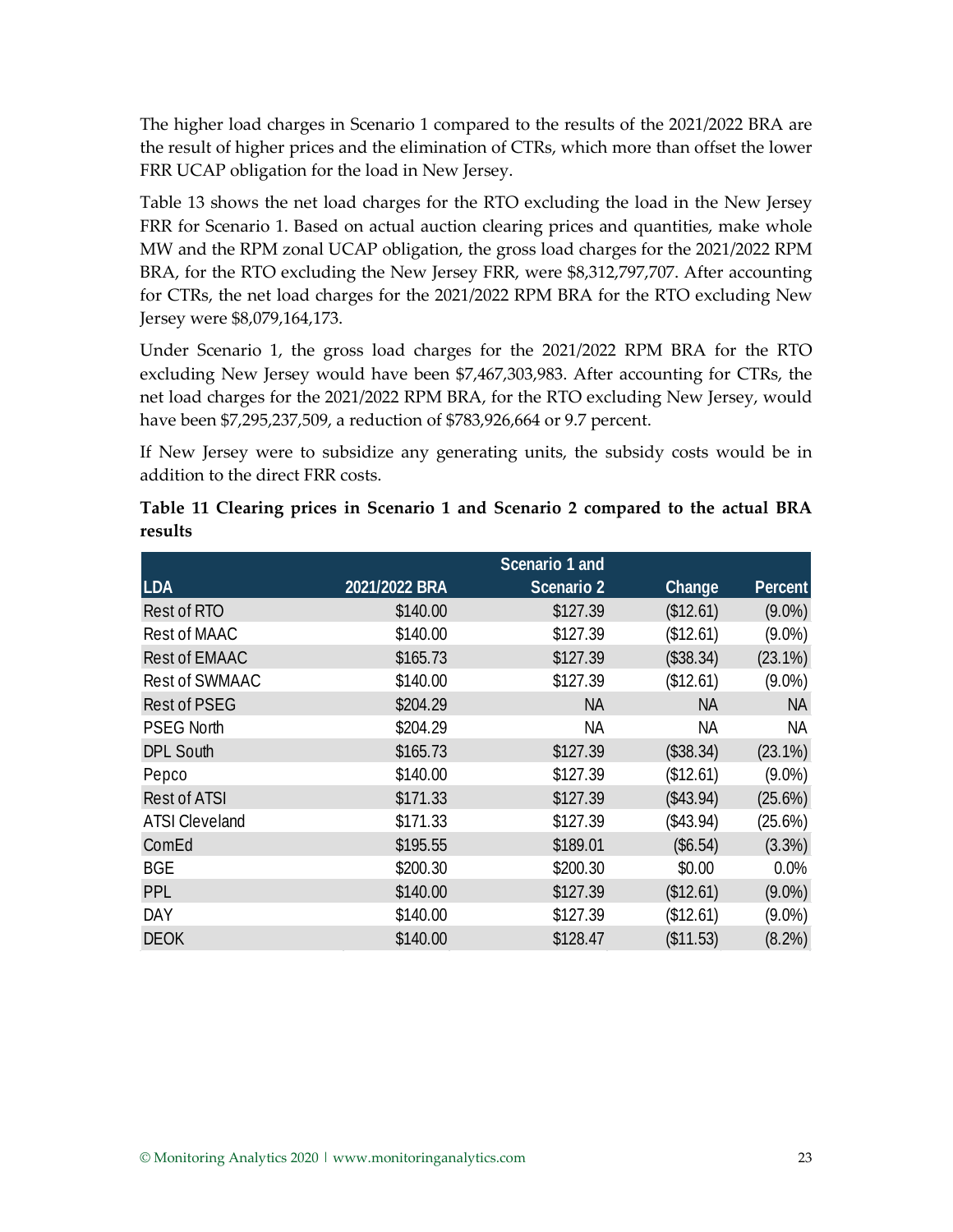The higher load charges in Scenario 1 compared to the results of the 2021/2022 BRA are the result of higher prices and the elimination of CTRs, which more than offset the lower FRR UCAP obligation for the load in New Jersey.

[Table 13](#page-25-1) shows the net load charges for the RTO excluding the load in the New Jersey FRR for Scenario 1. Based on actual auction clearing prices and quantities, make whole MW and the RPM zonal UCAP obligation, the gross load charges for the 2021/2022 RPM BRA, for the RTO excluding the New Jersey FRR, were \$8,312,797,707. After accounting for CTRs, the net load charges for the 2021/2022 RPM BRA for the RTO excluding New Jersey were \$8,079,164,173.

Under Scenario 1, the gross load charges for the 2021/2022 RPM BRA for the RTO excluding New Jersey would have been \$7,467,303,983. After accounting for CTRs, the net load charges for the 2021/2022 RPM BRA, for the RTO excluding New Jersey, would have been \$7,295,237,509, a reduction of \$783,926,664 or 9.7 percent.

If New Jersey were to subsidize any generating units, the subsidy costs would be in addition to the direct FRR costs.

|                       |               | Scenario 1 and |           |                |
|-----------------------|---------------|----------------|-----------|----------------|
| <b>LDA</b>            | 2021/2022 BRA | Scenario 2     | Change    | <b>Percent</b> |
| Rest of RTO           | \$140.00      | \$127.39       | (\$12.61) | $(9.0\%)$      |
| Rest of MAAC          | \$140.00      | \$127.39       | (\$12.61) | $(9.0\%)$      |
| <b>Rest of EMAAC</b>  | \$165.73      | \$127.39       | (\$38.34) | $(23.1\%)$     |
| Rest of SWMAAC        | \$140.00      | \$127.39       | (\$12.61) | $(9.0\%)$      |
| <b>Rest of PSEG</b>   | \$204.29      | <b>NA</b>      | NA        | <b>NA</b>      |
| <b>PSEG North</b>     | \$204.29      | <b>NA</b>      | <b>NA</b> | <b>NA</b>      |
| DPL South             | \$165.73      | \$127.39       | (\$38.34) | $(23.1\%)$     |
| Pepco                 | \$140.00      | \$127.39       | (\$12.61) | $(9.0\%)$      |
| <b>Rest of ATSI</b>   | \$171.33      | \$127.39       | (\$43.94) | (25.6%)        |
| <b>ATSI Cleveland</b> | \$171.33      | \$127.39       | (\$43.94) | (25.6%)        |
| ComEd                 | \$195.55      | \$189.01       | (\$6.54)  | (3.3%)         |
| <b>BGE</b>            | \$200.30      | \$200.30       | \$0.00    | 0.0%           |
| PPL                   | \$140.00      | \$127.39       | (\$12.61) | $(9.0\%)$      |
| DAY                   | \$140.00      | \$127.39       | (\$12.61) | $(9.0\%)$      |
| <b>DEOK</b>           | \$140.00      | \$128.47       | (\$11.53) | (8.2%)         |

#### <span id="page-24-0"></span>**Table 11 Clearing prices in Scenario 1 and Scenario 2 compared to the actual BRA results**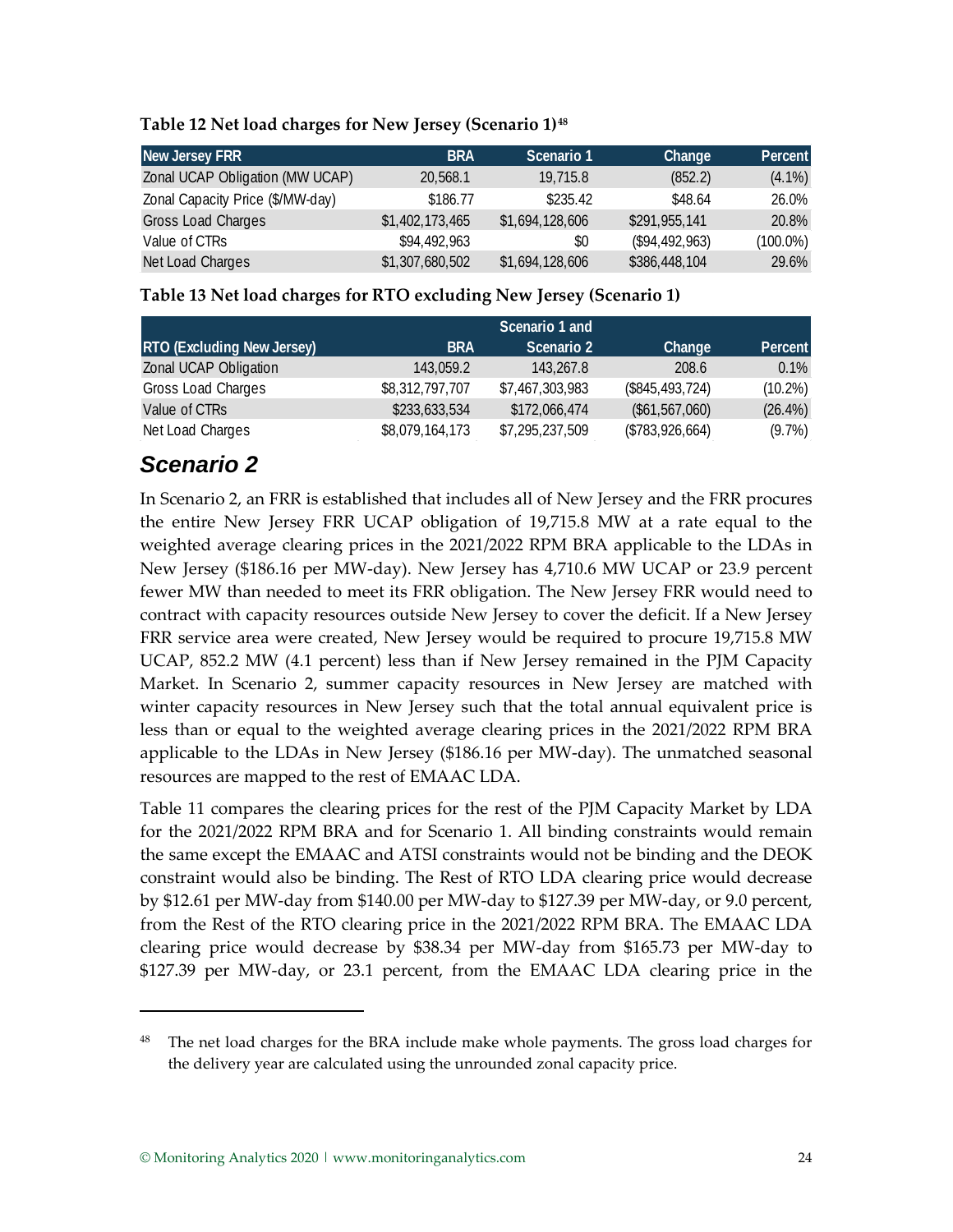| New Jersey FRR                   | <b>BRA</b>      | Scenario 1      | Change         | Percent     |
|----------------------------------|-----------------|-----------------|----------------|-------------|
| Zonal UCAP Obligation (MW UCAP)  | 20,568.1        | 19,715.8        | (852.2)        | $(4.1\%)$   |
| Zonal Capacity Price (\$/MW-day) | \$186.77        | \$235.42        | \$48.64        | 26.0%       |
| Gross Load Charges               | \$1,402,173,465 | \$1,694,128,606 | \$291,955,141  | 20.8%       |
| Value of CTRs                    | \$94,492,963    | \$0             | (\$94,492,963) | $(100.0\%)$ |
| Net Load Charges                 | \$1,307,680,502 | \$1,694,128,606 | \$386,448,104  | 29.6%       |

#### <span id="page-25-0"></span>**Table 12 Net load charges for New Jersey (Scenario 1)[48](#page-25-2)**

#### <span id="page-25-1"></span>**Table 13 Net load charges for RTO excluding New Jersey (Scenario 1)**

|                                   |                 | Scenario 1 and  |                   |            |
|-----------------------------------|-----------------|-----------------|-------------------|------------|
| <b>RTO (Excluding New Jersey)</b> | <b>BRA</b>      | Scenario 2      | Change            | Percent    |
| Zonal UCAP Obligation             | 143,059.2       | 143,267.8       | 208.6             | 0.1%       |
| Gross Load Charges                | \$8,312,797,707 | \$7,467,303,983 | (\$845, 493, 724) | $(10.2\%)$ |
| Value of CTRs                     | \$233,633,534   | \$172,066,474   | (\$61,567,060)    | $(26.4\%)$ |
| Net Load Charges                  | \$8,079,164,173 | \$7,295,237,509 | (\$783,926,664)   | (9.7%)     |

### *Scenario 2*

 $\overline{a}$ 

In Scenario 2, an FRR is established that includes all of New Jersey and the FRR procures the entire New Jersey FRR UCAP obligation of 19,715.8 MW at a rate equal to the weighted average clearing prices in the 2021/2022 RPM BRA applicable to the LDAs in New Jersey (\$186.16 per MW-day). New Jersey has 4,710.6 MW UCAP or 23.9 percent fewer MW than needed to meet its FRR obligation. The New Jersey FRR would need to contract with capacity resources outside New Jersey to cover the deficit. If a New Jersey FRR service area were created, New Jersey would be required to procure 19,715.8 MW UCAP, 852.2 MW (4.1 percent) less than if New Jersey remained in the PJM Capacity Market. In Scenario 2, summer capacity resources in New Jersey are matched with winter capacity resources in New Jersey such that the total annual equivalent price is less than or equal to the weighted average clearing prices in the 2021/2022 RPM BRA applicable to the LDAs in New Jersey (\$186.16 per MW-day). The unmatched seasonal resources are mapped to the rest of EMAAC LDA.

[Table 11](#page-24-0) compares the clearing prices for the rest of the PJM Capacity Market by LDA for the 2021/2022 RPM BRA and for Scenario 1. All binding constraints would remain the same except the EMAAC and ATSI constraints would not be binding and the DEOK constraint would also be binding. The Rest of RTO LDA clearing price would decrease by \$12.61 per MW-day from \$140.00 per MW-day to \$127.39 per MW-day, or 9.0 percent, from the Rest of the RTO clearing price in the 2021/2022 RPM BRA. The EMAAC LDA clearing price would decrease by \$38.34 per MW-day from \$165.73 per MW-day to \$127.39 per MW-day, or 23.1 percent, from the EMAAC LDA clearing price in the

<span id="page-25-2"></span><sup>&</sup>lt;sup>48</sup> The net load charges for the BRA include make whole payments. The gross load charges for the delivery year are calculated using the unrounded zonal capacity price.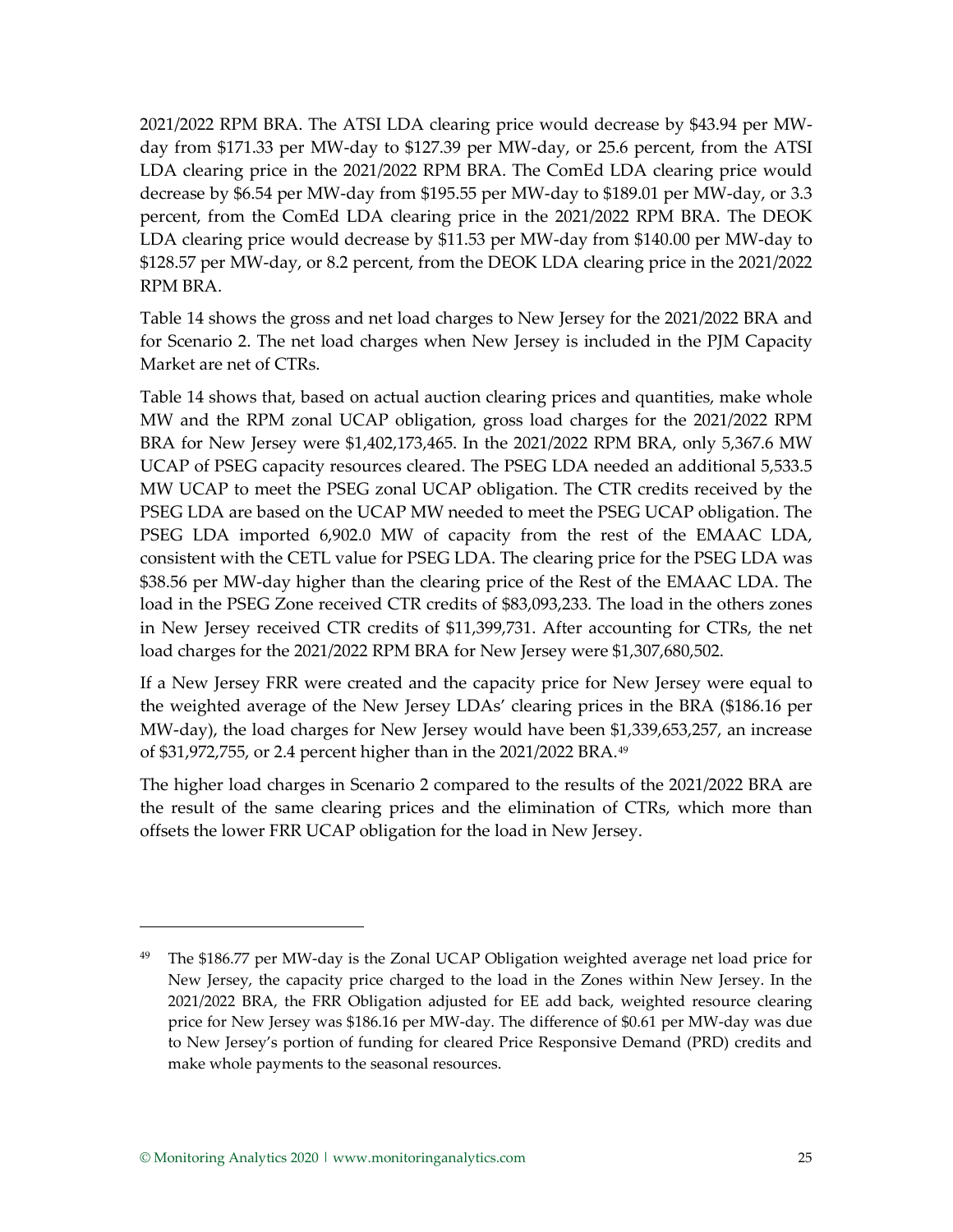2021/2022 RPM BRA. The ATSI LDA clearing price would decrease by \$43.94 per MWday from \$171.33 per MW-day to \$127.39 per MW-day, or 25.6 percent, from the ATSI LDA clearing price in the 2021/2022 RPM BRA. The ComEd LDA clearing price would decrease by \$6.54 per MW-day from \$195.55 per MW-day to \$189.01 per MW-day, or 3.3 percent, from the ComEd LDA clearing price in the 2021/2022 RPM BRA. The DEOK LDA clearing price would decrease by \$11.53 per MW-day from \$140.00 per MW-day to \$128.57 per MW-day, or 8.2 percent, from the DEOK LDA clearing price in the 2021/2022 RPM BRA.

[Table 14](#page-27-0) shows the gross and net load charges to New Jersey for the 2021/2022 BRA and for Scenario 2. The net load charges when New Jersey is included in the PJM Capacity Market are net of CTRs.

[Table 14](#page-27-0) shows that, based on actual auction clearing prices and quantities, make whole MW and the RPM zonal UCAP obligation, gross load charges for the 2021/2022 RPM BRA for New Jersey were \$1,402,173,465. In the 2021/2022 RPM BRA, only 5,367.6 MW UCAP of PSEG capacity resources cleared. The PSEG LDA needed an additional 5,533.5 MW UCAP to meet the PSEG zonal UCAP obligation. The CTR credits received by the PSEG LDA are based on the UCAP MW needed to meet the PSEG UCAP obligation. The PSEG LDA imported 6,902.0 MW of capacity from the rest of the EMAAC LDA, consistent with the CETL value for PSEG LDA. The clearing price for the PSEG LDA was \$38.56 per MW-day higher than the clearing price of the Rest of the EMAAC LDA. The load in the PSEG Zone received CTR credits of \$83,093,233. The load in the others zones in New Jersey received CTR credits of \$11,399,731. After accounting for CTRs, the net load charges for the 2021/2022 RPM BRA for New Jersey were \$1,307,680,502.

If a New Jersey FRR were created and the capacity price for New Jersey were equal to the weighted average of the New Jersey LDAs' clearing prices in the BRA (\$186.16 per MW-day), the load charges for New Jersey would have been \$1,339,653,257, an increase of \$31,972,755, or 2.4 percent higher than in the 2021/2022 BRA.[49](#page-26-0)

The higher load charges in Scenario 2 compared to the results of the 2021/2022 BRA are the result of the same clearing prices and the elimination of CTRs, which more than offsets the lower FRR UCAP obligation for the load in New Jersey.

<span id="page-26-0"></span><sup>&</sup>lt;sup>49</sup> The \$186.77 per MW-day is the Zonal UCAP Obligation weighted average net load price for New Jersey, the capacity price charged to the load in the Zones within New Jersey. In the 2021/2022 BRA, the FRR Obligation adjusted for EE add back, weighted resource clearing price for New Jersey was \$186.16 per MW-day. The difference of \$0.61 per MW-day was due to New Jersey's portion of funding for cleared Price Responsive Demand (PRD) credits and make whole payments to the seasonal resources.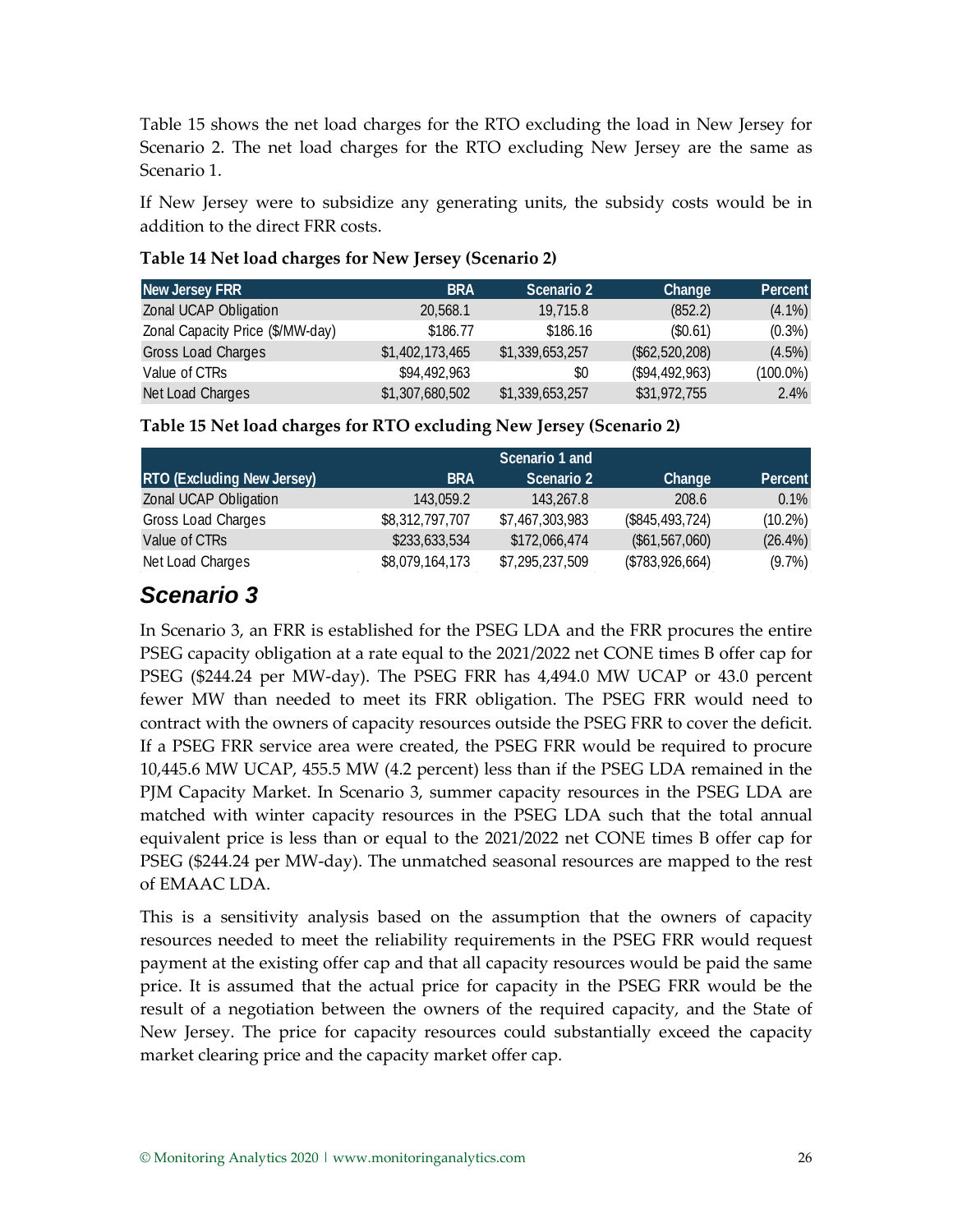[Table 15](#page-27-1) shows the net load charges for the RTO excluding the load in New Jersey for Scenario 2. The net load charges for the RTO excluding New Jersey are the same as Scenario 1.

If New Jersey were to subsidize any generating units, the subsidy costs would be in addition to the direct FRR costs.

| New Jersey FRR                   | <b>BRA</b>      | Scenario 2      | Change         | Percent     |
|----------------------------------|-----------------|-----------------|----------------|-------------|
| Zonal UCAP Obligation            | 20,568.1        | 19,715.8        | (852.2)        | $(4.1\%)$   |
| Zonal Capacity Price (\$/MW-day) | \$186.77        | \$186.16        | (\$0.61)       | $(0.3\%)$   |
| Gross Load Charges               | \$1,402,173,465 | \$1,339,653,257 | (\$62,520,208) | (4.5%)      |
| Value of CTRs                    | \$94,492,963    | \$0             | (\$94,492,963) | $(100.0\%)$ |
| Net Load Charges                 | \$1,307,680,502 | \$1,339,653,257 | \$31,972,755   | $2.4\%$     |

#### <span id="page-27-0"></span>**Table 14 Net load charges for New Jersey (Scenario 2)**

<span id="page-27-1"></span>

|  |  | Table 15 Net load charges for RTO excluding New Jersey (Scenario 2) |  |  |  |
|--|--|---------------------------------------------------------------------|--|--|--|
|  |  |                                                                     |  |  |  |

|                                   |                 | Scenario 1 and  |                   |            |
|-----------------------------------|-----------------|-----------------|-------------------|------------|
| <b>RTO (Excluding New Jersey)</b> | <b>BRA</b>      | Scenario 2      | Change            | Percent    |
| Zonal UCAP Obligation             | 143,059.2       | 143,267.8       | 208.6             | 0.1%       |
| Gross Load Charges                | \$8,312,797,707 | \$7,467,303,983 | (\$845, 493, 724) | $(10.2\%)$ |
| Value of CTRs                     | \$233,633,534   | \$172,066,474   | (\$61,567,060)    | $(26.4\%)$ |
| Net Load Charges                  | \$8,079,164,173 | \$7,295,237,509 | (\$783,926,664)   | (9.7%)     |

### *Scenario 3*

In Scenario 3, an FRR is established for the PSEG LDA and the FRR procures the entire PSEG capacity obligation at a rate equal to the 2021/2022 net CONE times B offer cap for PSEG (\$244.24 per MW-day). The PSEG FRR has 4,494.0 MW UCAP or 43.0 percent fewer MW than needed to meet its FRR obligation. The PSEG FRR would need to contract with the owners of capacity resources outside the PSEG FRR to cover the deficit. If a PSEG FRR service area were created, the PSEG FRR would be required to procure 10,445.6 MW UCAP, 455.5 MW (4.2 percent) less than if the PSEG LDA remained in the PJM Capacity Market. In Scenario 3, summer capacity resources in the PSEG LDA are matched with winter capacity resources in the PSEG LDA such that the total annual equivalent price is less than or equal to the 2021/2022 net CONE times B offer cap for PSEG (\$244.24 per MW-day). The unmatched seasonal resources are mapped to the rest of EMAAC LDA.

This is a sensitivity analysis based on the assumption that the owners of capacity resources needed to meet the reliability requirements in the PSEG FRR would request payment at the existing offer cap and that all capacity resources would be paid the same price. It is assumed that the actual price for capacity in the PSEG FRR would be the result of a negotiation between the owners of the required capacity, and the State of New Jersey. The price for capacity resources could substantially exceed the capacity market clearing price and the capacity market offer cap.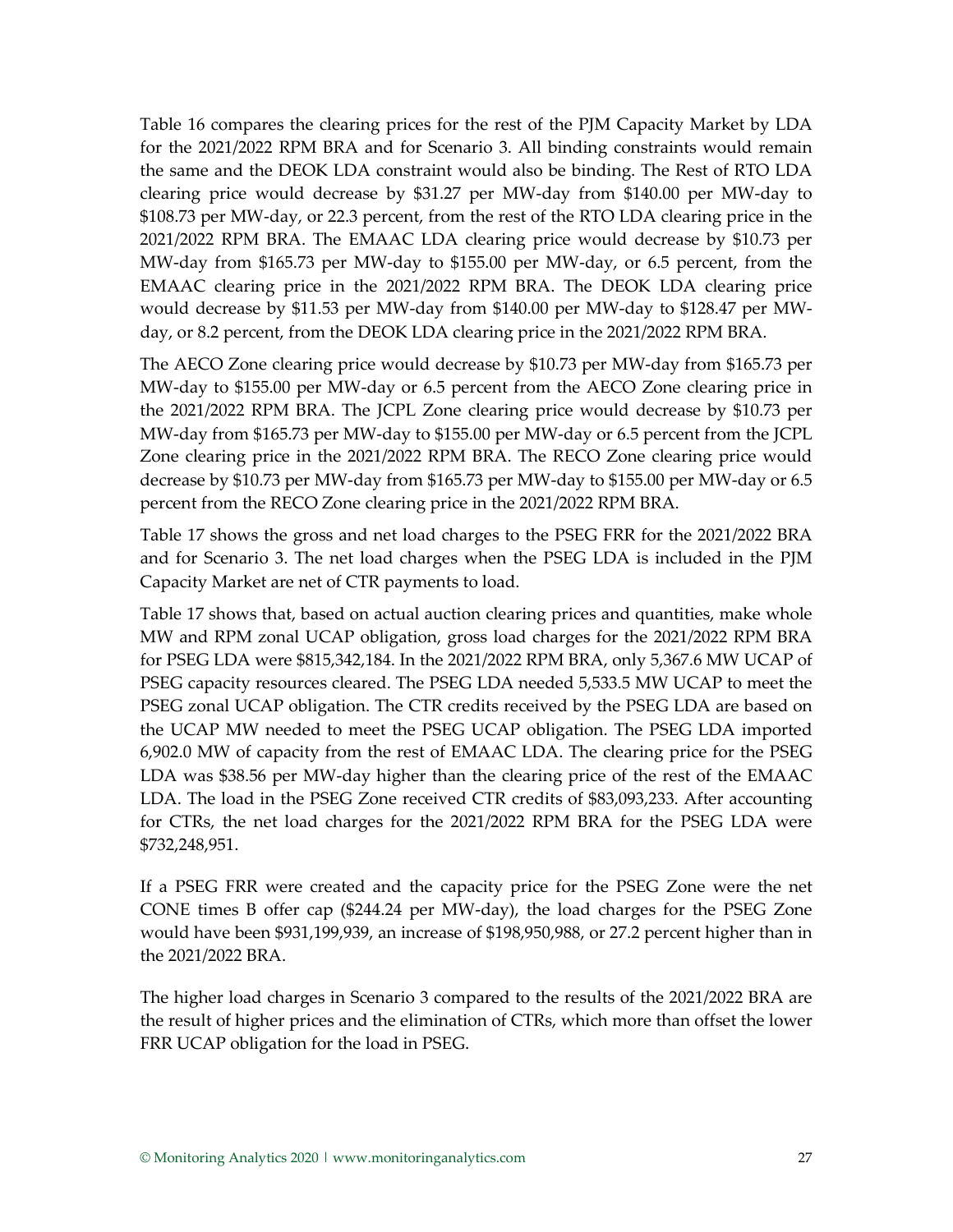[Table 16](#page-30-0) compares the clearing prices for the rest of the PJM Capacity Market by LDA for the 2021/2022 RPM BRA and for Scenario 3. All binding constraints would remain the same and the DEOK LDA constraint would also be binding. The Rest of RTO LDA clearing price would decrease by \$31.27 per MW-day from \$140.00 per MW-day to \$108.73 per MW-day, or 22.3 percent, from the rest of the RTO LDA clearing price in the 2021/2022 RPM BRA. The EMAAC LDA clearing price would decrease by \$10.73 per MW-day from \$165.73 per MW-day to \$155.00 per MW-day, or 6.5 percent, from the EMAAC clearing price in the 2021/2022 RPM BRA. The DEOK LDA clearing price would decrease by \$11.53 per MW-day from \$140.00 per MW-day to \$128.47 per MWday, or 8.2 percent, from the DEOK LDA clearing price in the 2021/2022 RPM BRA.

The AECO Zone clearing price would decrease by \$10.73 per MW-day from \$165.73 per MW-day to \$155.00 per MW-day or 6.5 percent from the AECO Zone clearing price in the 2021/2022 RPM BRA. The JCPL Zone clearing price would decrease by \$10.73 per MW-day from \$165.73 per MW-day to \$155.00 per MW-day or 6.5 percent from the JCPL Zone clearing price in the 2021/2022 RPM BRA. The RECO Zone clearing price would decrease by \$10.73 per MW-day from \$165.73 per MW-day to \$155.00 per MW-day or 6.5 percent from the RECO Zone clearing price in the 2021/2022 RPM BRA.

[Table 17](#page-30-1) shows the gross and net load charges to the PSEG FRR for the 2021/2022 BRA and for Scenario 3. The net load charges when the PSEG LDA is included in the PJM Capacity Market are net of CTR payments to load.

[Table 17](#page-30-1) shows that, based on actual auction clearing prices and quantities, make whole MW and RPM zonal UCAP obligation, gross load charges for the 2021/2022 RPM BRA for PSEG LDA were \$815,342,184. In the 2021/2022 RPM BRA, only 5,367.6 MW UCAP of PSEG capacity resources cleared. The PSEG LDA needed 5,533.5 MW UCAP to meet the PSEG zonal UCAP obligation. The CTR credits received by the PSEG LDA are based on the UCAP MW needed to meet the PSEG UCAP obligation. The PSEG LDA imported 6,902.0 MW of capacity from the rest of EMAAC LDA. The clearing price for the PSEG LDA was \$38.56 per MW-day higher than the clearing price of the rest of the EMAAC LDA. The load in the PSEG Zone received CTR credits of \$83,093,233. After accounting for CTRs, the net load charges for the 2021/2022 RPM BRA for the PSEG LDA were \$732,248,951.

If a PSEG FRR were created and the capacity price for the PSEG Zone were the net CONE times B offer cap (\$244.24 per MW-day), the load charges for the PSEG Zone would have been \$931,199,939, an increase of \$198,950,988, or 27.2 percent higher than in the 2021/2022 BRA.

The higher load charges in Scenario 3 compared to the results of the 2021/2022 BRA are the result of higher prices and the elimination of CTRs, which more than offset the lower FRR UCAP obligation for the load in PSEG.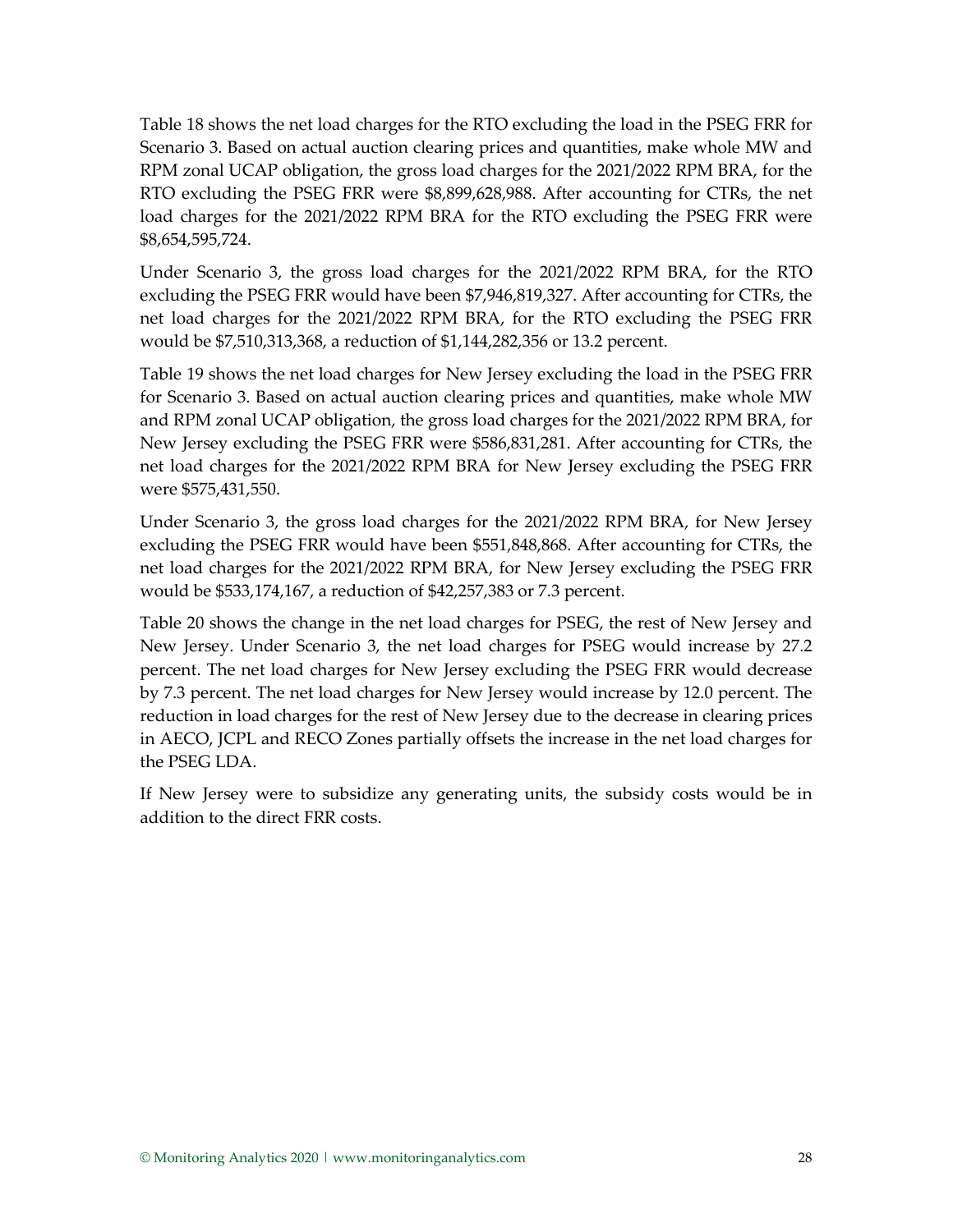[Table 18](#page-30-2) shows the net load charges for the RTO excluding the load in the PSEG FRR for Scenario 3. Based on actual auction clearing prices and quantities, make whole MW and RPM zonal UCAP obligation, the gross load charges for the 2021/2022 RPM BRA, for the RTO excluding the PSEG FRR were \$8,899,628,988. After accounting for CTRs, the net load charges for the 2021/2022 RPM BRA for the RTO excluding the PSEG FRR were \$8,654,595,724.

Under Scenario 3, the gross load charges for the 2021/2022 RPM BRA, for the RTO excluding the PSEG FRR would have been \$7,946,819,327. After accounting for CTRs, the net load charges for the 2021/2022 RPM BRA, for the RTO excluding the PSEG FRR would be \$7,510,313,368, a reduction of \$1,144,282,356 or 13.2 percent.

[Table 19](#page-30-3) shows the net load charges for New Jersey excluding the load in the PSEG FRR for Scenario 3. Based on actual auction clearing prices and quantities, make whole MW and RPM zonal UCAP obligation, the gross load charges for the 2021/2022 RPM BRA, for New Jersey excluding the PSEG FRR were \$586,831,281. After accounting for CTRs, the net load charges for the 2021/2022 RPM BRA for New Jersey excluding the PSEG FRR were \$575,431,550.

Under Scenario 3, the gross load charges for the 2021/2022 RPM BRA, for New Jersey excluding the PSEG FRR would have been \$551,848,868. After accounting for CTRs, the net load charges for the 2021/2022 RPM BRA, for New Jersey excluding the PSEG FRR would be \$533,174,167, a reduction of \$42,257,383 or 7.3 percent.

[Table 20](#page-31-0) shows the change in the net load charges for PSEG, the rest of New Jersey and New Jersey. Under Scenario 3, the net load charges for PSEG would increase by 27.2 percent. The net load charges for New Jersey excluding the PSEG FRR would decrease by 7.3 percent. The net load charges for New Jersey would increase by 12.0 percent. The reduction in load charges for the rest of New Jersey due to the decrease in clearing prices in AECO, JCPL and RECO Zones partially offsets the increase in the net load charges for the PSEG LDA.

If New Jersey were to subsidize any generating units, the subsidy costs would be in addition to the direct FRR costs.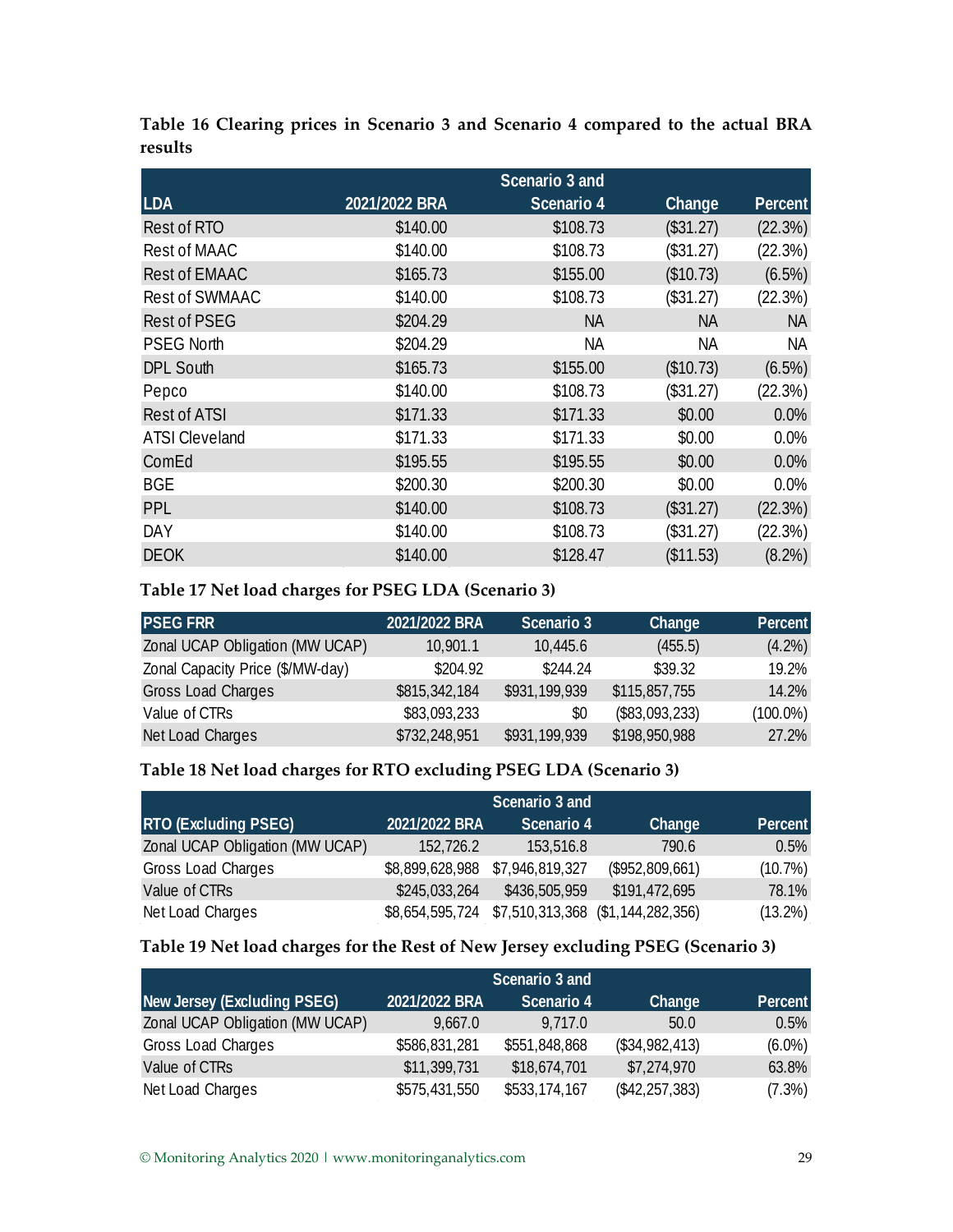|                       |               | Scenario 3 and |           |           |
|-----------------------|---------------|----------------|-----------|-----------|
| <b>LDA</b>            | 2021/2022 BRA | Scenario 4     | Change    | Percent   |
| <b>Rest of RTO</b>    | \$140.00      | \$108.73       | (\$31.27) | (22.3%)   |
| <b>Rest of MAAC</b>   | \$140.00      | \$108.73       | (\$31.27) | (22.3%)   |
| <b>Rest of EMAAC</b>  | \$165.73      | \$155.00       | (\$10.73) | (6.5%)    |
| <b>Rest of SWMAAC</b> | \$140.00      | \$108.73       | (\$31.27) | (22.3%)   |
| Rest of PSEG          | \$204.29      | <b>NA</b>      | <b>NA</b> | <b>NA</b> |
| <b>PSEG North</b>     | \$204.29      | <b>NA</b>      | <b>NA</b> | <b>NA</b> |
| <b>DPL South</b>      | \$165.73      | \$155.00       | (\$10.73) | (6.5%)    |
| Pepco                 | \$140.00      | \$108.73       | (\$31.27) | (22.3%)   |
| <b>Rest of ATSI</b>   | \$171.33      | \$171.33       | \$0.00    | 0.0%      |
| <b>ATSI Cleveland</b> | \$171.33      | \$171.33       | \$0.00    | 0.0%      |
| ComEd                 | \$195.55      | \$195.55       | \$0.00    | 0.0%      |
| <b>BGE</b>            | \$200.30      | \$200.30       | \$0.00    | 0.0%      |
| <b>PPL</b>            | \$140.00      | \$108.73       | (\$31.27) | (22.3%)   |
| DAY                   | \$140.00      | \$108.73       | (\$31.27) | (22.3%)   |
| <b>DEOK</b>           | \$140.00      | \$128.47       | (\$11.53) | (8.2%)    |

<span id="page-30-0"></span>**Table 16 Clearing prices in Scenario 3 and Scenario 4 compared to the actual BRA results**

#### <span id="page-30-1"></span>**Table 17 Net load charges for PSEG LDA (Scenario 3)**

| <b>PSEG FRR</b>                  | 2021/2022 BRA | Scenario 3    | Change         | Percent     |
|----------------------------------|---------------|---------------|----------------|-------------|
| Zonal UCAP Obligation (MW UCAP)  | 10,901.1      | 10,445.6      | (455.5)        | (4.2%)      |
| Zonal Capacity Price (\$/MW-day) | \$204.92      | \$244.24      | \$39.32        | 19.2%       |
| Gross Load Charges               | \$815,342,184 | \$931,199,939 | \$115,857,755  | 14.2%       |
| Value of CTRs                    | \$83,093,233  | \$0           | (\$83,093,233) | $(100.0\%)$ |
| Net Load Charges                 | \$732,248,951 | \$931,199,939 | \$198,950,988  | 27.2%       |

#### <span id="page-30-2"></span>**Table 18 Net load charges for RTO excluding PSEG LDA (Scenario 3)**

|                                 |                 | Scenario 3 and  |                   |            |
|---------------------------------|-----------------|-----------------|-------------------|------------|
| <b>RTO (Excluding PSEG)</b>     | 2021/2022 BRA   | Scenario 4      | Change            | Percent    |
| Zonal UCAP Obligation (MW UCAP) | 152,726.2       | 153,516.8       | 790.6             | $0.5\%$    |
| Gross Load Charges              | \$8,899,628,988 | \$7,946,819,327 | (\$952,809,661)   | (10.7%)    |
| Value of CTRs                   | \$245,033,264   | \$436,505,959   | \$191,472,695     | 78.1%      |
| Net Load Charges                | \$8,654,595,724 | \$7,510,313,368 | (\$1,144,282,356) | $(13.2\%)$ |

#### <span id="page-30-3"></span>**Table 19 Net load charges for the Rest of New Jersey excluding PSEG (Scenario 3)**

|                                    | Scenario 3 and |               |                  |           |  |
|------------------------------------|----------------|---------------|------------------|-----------|--|
| <b>New Jersey (Excluding PSEG)</b> | 2021/2022 BRA  | Scenario 4    | Change           | Percent   |  |
| Zonal UCAP Obligation (MW UCAP)    | 9,667.0        | 9,717.0       | 50.0             | 0.5%      |  |
| Gross Load Charges                 | \$586,831,281  | \$551,848,868 | (\$34,982,413)   | $(6.0\%)$ |  |
| Value of CTRs                      | \$11,399,731   | \$18,674,701  | \$7,274,970      | 63.8%     |  |
| Net Load Charges                   | \$575,431,550  | \$533,174,167 | (\$42, 257, 383) | (7.3%)    |  |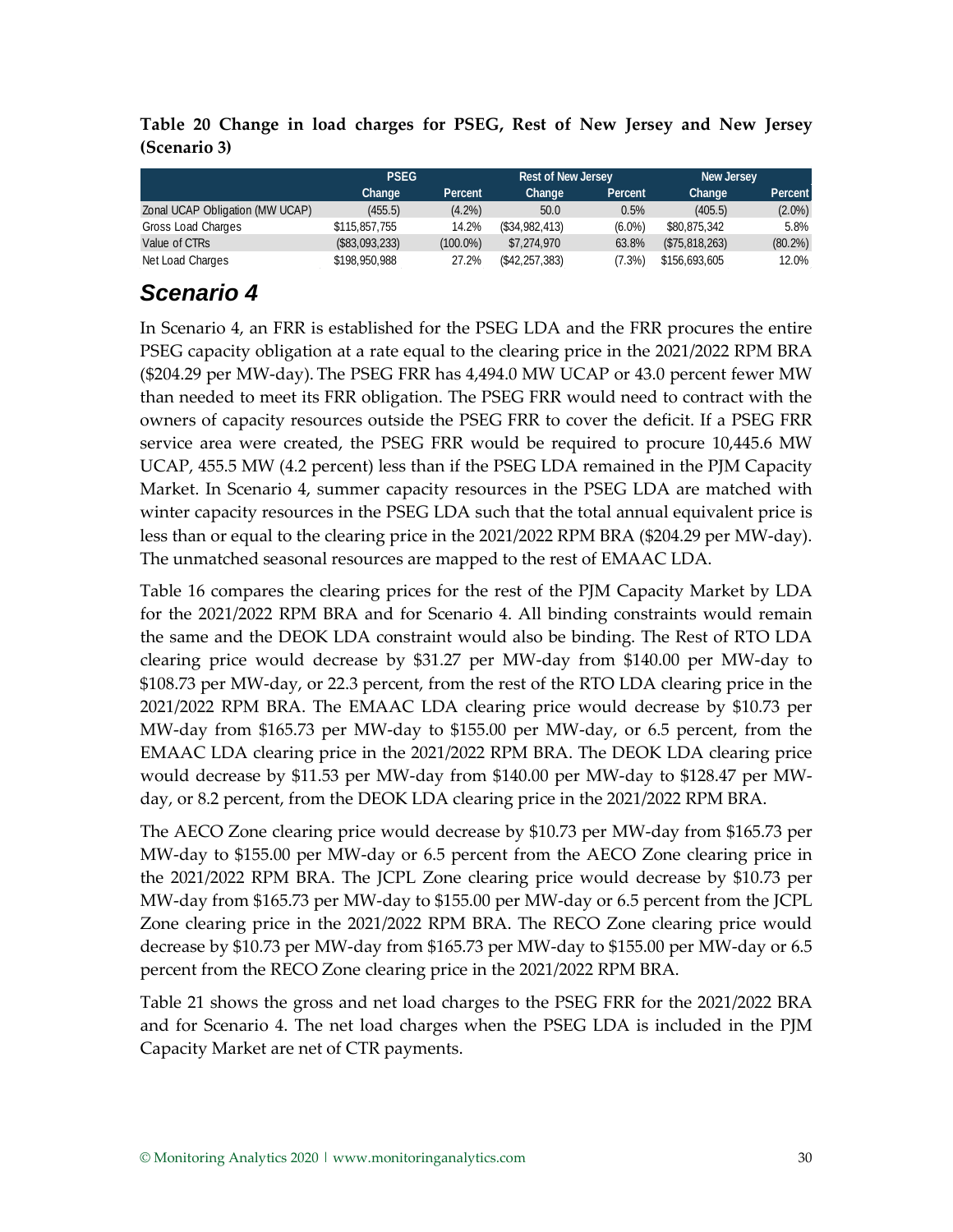<span id="page-31-0"></span>**Table 20 Change in load charges for PSEG, Rest of New Jersey and New Jersey (Scenario 3)**

|                                 | <b>PSEG</b>    |           | <b>Rest of New Jersey</b> |           | New Jersey     |            |
|---------------------------------|----------------|-----------|---------------------------|-----------|----------------|------------|
|                                 | Change         | Percent   | Change                    | Percent   | Change         | Percent    |
| Zonal UCAP Obligation (MW UCAP) | (455.5)        | $(4.2\%)$ | 50.0                      | 0.5%      | (405.5)        | $(2.0\%)$  |
| Gross Load Charges              | \$115,857,755  | 14.2%     | (\$34,982,413)            | $(6.0\%)$ | \$80,875,342   | 5.8%       |
| Value of CTRs                   | (\$83,093,233) | (100.0%)  | \$7,274,970               | 63.8%     | (\$75,818,263) | $(80.2\%)$ |
| Net Load Charges                | \$198,950,988  | 27.2%     | (\$42, 257, 383)          | (7.3%)    | \$156,693,605  | 12.0%      |

# *Scenario 4*

In Scenario 4, an FRR is established for the PSEG LDA and the FRR procures the entire PSEG capacity obligation at a rate equal to the clearing price in the 2021/2022 RPM BRA (\$204.29 per MW-day). The PSEG FRR has 4,494.0 MW UCAP or 43.0 percent fewer MW than needed to meet its FRR obligation. The PSEG FRR would need to contract with the owners of capacity resources outside the PSEG FRR to cover the deficit. If a PSEG FRR service area were created, the PSEG FRR would be required to procure 10,445.6 MW UCAP, 455.5 MW (4.2 percent) less than if the PSEG LDA remained in the PJM Capacity Market. In Scenario 4, summer capacity resources in the PSEG LDA are matched with winter capacity resources in the PSEG LDA such that the total annual equivalent price is less than or equal to the clearing price in the 2021/2022 RPM BRA (\$204.29 per MW-day). The unmatched seasonal resources are mapped to the rest of EMAAC LDA.

[Table 16](#page-30-0) compares the clearing prices for the rest of the PJM Capacity Market by LDA for the 2021/2022 RPM BRA and for Scenario 4. All binding constraints would remain the same and the DEOK LDA constraint would also be binding. The Rest of RTO LDA clearing price would decrease by \$31.27 per MW-day from \$140.00 per MW-day to \$108.73 per MW-day, or 22.3 percent, from the rest of the RTO LDA clearing price in the 2021/2022 RPM BRA. The EMAAC LDA clearing price would decrease by \$10.73 per MW-day from \$165.73 per MW-day to \$155.00 per MW-day, or 6.5 percent, from the EMAAC LDA clearing price in the 2021/2022 RPM BRA. The DEOK LDA clearing price would decrease by \$11.53 per MW-day from \$140.00 per MW-day to \$128.47 per MWday, or 8.2 percent, from the DEOK LDA clearing price in the 2021/2022 RPM BRA.

The AECO Zone clearing price would decrease by \$10.73 per MW-day from \$165.73 per MW-day to \$155.00 per MW-day or 6.5 percent from the AECO Zone clearing price in the 2021/2022 RPM BRA. The JCPL Zone clearing price would decrease by \$10.73 per MW-day from \$165.73 per MW-day to \$155.00 per MW-day or 6.5 percent from the JCPL Zone clearing price in the 2021/2022 RPM BRA. The RECO Zone clearing price would decrease by \$10.73 per MW-day from \$165.73 per MW-day to \$155.00 per MW-day or 6.5 percent from the RECO Zone clearing price in the 2021/2022 RPM BRA.

[Table 21](#page-33-0) shows the gross and net load charges to the PSEG FRR for the 2021/2022 BRA and for Scenario 4. The net load charges when the PSEG LDA is included in the PJM Capacity Market are net of CTR payments.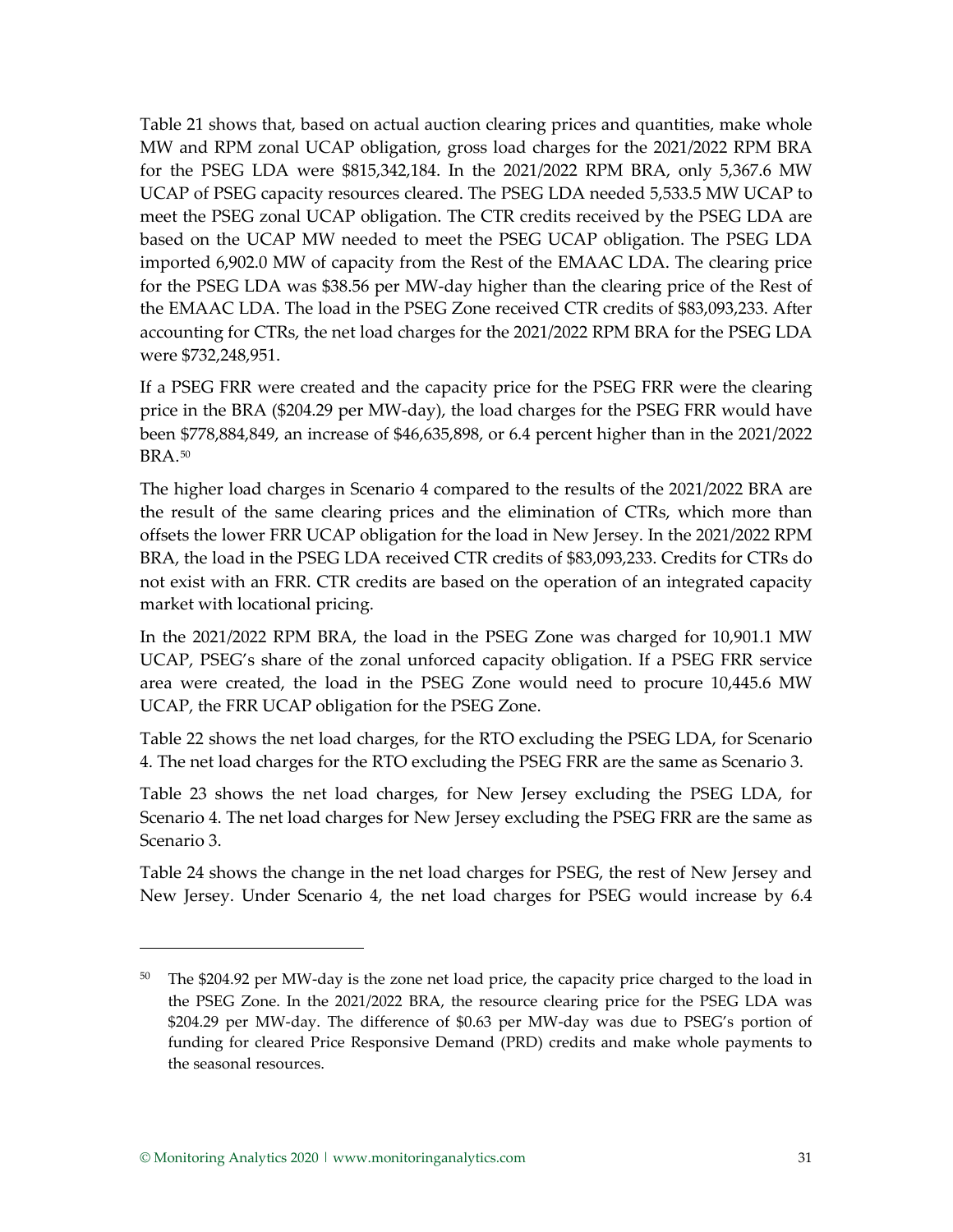[Table 21](#page-33-0) shows that, based on actual auction clearing prices and quantities, make whole MW and RPM zonal UCAP obligation, gross load charges for the 2021/2022 RPM BRA for the PSEG LDA were \$815,342,184. In the 2021/2022 RPM BRA, only 5,367.6 MW UCAP of PSEG capacity resources cleared. The PSEG LDA needed 5,533.5 MW UCAP to meet the PSEG zonal UCAP obligation. The CTR credits received by the PSEG LDA are based on the UCAP MW needed to meet the PSEG UCAP obligation. The PSEG LDA imported 6,902.0 MW of capacity from the Rest of the EMAAC LDA. The clearing price for the PSEG LDA was \$38.56 per MW-day higher than the clearing price of the Rest of the EMAAC LDA. The load in the PSEG Zone received CTR credits of \$83,093,233. After accounting for CTRs, the net load charges for the 2021/2022 RPM BRA for the PSEG LDA were \$732,248,951.

If a PSEG FRR were created and the capacity price for the PSEG FRR were the clearing price in the BRA (\$204.29 per MW-day), the load charges for the PSEG FRR would have been \$778,884,849, an increase of \$46,635,898, or 6.4 percent higher than in the 2021/2022 BRA.[50](#page-32-0)

The higher load charges in Scenario 4 compared to the results of the 2021/2022 BRA are the result of the same clearing prices and the elimination of CTRs, which more than offsets the lower FRR UCAP obligation for the load in New Jersey. In the 2021/2022 RPM BRA, the load in the PSEG LDA received CTR credits of \$83,093,233. Credits for CTRs do not exist with an FRR. CTR credits are based on the operation of an integrated capacity market with locational pricing.

In the 2021/2022 RPM BRA, the load in the PSEG Zone was charged for 10,901.1 MW UCAP, PSEG's share of the zonal unforced capacity obligation. If a PSEG FRR service area were created, the load in the PSEG Zone would need to procure 10,445.6 MW UCAP, the FRR UCAP obligation for the PSEG Zone.

[Table 22](#page-33-1) shows the net load charges, for the RTO excluding the PSEG LDA, for Scenario 4. The net load charges for the RTO excluding the PSEG FRR are the same as Scenario 3.

[Table 23](#page-33-2) shows the net load charges, for New Jersey excluding the PSEG LDA, for Scenario 4. The net load charges for New Jersey excluding the PSEG FRR are the same as Scenario 3.

[Table 24](#page-33-3) shows the change in the net load charges for PSEG, the rest of New Jersey and New Jersey. Under Scenario 4, the net load charges for PSEG would increase by 6.4

<span id="page-32-0"></span><sup>&</sup>lt;sup>50</sup> The \$204.92 per MW-day is the zone net load price, the capacity price charged to the load in the PSEG Zone. In the 2021/2022 BRA, the resource clearing price for the PSEG LDA was \$204.29 per MW-day. The difference of \$0.63 per MW-day was due to PSEG's portion of funding for cleared Price Responsive Demand (PRD) credits and make whole payments to the seasonal resources.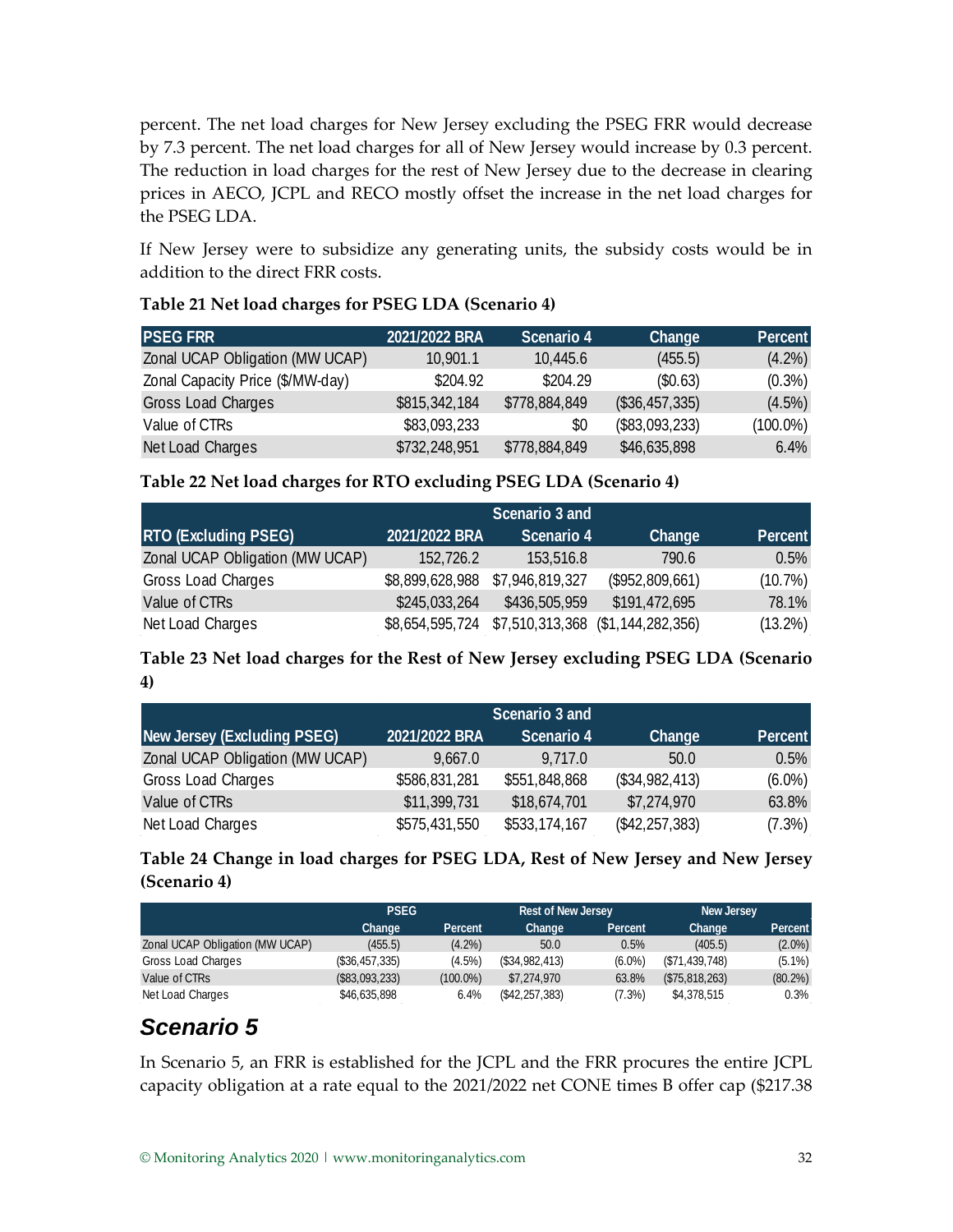percent. The net load charges for New Jersey excluding the PSEG FRR would decrease by 7.3 percent. The net load charges for all of New Jersey would increase by 0.3 percent. The reduction in load charges for the rest of New Jersey due to the decrease in clearing prices in AECO, JCPL and RECO mostly offset the increase in the net load charges for the PSEG LDA.

If New Jersey were to subsidize any generating units, the subsidy costs would be in addition to the direct FRR costs.

| <b>PSEG FRR</b>                  | 2021/2022 BRA | Scenario 4    | Change         | Percent     |
|----------------------------------|---------------|---------------|----------------|-------------|
| Zonal UCAP Obligation (MW UCAP)  | 10,901.1      | 10,445.6      | (455.5)        | $(4.2\%)$   |
| Zonal Capacity Price (\$/MW-day) | \$204.92      | \$204.29      | (\$0.63)       | $(0.3\%)$   |
| Gross Load Charges               | \$815,342,184 | \$778,884,849 | (\$36,457,335) | (4.5%)      |
| Value of CTRs                    | \$83,093,233  | \$0           | (\$83,093,233) | $(100.0\%)$ |
| Net Load Charges                 | \$732,248,951 | \$778,884,849 | \$46,635,898   | $6.4\%$     |

#### <span id="page-33-0"></span>**Table 21 Net load charges for PSEG LDA (Scenario 4)**

#### <span id="page-33-1"></span>**Table 22 Net load charges for RTO excluding PSEG LDA (Scenario 4)**

|                                 | Scenario 3 and  |                 |                                   |            |  |  |
|---------------------------------|-----------------|-----------------|-----------------------------------|------------|--|--|
| <b>RTO (Excluding PSEG)</b>     | 2021/2022 BRA   | Scenario 4      | Change                            | Percent    |  |  |
| Zonal UCAP Obligation (MW UCAP) | 152,726.2       | 153,516.8       | 790.6                             | 0.5%       |  |  |
| Gross Load Charges              | \$8,899,628,988 | \$7,946,819,327 | (\$952,809,661)                   | (10.7%)    |  |  |
| Value of CTRs                   | \$245,033,264   | \$436,505,959   | \$191,472,695                     | 78.1%      |  |  |
| Net Load Charges                | \$8,654,595,724 |                 | \$7,510,313,368 (\$1,144,282,356) | $(13.2\%)$ |  |  |

#### <span id="page-33-2"></span>**Table 23 Net load charges for the Rest of New Jersey excluding PSEG LDA (Scenario 4)**

|                                 |               | Scenario 3 and |                  |           |
|---------------------------------|---------------|----------------|------------------|-----------|
| New Jersey (Excluding PSEG)     | 2021/2022 BRA | Scenario 4     | Change           | Percent   |
| Zonal UCAP Obligation (MW UCAP) | 9,667.0       | 9,717.0        | 50.0             | 0.5%      |
| Gross Load Charges              | \$586,831,281 | \$551,848,868  | (\$34,982,413)   | $(6.0\%)$ |
| Value of CTRs                   | \$11,399,731  | \$18,674,701   | \$7,274,970      | 63.8%     |
| Net Load Charges                | \$575,431,550 | \$533,174,167  | (\$42, 257, 383) | (7.3%)    |

#### <span id="page-33-3"></span>**Table 24 Change in load charges for PSEG LDA, Rest of New Jersey and New Jersey (Scenario 4)**

|                                 | <b>PSEG</b>    |           | <b>Rest of New Jersey</b> |           | New Jersey     |            |
|---------------------------------|----------------|-----------|---------------------------|-----------|----------------|------------|
|                                 | Change         | Percent   | Change                    | Percent   | Change         | Percent    |
| Zonal UCAP Obligation (MW UCAP) | (455.5)        | $(4.2\%)$ | 50.0                      | 0.5%      | (405.5)        | $(2.0\%)$  |
| Gross Load Charges              | (\$36,457,335) | $(4.5\%)$ | (\$34.982.413)            | $(6.0\%)$ | (S71.439.748)  | $(5.1\%)$  |
| Value of CTRs                   | (\$83,093,233) | (100.0%)  | \$7,274,970               | 63.8%     | (\$75,818,263) | $(80.2\%)$ |
| Net Load Charges                | \$46,635,898   | 6.4%      | (\$42, 257, 383)          | (7.3%)    | \$4,378,515    | 0.3%       |

# *Scenario 5*

In Scenario 5, an FRR is established for the JCPL and the FRR procures the entire JCPL capacity obligation at a rate equal to the 2021/2022 net CONE times B offer cap (\$217.38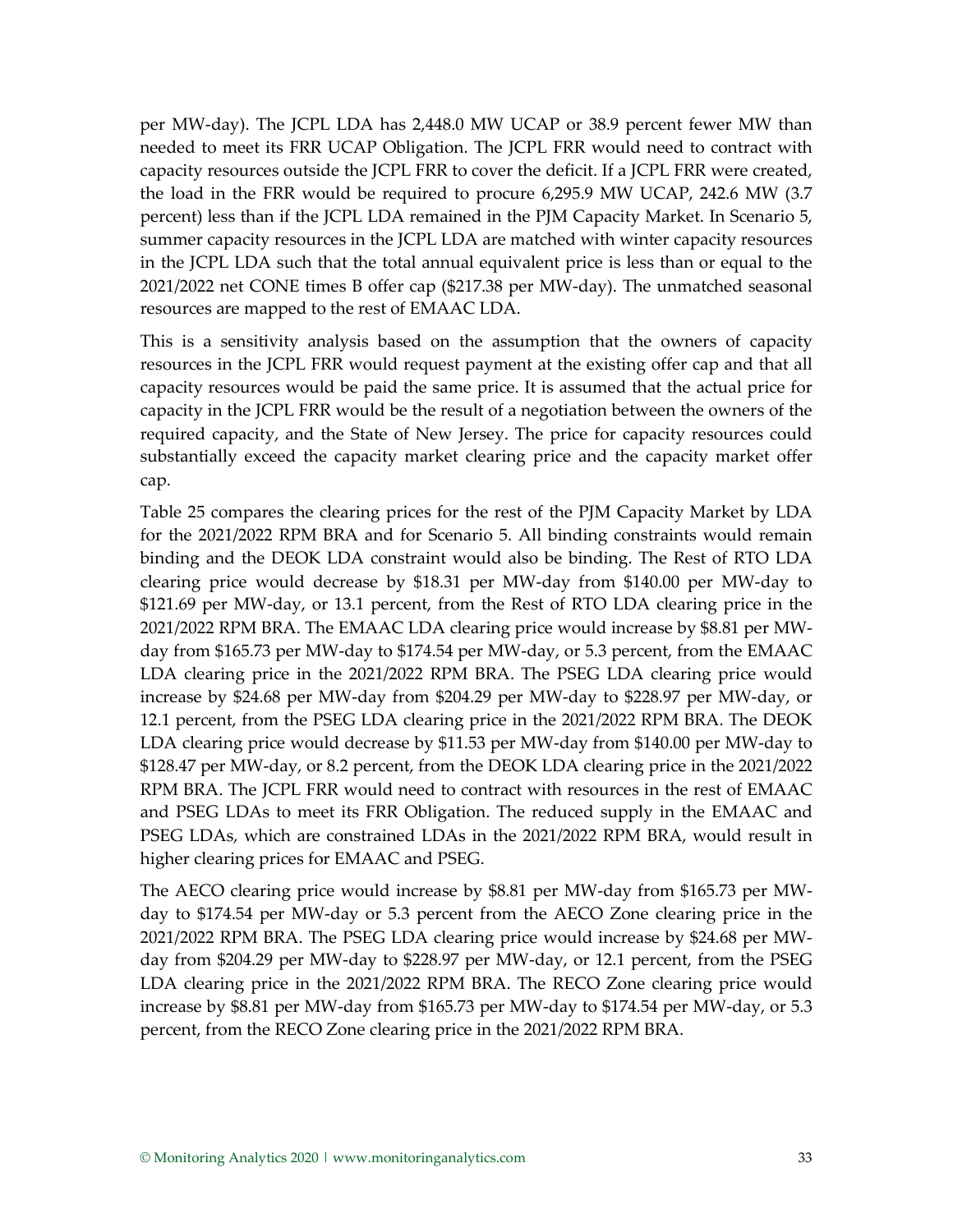per MW-day). The JCPL LDA has 2,448.0 MW UCAP or 38.9 percent fewer MW than needed to meet its FRR UCAP Obligation. The JCPL FRR would need to contract with capacity resources outside the JCPL FRR to cover the deficit. If a JCPL FRR were created, the load in the FRR would be required to procure 6,295.9 MW UCAP, 242.6 MW (3.7 percent) less than if the JCPL LDA remained in the PJM Capacity Market. In Scenario 5, summer capacity resources in the JCPL LDA are matched with winter capacity resources in the JCPL LDA such that the total annual equivalent price is less than or equal to the 2021/2022 net CONE times B offer cap (\$217.38 per MW-day). The unmatched seasonal resources are mapped to the rest of EMAAC LDA.

This is a sensitivity analysis based on the assumption that the owners of capacity resources in the JCPL FRR would request payment at the existing offer cap and that all capacity resources would be paid the same price. It is assumed that the actual price for capacity in the JCPL FRR would be the result of a negotiation between the owners of the required capacity, and the State of New Jersey. The price for capacity resources could substantially exceed the capacity market clearing price and the capacity market offer cap.

[Table 25](#page-36-0) compares the clearing prices for the rest of the PJM Capacity Market by LDA for the 2021/2022 RPM BRA and for Scenario 5. All binding constraints would remain binding and the DEOK LDA constraint would also be binding. The Rest of RTO LDA clearing price would decrease by \$18.31 per MW-day from \$140.00 per MW-day to \$121.69 per MW-day, or 13.1 percent, from the Rest of RTO LDA clearing price in the 2021/2022 RPM BRA. The EMAAC LDA clearing price would increase by \$8.81 per MWday from \$165.73 per MW-day to \$174.54 per MW-day, or 5.3 percent, from the EMAAC LDA clearing price in the 2021/2022 RPM BRA. The PSEG LDA clearing price would increase by \$24.68 per MW-day from \$204.29 per MW-day to \$228.97 per MW-day, or 12.1 percent, from the PSEG LDA clearing price in the 2021/2022 RPM BRA. The DEOK LDA clearing price would decrease by \$11.53 per MW-day from \$140.00 per MW-day to \$128.47 per MW-day, or 8.2 percent, from the DEOK LDA clearing price in the 2021/2022 RPM BRA. The JCPL FRR would need to contract with resources in the rest of EMAAC and PSEG LDAs to meet its FRR Obligation. The reduced supply in the EMAAC and PSEG LDAs, which are constrained LDAs in the 2021/2022 RPM BRA, would result in higher clearing prices for EMAAC and PSEG.

The AECO clearing price would increase by \$8.81 per MW-day from \$165.73 per MWday to \$174.54 per MW-day or 5.3 percent from the AECO Zone clearing price in the 2021/2022 RPM BRA. The PSEG LDA clearing price would increase by \$24.68 per MWday from \$204.29 per MW-day to \$228.97 per MW-day, or 12.1 percent, from the PSEG LDA clearing price in the 2021/2022 RPM BRA. The RECO Zone clearing price would increase by \$8.81 per MW-day from \$165.73 per MW-day to \$174.54 per MW-day, or 5.3 percent, from the RECO Zone clearing price in the 2021/2022 RPM BRA.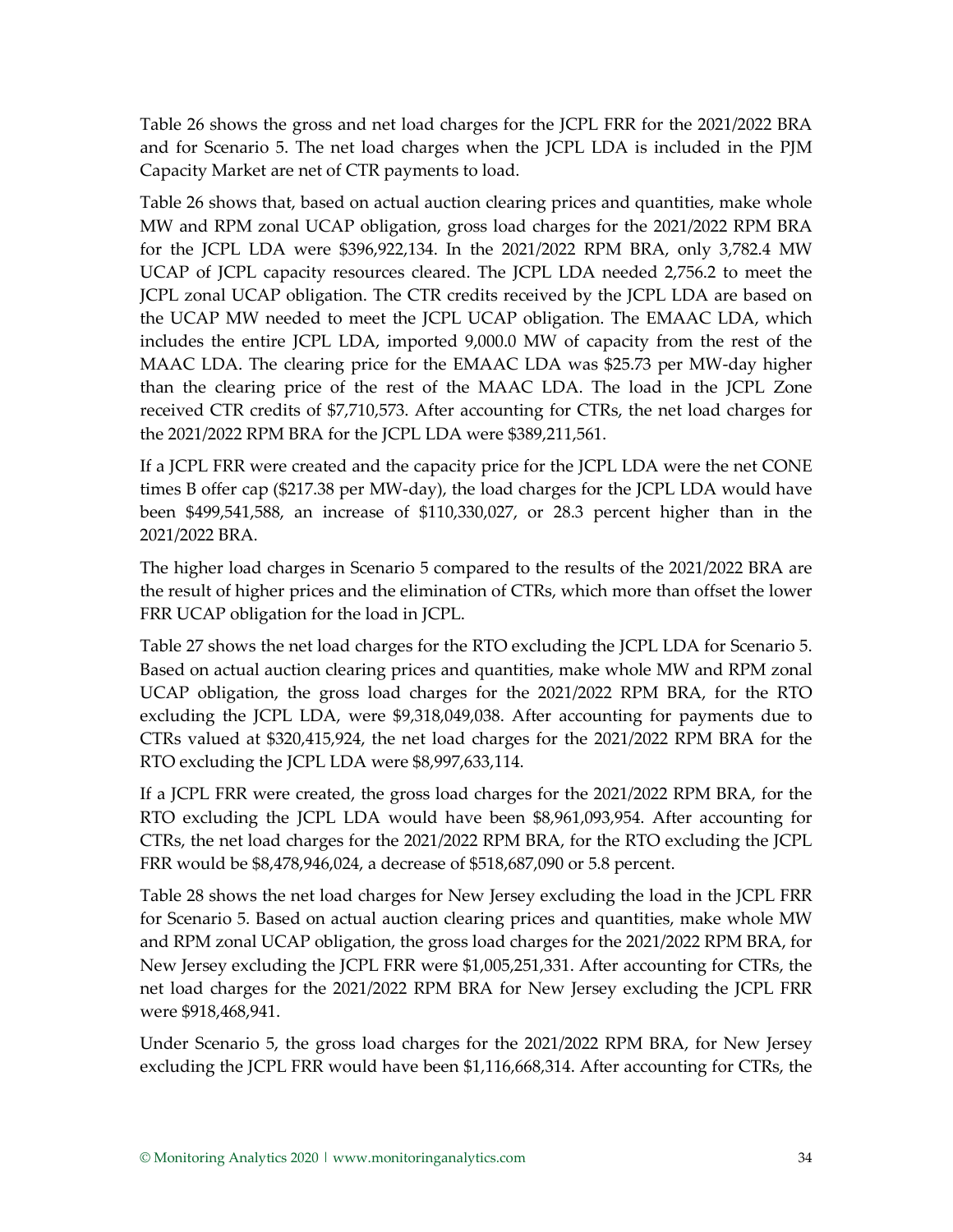[Table 26](#page-36-1) shows the gross and net load charges for the JCPL FRR for the 2021/2022 BRA and for Scenario 5. The net load charges when the JCPL LDA is included in the PJM Capacity Market are net of CTR payments to load.

[Table 26](#page-36-1) shows that, based on actual auction clearing prices and quantities, make whole MW and RPM zonal UCAP obligation, gross load charges for the 2021/2022 RPM BRA for the JCPL LDA were \$396,922,134. In the 2021/2022 RPM BRA, only 3,782.4 MW UCAP of JCPL capacity resources cleared. The JCPL LDA needed 2,756.2 to meet the JCPL zonal UCAP obligation. The CTR credits received by the JCPL LDA are based on the UCAP MW needed to meet the JCPL UCAP obligation. The EMAAC LDA, which includes the entire JCPL LDA, imported 9,000.0 MW of capacity from the rest of the MAAC LDA. The clearing price for the EMAAC LDA was \$25.73 per MW-day higher than the clearing price of the rest of the MAAC LDA. The load in the JCPL Zone received CTR credits of \$7,710,573. After accounting for CTRs, the net load charges for the 2021/2022 RPM BRA for the JCPL LDA were \$389,211,561.

If a JCPL FRR were created and the capacity price for the JCPL LDA were the net CONE times B offer cap (\$217.38 per MW-day), the load charges for the JCPL LDA would have been \$499,541,588, an increase of \$110,330,027, or 28.3 percent higher than in the 2021/2022 BRA.

The higher load charges in Scenario 5 compared to the results of the 2021/2022 BRA are the result of higher prices and the elimination of CTRs, which more than offset the lower FRR UCAP obligation for the load in JCPL.

[Table 27](#page-37-0) shows the net load charges for the RTO excluding the JCPL LDA for Scenario 5. Based on actual auction clearing prices and quantities, make whole MW and RPM zonal UCAP obligation, the gross load charges for the 2021/2022 RPM BRA, for the RTO excluding the JCPL LDA, were \$9,318,049,038. After accounting for payments due to CTRs valued at \$320,415,924, the net load charges for the 2021/2022 RPM BRA for the RTO excluding the JCPL LDA were \$8,997,633,114.

If a JCPL FRR were created, the gross load charges for the 2021/2022 RPM BRA, for the RTO excluding the JCPL LDA would have been \$8,961,093,954. After accounting for CTRs, the net load charges for the 2021/2022 RPM BRA, for the RTO excluding the JCPL FRR would be \$8,478,946,024, a decrease of \$518,687,090 or 5.8 percent.

[Table 28](#page-37-1) shows the net load charges for New Jersey excluding the load in the JCPL FRR for Scenario 5. Based on actual auction clearing prices and quantities, make whole MW and RPM zonal UCAP obligation, the gross load charges for the 2021/2022 RPM BRA, for New Jersey excluding the JCPL FRR were \$1,005,251,331. After accounting for CTRs, the net load charges for the 2021/2022 RPM BRA for New Jersey excluding the JCPL FRR were \$918,468,941.

Under Scenario 5, the gross load charges for the 2021/2022 RPM BRA, for New Jersey excluding the JCPL FRR would have been \$1,116,668,314. After accounting for CTRs, the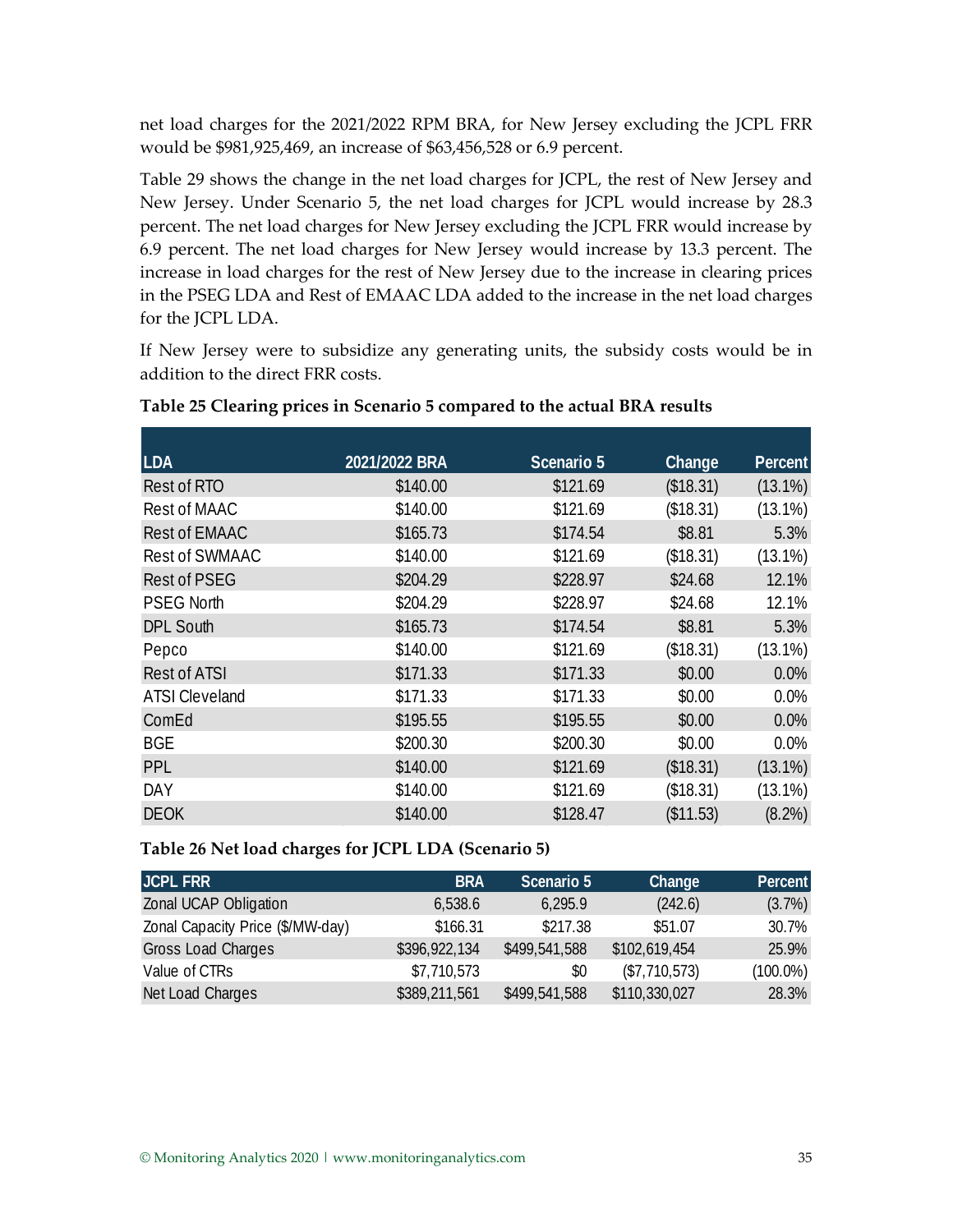net load charges for the 2021/2022 RPM BRA, for New Jersey excluding the JCPL FRR would be \$981,925,469, an increase of \$63,456,528 or 6.9 percent.

[Table 29](#page-37-2) shows the change in the net load charges for JCPL, the rest of New Jersey and New Jersey. Under Scenario 5, the net load charges for JCPL would increase by 28.3 percent. The net load charges for New Jersey excluding the JCPL FRR would increase by 6.9 percent. The net load charges for New Jersey would increase by 13.3 percent. The increase in load charges for the rest of New Jersey due to the increase in clearing prices in the PSEG LDA and Rest of EMAAC LDA added to the increase in the net load charges for the JCPL LDA.

If New Jersey were to subsidize any generating units, the subsidy costs would be in addition to the direct FRR costs.

| <b>LDA</b>            | 2021/2022 BRA | Scenario 5 | Change    | Percent    |
|-----------------------|---------------|------------|-----------|------------|
| Rest of RTO           | \$140.00      | \$121.69   | (\$18.31) | $(13.1\%)$ |
| Rest of MAAC          | \$140.00      | \$121.69   | (\$18.31) | $(13.1\%)$ |
| <b>Rest of EMAAC</b>  | \$165.73      | \$174.54   | \$8.81    | 5.3%       |
| <b>Rest of SWMAAC</b> | \$140.00      | \$121.69   | (\$18.31) | $(13.1\%)$ |
| <b>Rest of PSEG</b>   | \$204.29      | \$228.97   | \$24.68   | 12.1%      |
| <b>PSEG North</b>     | \$204.29      | \$228.97   | \$24.68   | 12.1%      |
| <b>DPL South</b>      | \$165.73      | \$174.54   | \$8.81    | 5.3%       |
| Pepco                 | \$140.00      | \$121.69   | (\$18.31) | $(13.1\%)$ |
| <b>Rest of ATSI</b>   | \$171.33      | \$171.33   | \$0.00    | 0.0%       |
| <b>ATSI Cleveland</b> | \$171.33      | \$171.33   | \$0.00    | 0.0%       |
| ComEd                 | \$195.55      | \$195.55   | \$0.00    | 0.0%       |
| <b>BGE</b>            | \$200.30      | \$200.30   | \$0.00    | 0.0%       |
| <b>PPL</b>            | \$140.00      | \$121.69   | (\$18.31) | $(13.1\%)$ |
| <b>DAY</b>            | \$140.00      | \$121.69   | (\$18.31) | $(13.1\%)$ |
| <b>DEOK</b>           | \$140.00      | \$128.47   | (\$11.53) | (8.2%)     |
|                       |               |            |           |            |

#### <span id="page-36-0"></span>**Table 25 Clearing prices in Scenario 5 compared to the actual BRA results**

#### <span id="page-36-1"></span>**Table 26 Net load charges for JCPL LDA (Scenario 5)**

| <b>JCPL FRR</b>                  | <b>BRA</b>    | Scenario 5    | Change        | Percent     |
|----------------------------------|---------------|---------------|---------------|-------------|
| Zonal UCAP Obligation            | 6,538.6       | 6,295.9       | (242.6)       | (3.7%)      |
| Zonal Capacity Price (\$/MW-day) | \$166.31      | \$217.38      | \$51.07       | 30.7%       |
| Gross Load Charges               | \$396,922,134 | \$499,541,588 | \$102,619,454 | 25.9%       |
| Value of CTRs                    | \$7,710,573   | \$0           | (\$7,710,573) | $(100.0\%)$ |
| Net Load Charges                 | \$389,211,561 | \$499,541,588 | \$110,330,027 | 28.3%       |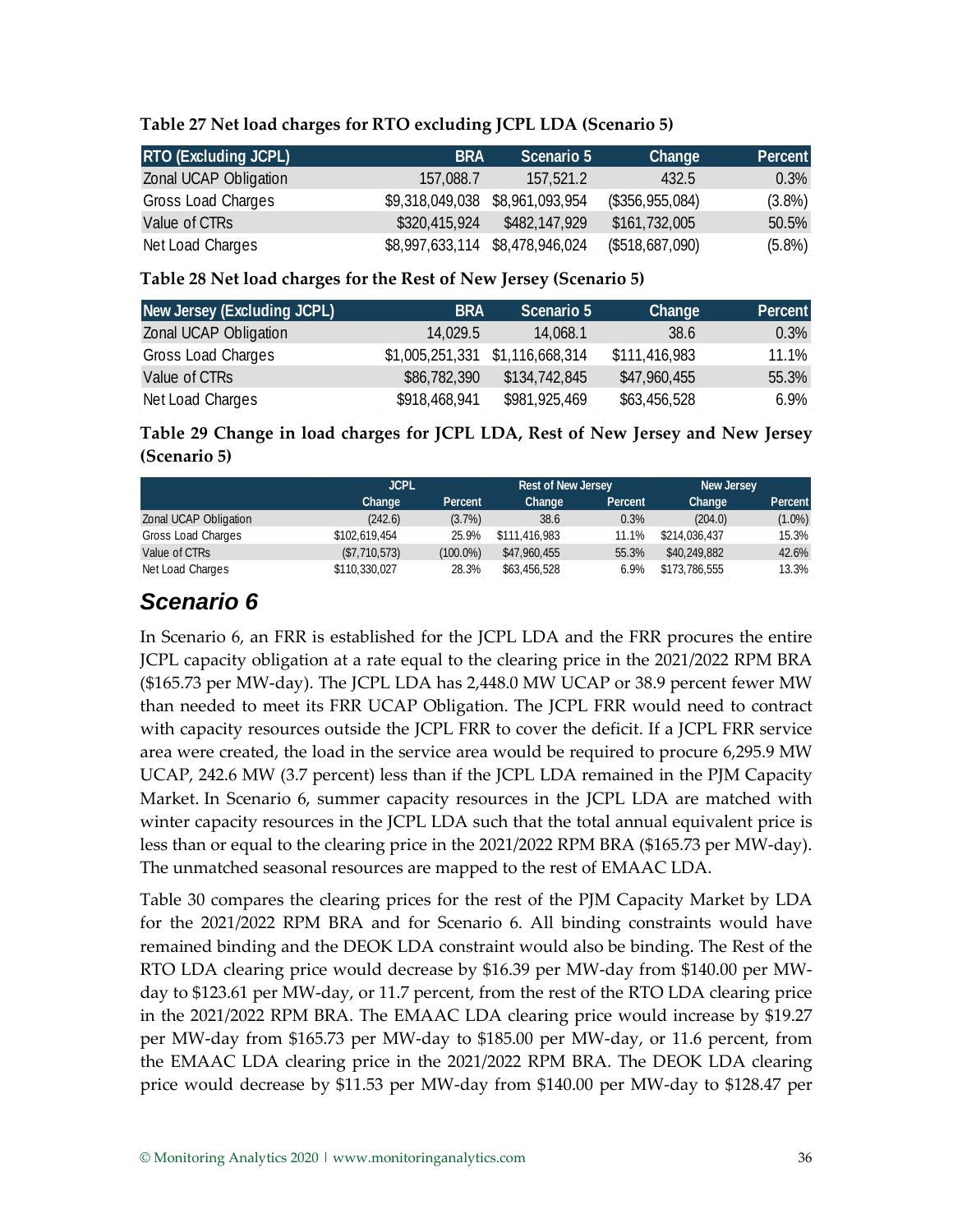| <b>RTO (Excluding JCPL)</b> | <b>BRA</b>      | Scenario 5      | Change          | Percent   |
|-----------------------------|-----------------|-----------------|-----------------|-----------|
| Zonal UCAP Obligation       | 157,088.7       | 157.521.2       | 432.5           | 0.3%      |
| Gross Load Charges          | \$9,318,049,038 | \$8,961,093,954 | (\$356,955,084) | $(3.8\%)$ |
| Value of CTRs               | \$320,415,924   | \$482,147,929   | \$161,732,005   | 50.5%     |
| Net Load Charges            | \$8,997,633,114 | \$8,478,946,024 | (\$518,687,090) | $(5.8\%)$ |

#### <span id="page-37-0"></span>**Table 27 Net load charges for RTO excluding JCPL LDA (Scenario 5)**

#### <span id="page-37-1"></span>**Table 28 Net load charges for the Rest of New Jersey (Scenario 5)**

| New Jersey (Excluding JCPL) | <b>BRA</b>    | Scenario 5                      | Change        | Percent |
|-----------------------------|---------------|---------------------------------|---------------|---------|
| Zonal UCAP Obligation       | 14.029.5      | 14.068.1                        | 38.6          | 0.3%    |
| Gross Load Charges          |               | \$1,005,251,331 \$1,116,668,314 | \$111,416,983 | 11.1%   |
| Value of CTRs               | \$86,782,390  | \$134,742,845                   | \$47,960,455  | 55.3%   |
| Net Load Charges            | \$918,468,941 | \$981,925,469                   | \$63,456,528  | $6.9\%$ |

<span id="page-37-2"></span>**Table 29 Change in load charges for JCPL LDA, Rest of New Jersey and New Jersey (Scenario 5)**

|                       | <b>JCPL</b>   |             |               | <b>Rest of New Jersey</b> |               | New Jersey |  |
|-----------------------|---------------|-------------|---------------|---------------------------|---------------|------------|--|
|                       | Change        | Percent     | Change        | Percent                   | Change        | Percent    |  |
| Zonal UCAP Obligation | (242.6)       | $(3.7\%)$   | 38.6          | 0.3%                      | (204.0)       | $(1.0\%)$  |  |
| Gross Load Charges    | \$102,619,454 | 25.9%       | \$111,416,983 | 11.1%                     | \$214,036,437 | 15.3%      |  |
| Value of CTRs         | (\$7,710,573) | $(100.0\%)$ | \$47,960,455  | 55.3%                     | \$40,249,882  | 42.6%      |  |
| Net Load Charges      | \$110,330,027 | 28.3%       | \$63,456,528  | 6.9%                      | \$173,786,555 | 13.3%      |  |

# *Scenario 6*

In Scenario 6, an FRR is established for the JCPL LDA and the FRR procures the entire JCPL capacity obligation at a rate equal to the clearing price in the 2021/2022 RPM BRA (\$165.73 per MW-day). The JCPL LDA has 2,448.0 MW UCAP or 38.9 percent fewer MW than needed to meet its FRR UCAP Obligation. The JCPL FRR would need to contract with capacity resources outside the JCPL FRR to cover the deficit. If a JCPL FRR service area were created, the load in the service area would be required to procure 6,295.9 MW UCAP, 242.6 MW (3.7 percent) less than if the JCPL LDA remained in the PJM Capacity Market. In Scenario 6, summer capacity resources in the JCPL LDA are matched with winter capacity resources in the JCPL LDA such that the total annual equivalent price is less than or equal to the clearing price in the 2021/2022 RPM BRA (\$165.73 per MW-day). The unmatched seasonal resources are mapped to the rest of EMAAC LDA.

[Table 30](#page-40-0) compares the clearing prices for the rest of the PJM Capacity Market by LDA for the 2021/2022 RPM BRA and for Scenario 6. All binding constraints would have remained binding and the DEOK LDA constraint would also be binding. The Rest of the RTO LDA clearing price would decrease by \$16.39 per MW-day from \$140.00 per MWday to \$123.61 per MW-day, or 11.7 percent, from the rest of the RTO LDA clearing price in the 2021/2022 RPM BRA. The EMAAC LDA clearing price would increase by \$19.27 per MW-day from \$165.73 per MW-day to \$185.00 per MW-day, or 11.6 percent, from the EMAAC LDA clearing price in the 2021/2022 RPM BRA. The DEOK LDA clearing price would decrease by \$11.53 per MW-day from \$140.00 per MW-day to \$128.47 per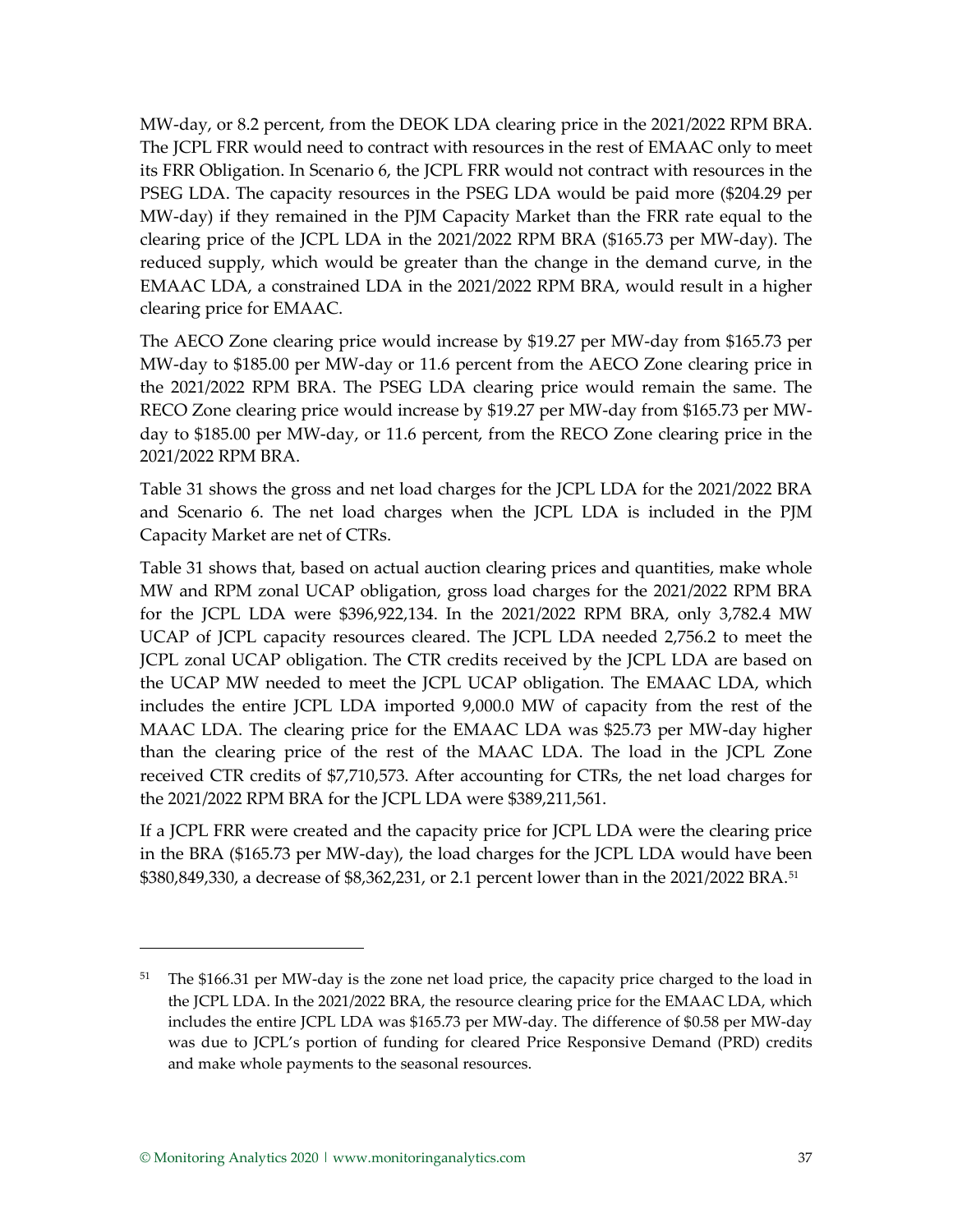MW-day, or 8.2 percent, from the DEOK LDA clearing price in the 2021/2022 RPM BRA. The JCPL FRR would need to contract with resources in the rest of EMAAC only to meet its FRR Obligation. In Scenario 6, the JCPL FRR would not contract with resources in the PSEG LDA. The capacity resources in the PSEG LDA would be paid more (\$204.29 per MW-day) if they remained in the PJM Capacity Market than the FRR rate equal to the clearing price of the JCPL LDA in the 2021/2022 RPM BRA (\$165.73 per MW-day). The reduced supply, which would be greater than the change in the demand curve, in the EMAAC LDA, a constrained LDA in the 2021/2022 RPM BRA, would result in a higher clearing price for EMAAC.

The AECO Zone clearing price would increase by \$19.27 per MW-day from \$165.73 per MW-day to \$185.00 per MW-day or 11.6 percent from the AECO Zone clearing price in the 2021/2022 RPM BRA. The PSEG LDA clearing price would remain the same. The RECO Zone clearing price would increase by \$19.27 per MW-day from \$165.73 per MWday to \$185.00 per MW-day, or 11.6 percent, from the RECO Zone clearing price in the 2021/2022 RPM BRA.

[Table 31](#page-40-1) shows the gross and net load charges for the JCPL LDA for the 2021/2022 BRA and Scenario 6. The net load charges when the JCPL LDA is included in the PJM Capacity Market are net of CTRs.

[Table 31](#page-40-1) shows that, based on actual auction clearing prices and quantities, make whole MW and RPM zonal UCAP obligation, gross load charges for the 2021/2022 RPM BRA for the JCPL LDA were \$396,922,134. In the 2021/2022 RPM BRA, only 3,782.4 MW UCAP of JCPL capacity resources cleared. The JCPL LDA needed 2,756.2 to meet the JCPL zonal UCAP obligation. The CTR credits received by the JCPL LDA are based on the UCAP MW needed to meet the JCPL UCAP obligation. The EMAAC LDA, which includes the entire JCPL LDA imported 9,000.0 MW of capacity from the rest of the MAAC LDA. The clearing price for the EMAAC LDA was \$25.73 per MW-day higher than the clearing price of the rest of the MAAC LDA. The load in the JCPL Zone received CTR credits of \$7,710,573. After accounting for CTRs, the net load charges for the 2021/2022 RPM BRA for the JCPL LDA were \$389,211,561.

If a JCPL FRR were created and the capacity price for JCPL LDA were the clearing price in the BRA (\$165.73 per MW-day), the load charges for the JCPL LDA would have been \$380,849,330, a decrease of \$8,362,231, or 2.1 percent lower than in the 2021/2022 BRA.[51](#page-38-0)

<span id="page-38-0"></span><sup>&</sup>lt;sup>51</sup> The \$166.31 per MW-day is the zone net load price, the capacity price charged to the load in the JCPL LDA. In the 2021/2022 BRA, the resource clearing price for the EMAAC LDA, which includes the entire JCPL LDA was \$165.73 per MW-day. The difference of \$0.58 per MW-day was due to JCPL's portion of funding for cleared Price Responsive Demand (PRD) credits and make whole payments to the seasonal resources.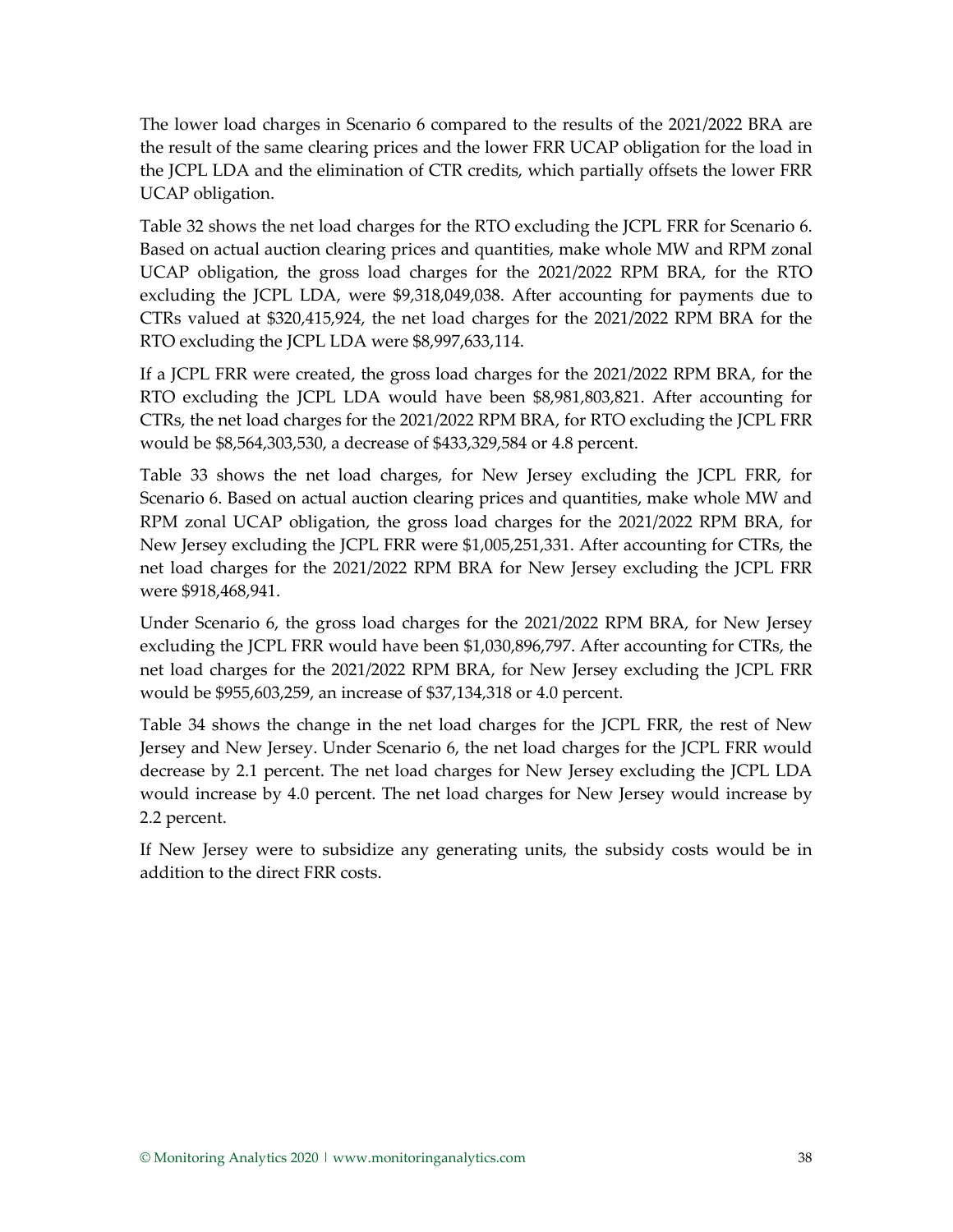The lower load charges in Scenario 6 compared to the results of the 2021/2022 BRA are the result of the same clearing prices and the lower FRR UCAP obligation for the load in the JCPL LDA and the elimination of CTR credits, which partially offsets the lower FRR UCAP obligation.

Table 32 shows the net load charges for the RTO excluding the JCPL FRR for Scenario 6. Based on actual auction clearing prices and quantities, make whole MW and RPM zonal UCAP obligation, the gross load charges for the 2021/2022 RPM BRA, for the RTO excluding the JCPL LDA, were \$9,318,049,038. After accounting for payments due to CTRs valued at \$320,415,924, the net load charges for the 2021/2022 RPM BRA for the RTO excluding the JCPL LDA were \$8,997,633,114.

If a JCPL FRR were created, the gross load charges for the 2021/2022 RPM BRA, for the RTO excluding the JCPL LDA would have been \$8,981,803,821. After accounting for CTRs, the net load charges for the 2021/2022 RPM BRA, for RTO excluding the JCPL FRR would be \$8,564,303,530, a decrease of \$433,329,584 or 4.8 percent.

[Table 33](#page-40-2) shows the net load charges, for New Jersey excluding the JCPL FRR, for Scenario 6. Based on actual auction clearing prices and quantities, make whole MW and RPM zonal UCAP obligation, the gross load charges for the 2021/2022 RPM BRA, for New Jersey excluding the JCPL FRR were \$1,005,251,331. After accounting for CTRs, the net load charges for the 2021/2022 RPM BRA for New Jersey excluding the JCPL FRR were \$918,468,941.

Under Scenario 6, the gross load charges for the 2021/2022 RPM BRA, for New Jersey excluding the JCPL FRR would have been \$1,030,896,797. After accounting for CTRs, the net load charges for the 2021/2022 RPM BRA, for New Jersey excluding the JCPL FRR would be \$955,603,259, an increase of \$37,134,318 or 4.0 percent.

[Table 34](#page-41-0) shows the change in the net load charges for the JCPL FRR, the rest of New Jersey and New Jersey. Under Scenario 6, the net load charges for the JCPL FRR would decrease by 2.1 percent. The net load charges for New Jersey excluding the JCPL LDA would increase by 4.0 percent. The net load charges for New Jersey would increase by 2.2 percent.

If New Jersey were to subsidize any generating units, the subsidy costs would be in addition to the direct FRR costs.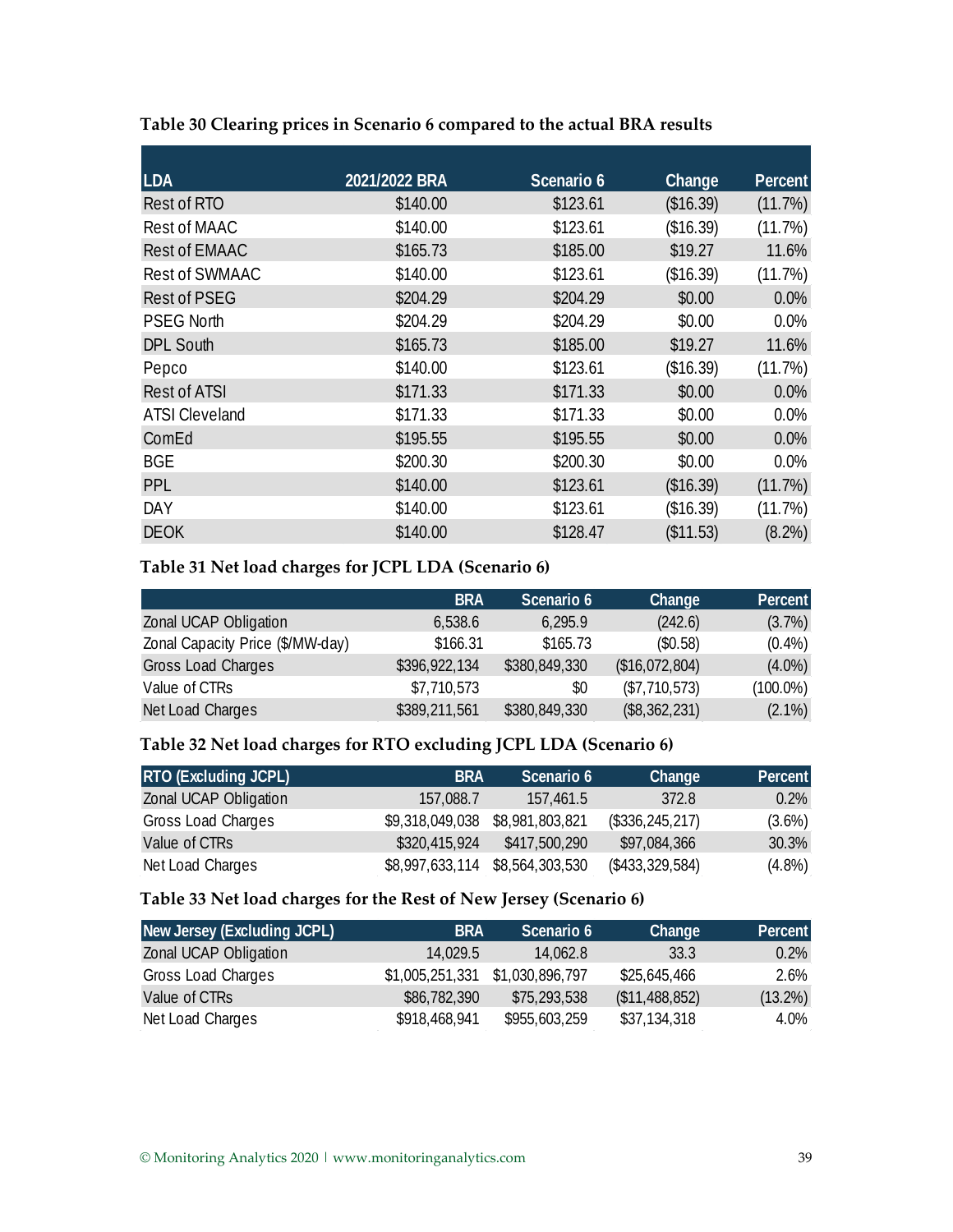| 2021/2022 BRA | Scenario 6 | Change    | Percent   |
|---------------|------------|-----------|-----------|
| \$140.00      | \$123.61   | (\$16.39) | (11.7%)   |
| \$140.00      | \$123.61   | (\$16.39) | (11.7%)   |
| \$165.73      | \$185.00   | \$19.27   | 11.6%     |
| \$140.00      | \$123.61   | (\$16.39) | (11.7%)   |
| \$204.29      | \$204.29   | \$0.00    | 0.0%      |
| \$204.29      | \$204.29   | \$0.00    | 0.0%      |
| \$165.73      | \$185.00   | \$19.27   | 11.6%     |
| \$140.00      | \$123.61   | (\$16.39) | (11.7%)   |
| \$171.33      | \$171.33   | \$0.00    | 0.0%      |
| \$171.33      | \$171.33   | \$0.00    | 0.0%      |
| \$195.55      | \$195.55   | \$0.00    | 0.0%      |
| \$200.30      | \$200.30   | \$0.00    | 0.0%      |
| \$140.00      | \$123.61   | (\$16.39) | (11.7%)   |
| \$140.00      | \$123.61   | (\$16.39) | (11.7%)   |
| \$140.00      | \$128.47   | (\$11.53) | $(8.2\%)$ |
|               |            |           |           |

<span id="page-40-0"></span>**Table 30 Clearing prices in Scenario 6 compared to the actual BRA results**

#### <span id="page-40-1"></span>**Table 31 Net load charges for JCPL LDA (Scenario 6)**

|                                  | <b>BRA</b>    | Scenario 6    | Change         | Percent     |
|----------------------------------|---------------|---------------|----------------|-------------|
| Zonal UCAP Obligation            | 6,538.6       | 6,295.9       | (242.6)        | (3.7%)      |
| Zonal Capacity Price (\$/MW-day) | \$166.31      | \$165.73      | (\$0.58)       | $(0.4\%)$   |
| Gross Load Charges               | \$396,922,134 | \$380,849,330 | (\$16,072,804) | $(4.0\%)$   |
| Value of CTRs                    | \$7,710,573   | \$0           | (\$7,710,573)  | $(100.0\%)$ |
| Net Load Charges                 | \$389,211,561 | \$380,849,330 | (\$8,362,231)  | $(2.1\%)$   |

#### **Table 32 Net load charges for RTO excluding JCPL LDA (Scenario 6)**

| <b>RTO (Excluding JCPL)</b> | <b>BRA</b>      | Scenario 6      | Change            | Percent   |
|-----------------------------|-----------------|-----------------|-------------------|-----------|
| Zonal UCAP Obligation       | 157,088.7       | 157,461.5       | 372.8             | 0.2%      |
| Gross Load Charges          | \$9,318,049,038 | \$8,981,803,821 | (\$336, 245, 217) | $(3.6\%)$ |
| Value of CTRs               | \$320,415,924   | \$417,500,290   | \$97,084,366      | 30.3%     |
| Net Load Charges            | \$8,997,633,114 | \$8,564,303,530 | (\$433,329,584)   | $(4.8\%)$ |

#### <span id="page-40-2"></span>**Table 33 Net load charges for the Rest of New Jersey (Scenario 6)**

| New Jersey (Excluding JCPL) | <b>BRA</b>      | Scenario 6      | Change         | Percent    |
|-----------------------------|-----------------|-----------------|----------------|------------|
| Zonal UCAP Obligation       | 14.029.5        | 14,062.8        | 33.3           | 0.2%       |
| Gross Load Charges          | \$1,005,251,331 | \$1,030,896,797 | \$25,645,466   | 2.6%       |
| Value of CTRs               | \$86,782,390    | \$75,293,538    | (\$11,488,852) | $(13.2\%)$ |
| Net Load Charges            | \$918,468,941   | \$955,603,259   | \$37,134,318   | 4.0%       |